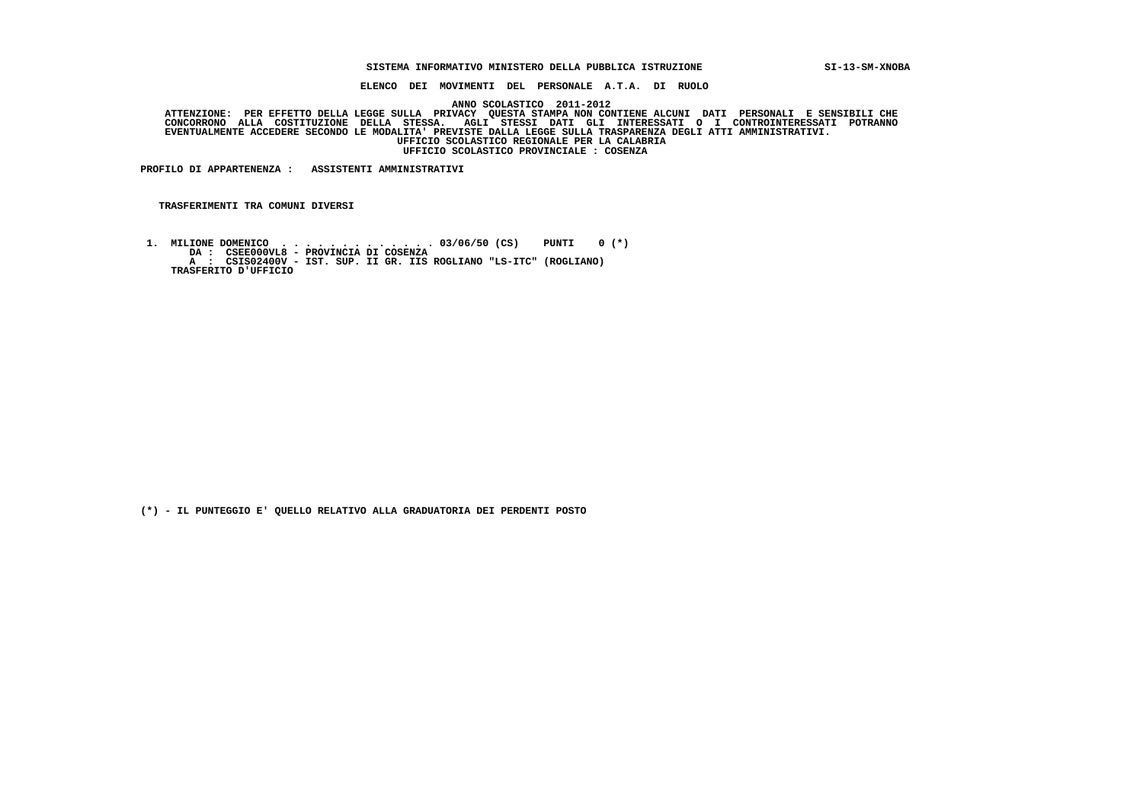#### **SISTEMA INFORMATIVO MINISTERO DELLA PUBBLICA ISTRUZIONE SI-13-SM-XNOBA**

 **ELENCO DEI MOVIMENTI DEL PERSONALE A.T.A. DI RUOLO**

 **ANNO SCOLASTICO 2011-2012**

ATTENZIONE: PER EFFETTO DELLA LEGGE SULLA PRIVACY QUESTA STAMPA NON CONTIENE ALCUNI DATI PERSONALI E SENSIBILI<br>CONCORRONO ALLA COSTITUZIONE DELLA STESSA. AGLI STESSI DATI GLI INTERESSATI O I CONTROINTERESSATI POTRANNO  **EVENTUALMENTE ACCEDERE SECONDO LE MODALITA' PREVISTE DALLA LEGGE SULLA TRASPARENZA DEGLI ATTI AMMINISTRATIVI. UFFICIO SCOLASTICO REGIONALE PER LA CALABRIA UFFICIO SCOLASTICO PROVINCIALE : COSENZA**

 **PROFILO DI APPARTENENZA : ASSISTENTI AMMINISTRATIVI**

 **TRASFERIMENTI TRA COMUNI DIVERSI**

 **1. MILIONE DOMENICO . . . . . . . . . . . . . 03/06/50 (CS) PUNTI 0 (\*) DA : CSEE000VL8 - PROVINCIA DI COSENZA A : CSIS02400V - IST. SUP. II GR. IIS ROGLIANO "LS-ITC" (ROGLIANO) TRASFERITO D'UFFICIO**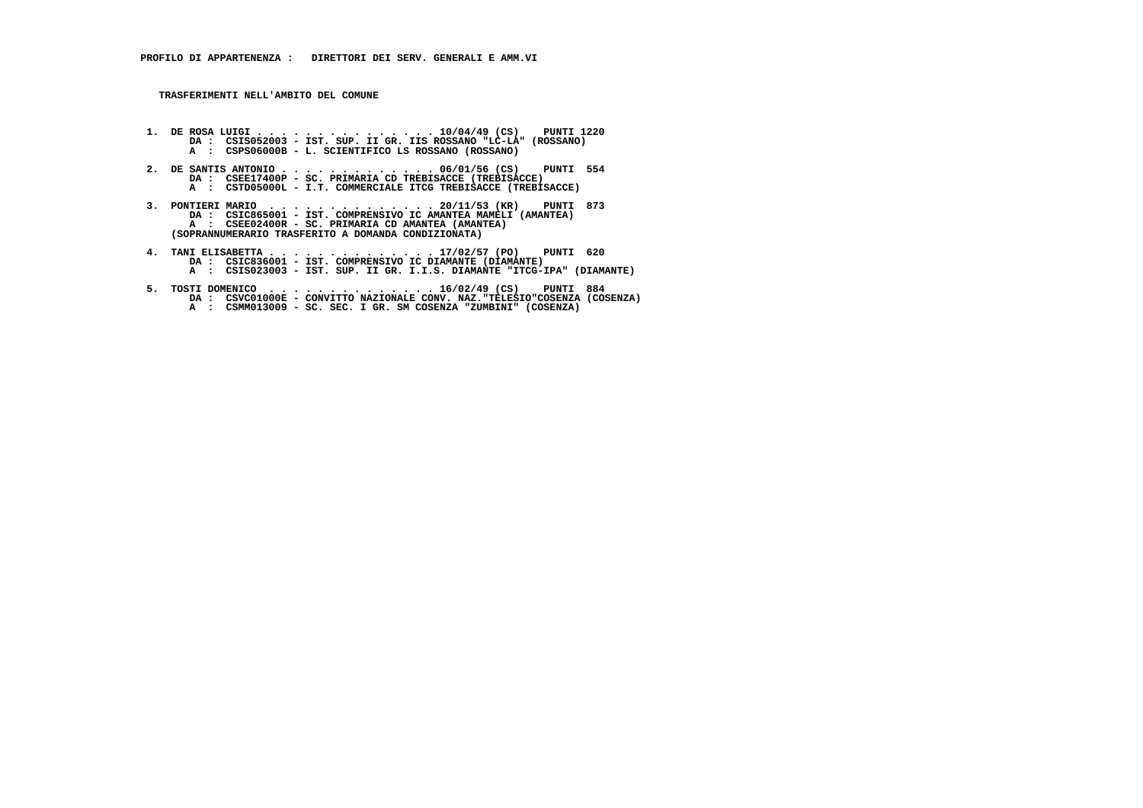- **1. DE ROSA LUIGI . . . . . . . . . . . . . . . 10/04/49 (CS) PUNTI 1220 DA : CSIS052003 IST. SUP. II GR. IIS ROSSANO "LC-LA" (ROSSANO) A : CSPS06000B - L. SCIENTIFICO LS ROSSANO (ROSSANO)**
- **2. DE SANTIS ANTONIO . . . . . . . . . . . . . 06/01/56 (CS) PUNTI 554**DA : CSEE17400P - SC. PRIMARIA CD TREBISACCE (TREBISACCE)  **A : CSTD05000L - I.T. COMMERCIALE ITCG TREBISACCE (TREBISACCE)**
- **3. PONTIERI MARIO . . . . . . . . . . . . . . 20/11/53 (KR) PUNTI 873 DA : CSIC865001 IST. COMPRENSIVO IC AMANTEA MAMELI (AMANTEA) A : CSEE02400R - SC. PRIMARIA CD AMANTEA (AMANTEA) (SOPRANNUMERARIO TRASFERITO A DOMANDA CONDIZIONATA)**
- **4. TANI ELISABETTA . . . . . . . . . . . . . . 17/02/57 (PO) PUNTI 620 DA : CSIC836001 IST. COMPRENSIVO IC DIAMANTE (DIAMANTE) A : CSIS023003 IST. SUP. II GR. I.I.S. DIAMANTE "ITCG-IPA" (DIAMANTE)**
- **5. TOSTI DOMENICO . . . . . . . . . . . . . . 16/02/49 (CS) PUNTI 884 DA : CSVC01000E - CONVITTO NAZIONALE CONV. NAZ."TELESIO"COSENZA (COSENZA) A : CSMM013009 - SC. SEC. I GR. SM COSENZA "ZUMBINI" (COSENZA)**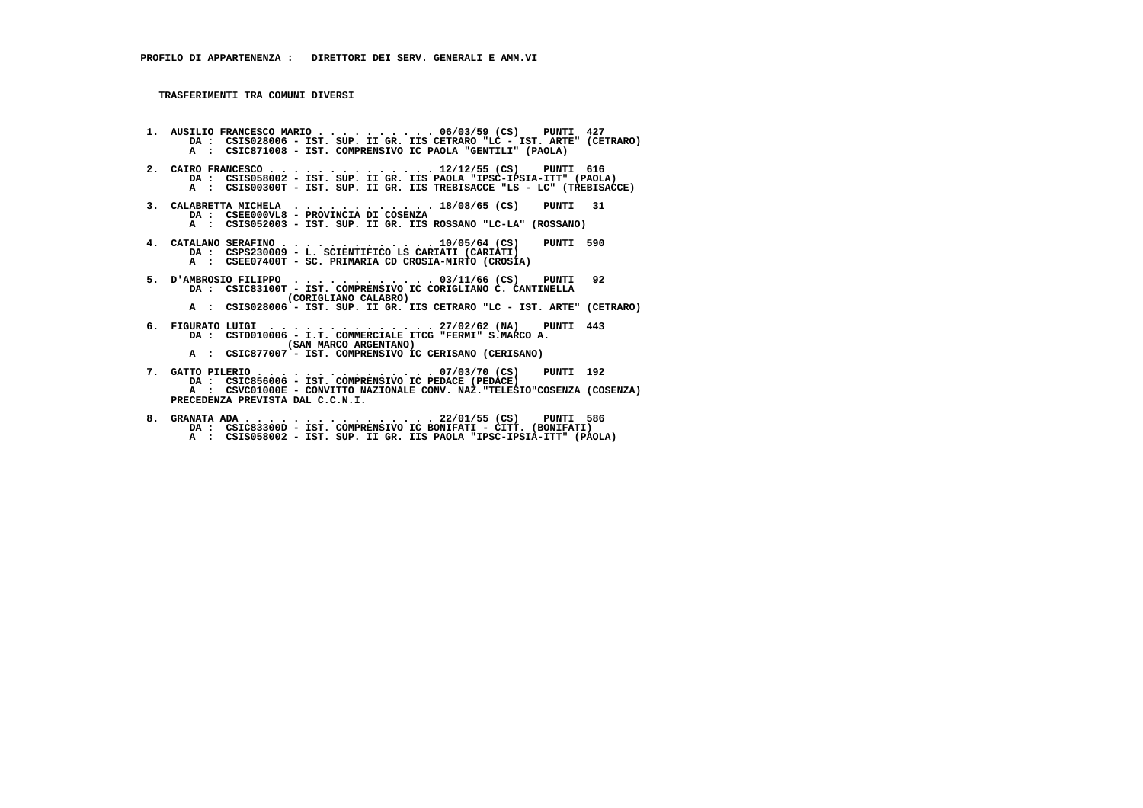**1. AUSILIO FRANCESCO MARIO . . . . . . . . . . 06/03/59 (CS) PUNTI 427 DA : CSIS028006 - IST. SUP. II GR. IIS CETRARO "LC - IST. ARTE" (CETRARO) A : CSIC871008 - IST. COMPRENSIVO IC PAOLA "GENTILI" (PAOLA) 2. CAIRO FRANCESCO . . . . . . . . . . . . . . 12/12/55 (CS) PUNTI 616 DA : CSIS058002 - IST. SUP. II GR. IIS PAOLA "IPSC-IPSIA-ITT" (PAOLA) A : CSIS00300T - IST. SUP. II GR. IIS TREBISACCE "LS - LC" (TREBISACCE) 3. CALABRETTA MICHELA . . . . . . . . . . . . 18/08/65 (CS) PUNTI 31 DA : CSEE000VL8 - PROVINCIA DI COSENZA A : CSIS052003 - IST. SUP. II GR. IIS ROSSANO "LC-LA" (ROSSANO) 4. CATALANO SERAFINO . . . . . . . . . . . . . 10/05/64 (CS) PUNTI 590 DA : CSPS230009 - L. SCIENTIFICO LS CARIATI (CARIATI) A : CSEE07400T - SC. PRIMARIA CD CROSIA-MIRTO (CROSIA) 5. D'AMBROSIO FILIPPO . . . . . . . . . . . . 03/11/66 (CS) PUNTI 92 DA : CSIC83100T - IST. COMPRENSIVO IC CORIGLIANO C. CANTINELLA (CORIGLIANO CALABRO) A : CSIS028006 - IST. SUP. II GR. IIS CETRARO "LC - IST. ARTE" (CETRARO) 6. FIGURATO LUIGI . . . . . . . . . . . . . . 27/02/62 (NA) PUNTI 443 DA : CSTD010006 - I.T. COMMERCIALE ITCG "FERMI" S.MARCO A. (SAN MARCO ARGENTANO) A : CSIC877007 - IST. COMPRENSIVO IC CERISANO (CERISANO) 7. GATTO PILERIO . . . . . . . . . . . . . . . 07/03/70 (CS) PUNTI 192 DA : CSIC856006 - IST. COMPRENSIVO IC PEDACE (PEDACE) A : CSVC01000E - CONVITTO NAZIONALE CONV. NAZ."TELESIO"COSENZA (COSENZA) PRECEDENZA PREVISTA DAL C.C.N.I.**

 **8. GRANATA ADA . . . . . . . . . . . . . . . . 22/01/55 (CS) PUNTI 586 DA : CSIC83300D - IST. COMPRENSIVO IC BONIFATI - CITT. (BONIFATI) A : CSIS058002 - IST. SUP. II GR. IIS PAOLA "IPSC-IPSIA-ITT" (PAOLA)**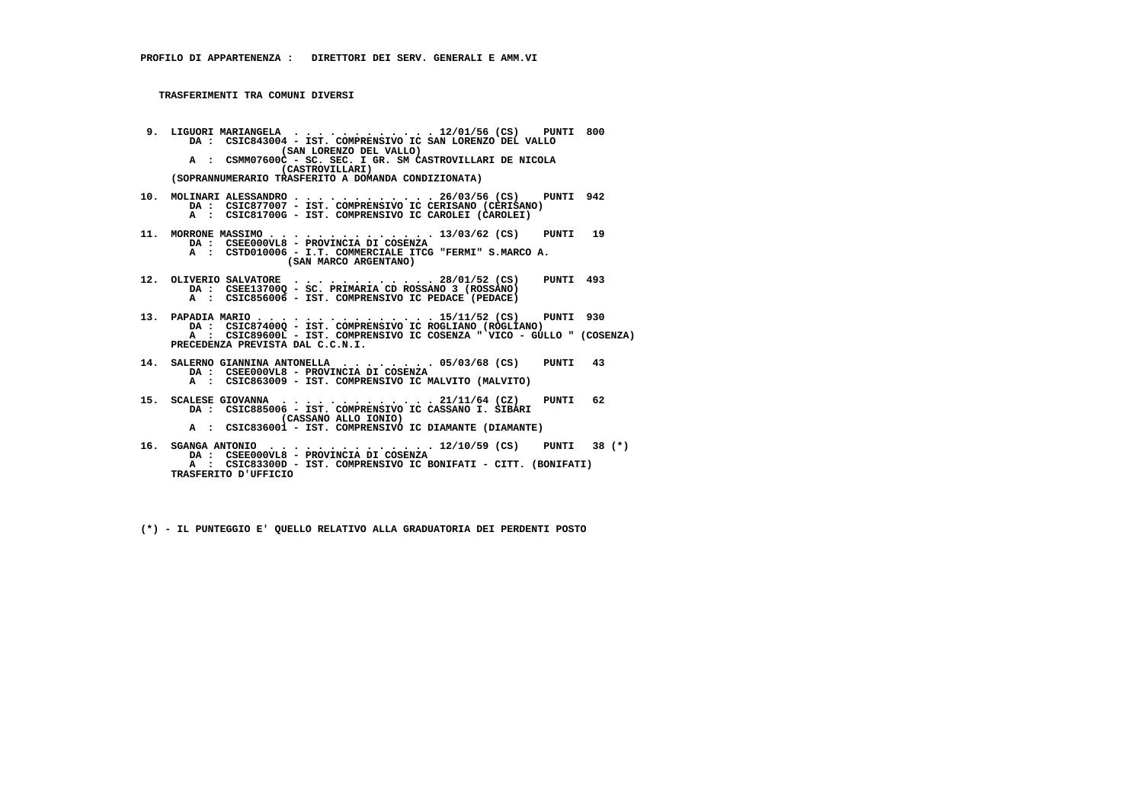- **9. LIGUORI MARIANGELA . . . . . . . . . . . . 12/01/56 (CS) PUNTI 800 DA : CSIC843004 IST. COMPRENSIVO IC SAN LORENZO DEL VALLO (SAN LORENZO DEL VALLO) A : CSMM07600C - SC. SEC. I GR. SM CASTROVILLARI DE NICOLA (CASTROVILLARI) (SOPRANNUMERARIO TRASFERITO A DOMANDA CONDIZIONATA)**
- **10. MOLINARI ALESSANDRO . . . . . . . . . . . . 26/03/56 (CS) PUNTI 942 DA : CSIC877007 IST. COMPRENSIVO IC CERISANO (CERISANO) A : CSIC81700G - IST. COMPRENSIVO IC CAROLEI (CAROLEI)**
- **11. MORRONE MASSIMO . . . . . . . . . . . . . . 13/03/62 (CS) PUNTI 19 DA : CSEE000VL8 - PROVINCIA DI COSENZA A : CSTD010006 - I.T. COMMERCIALE ITCG "FERMI" S.MARCO A. (SAN MARCO ARGENTANO)**
- **12. OLIVERIO SALVATORE . . . . . . . . . . . . 28/01/52 (CS) PUNTI 493 DA : CSEE13700Q - SC. PRIMARIA CD ROSSANO 3 (ROSSANO) A : CSIC856006 - IST. COMPRENSIVO IC PEDACE (PEDACE)**
- **13. PAPADIA MARIO . . . . . . . . . . . . . . . 15/11/52 (CS) PUNTI 930 DA : CSIC87400Q IST. COMPRENSIVO IC ROGLIANO (ROGLIANO) A : CSIC89600L - IST. COMPRENSIVO IC COSENZA " VICO - GULLO " (COSENZA) PRECEDENZA PREVISTA DAL C.C.N.I.**
- **14. SALERNO GIANNINA ANTONELLA . . . . . . . . 05/03/68 (CS) PUNTI 43 DA : CSEE000VL8 - PROVINCIA DI COSENZA A : CSIC863009 - IST. COMPRENSIVO IC MALVITO (MALVITO)**
- **15. SCALESE GIOVANNA . . . . . . . . . . . . . 21/11/64 (CZ) PUNTI 62 DA : CSIC885006 IST. COMPRENSIVO IC CASSANO I. SIBARI (CASSANO ALLO IONIO) A : CSIC836001 - IST. COMPRENSIVO IC DIAMANTE (DIAMANTE)**
- **16. SGANGA ANTONIO . . . . . . . . . . . . . . 12/10/59 (CS) PUNTI 38 (\*) DA : CSEE000VL8 - PROVINCIA DI COSENZA A : CSIC83300D - IST. COMPRENSIVO IC BONIFATI - CITT. (BONIFATI) TRASFERITO D'UFFICIO**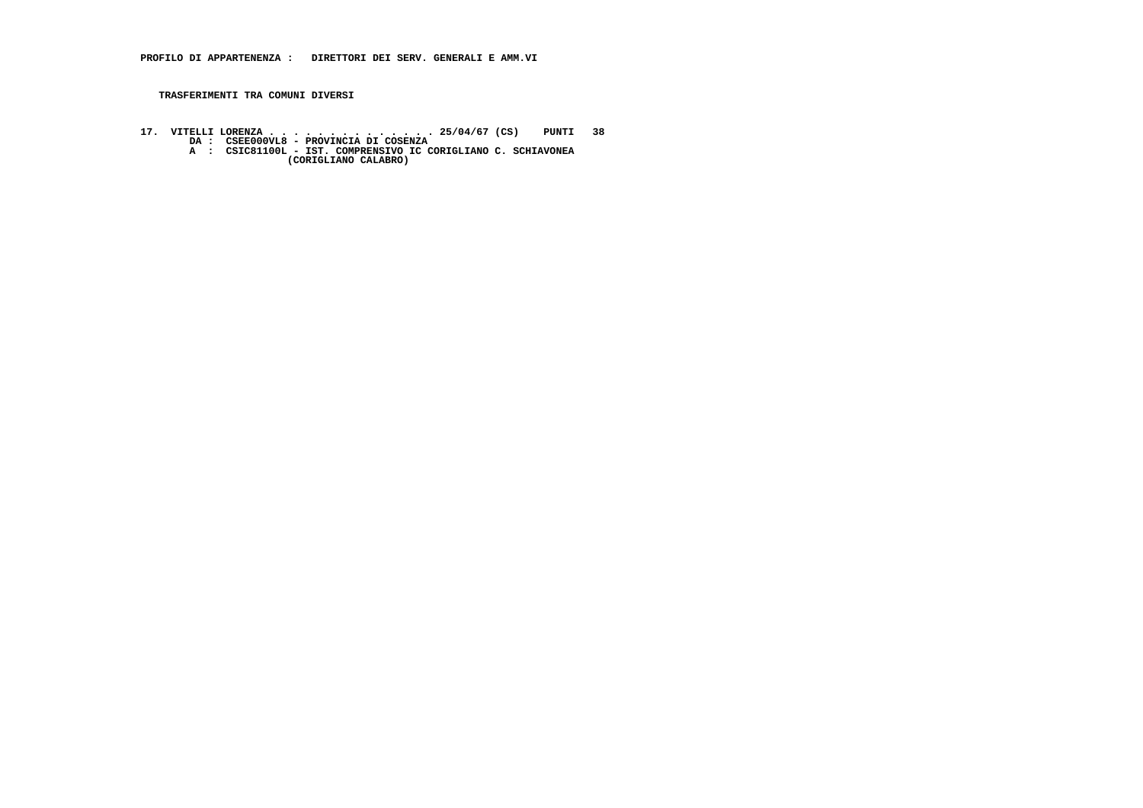**17. VITELLI LORENZA . . . . . . . . . . . . . . 25/04/67 (CS) PUNTI 38 DA : CSEE000VL8 - PROVINCIA DI COSENZA A : CSIC81100L - IST. COMPRENSIVO IC CORIGLIANO C. SCHIAVONEA (CORIGLIANO CALABRO)**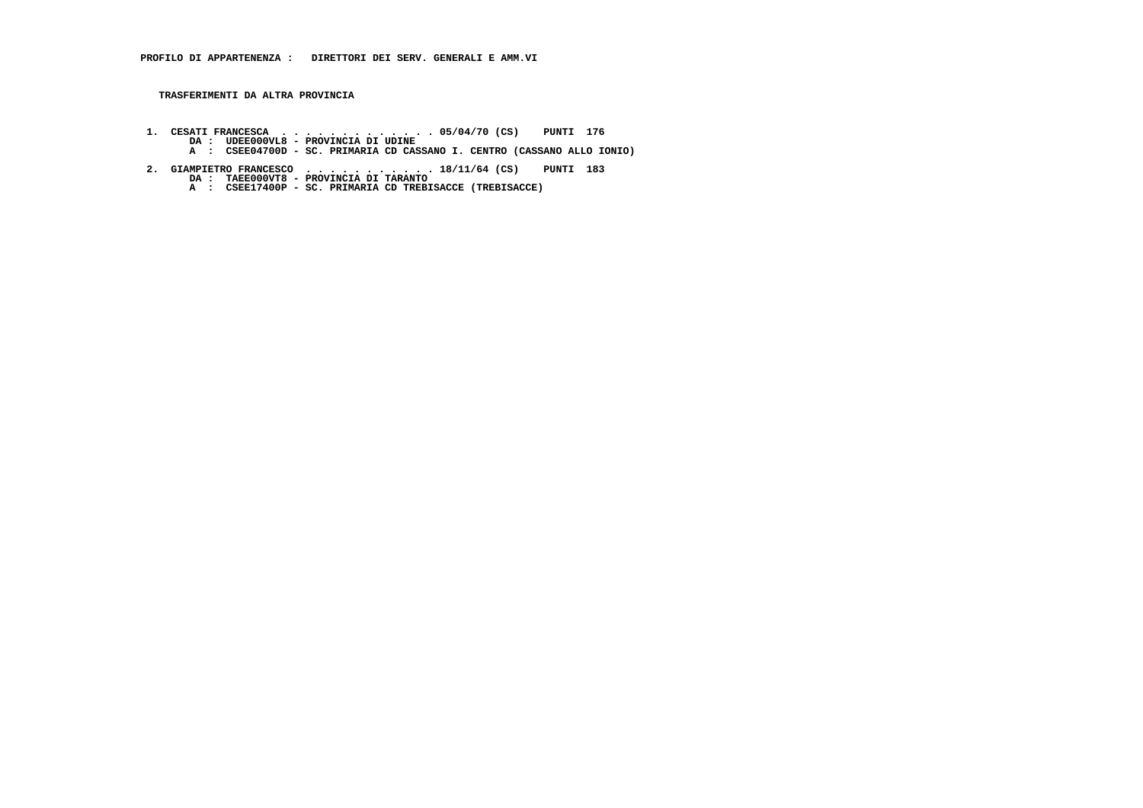**TRASFERIMENTI DA ALTRA PROVINCIA**

- **1. CESATI FRANCESCA . . . . . . . . . . . . . 05/04/70 (CS) PUNTI 176 DA : UDEE000VL8 PROVINCIA DI UDINE A : CSEE04700D SC. PRIMARIA CD CASSANO I. CENTRO (CASSANO ALLO IONIO)**
- **2. GIAMPIETRO FRANCESCO . . . . . . . . . . . 18/11/64 (CS) PUNTI 183 DA : TAEE000VT8 - PROVINCIA DI TARANTO A : CSEE17400P - SC. PRIMARIA CD TREBISACCE (TREBISACCE)**
	-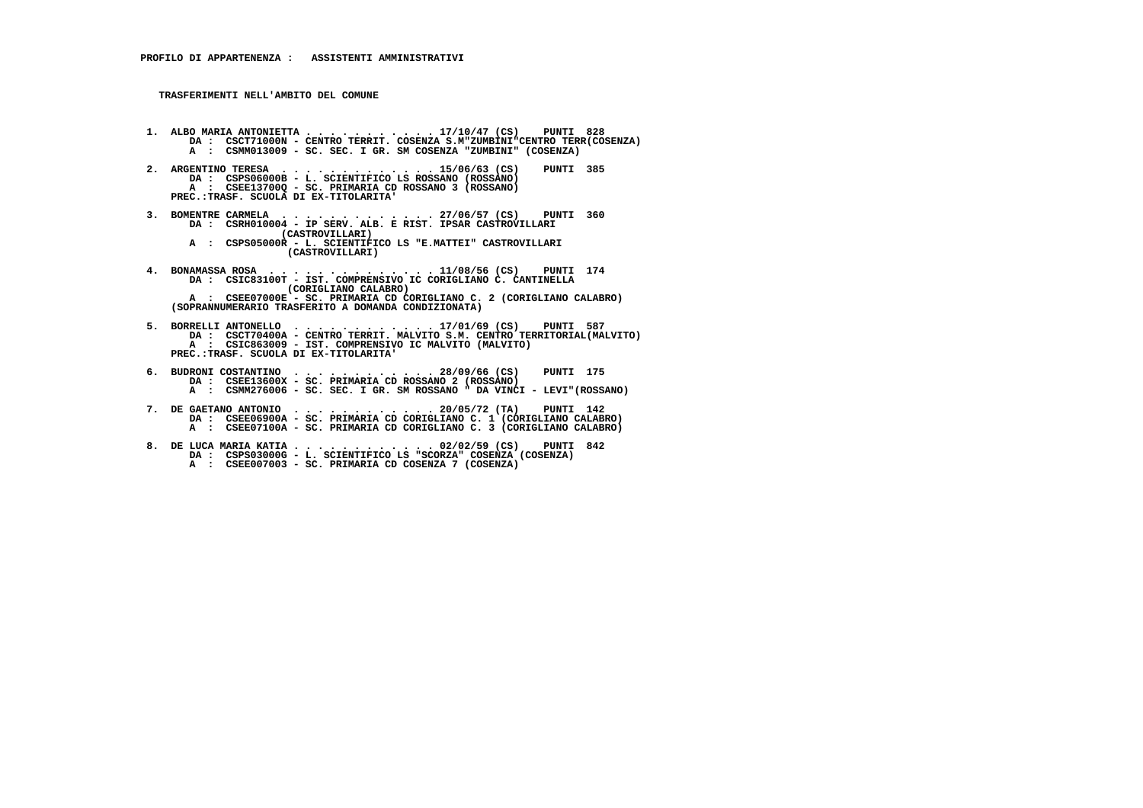- **1. ALBO MARIA ANTONIETTA . . . . . . . . . . . 17/10/47 (CS) PUNTI 828 DA : CSCT71000N CENTRO TERRIT. COSENZA S.M"ZUMBINI"CENTRO TERR(COSENZA) A : CSMM013009 - SC. SEC. I GR. SM COSENZA "ZUMBINI" (COSENZA)**
- **2. ARGENTINO TERESA . . . . . . . . . . . . . 15/06/63 (CS) PUNTI 385**DA : CSPS06000B - L. SCIENTIFICO LS ROSSANO (ROSSANO)  **A : CSEE13700Q - SC. PRIMARIA CD ROSSANO 3 (ROSSANO) PREC.:TRASF. SCUOLA DI EX-TITOLARITA'**
- **3. BOMENTRE CARMELA . . . . . . . . . . . . . 27/06/57 (CS) PUNTI 360 DA : CSRH010004 IP SERV. ALB. E RIST. IPSAR CASTROVILLARI (CASTROVILLARI) A : CSPS05000R - L. SCIENTIFICO LS "E.MATTEI" CASTROVILLARI**
	- **(CASTROVILLARI)**
- **4. BONAMASSA ROSA . . . . . . . . . . . . . . 11/08/56 (CS) PUNTI 174 DA : CSIC83100T - IST. COMPRENSIVO IC CORIGLIANO C. CANTINELLA (CORIGLIANO CALABRO) A : CSEE07000E - SC. PRIMARIA CD CORIGLIANO C. 2 (CORIGLIANO CALABRO)**
	- **(SOPRANNUMERARIO TRASFERITO A DOMANDA CONDIZIONATA)**
- **5. BORRELLI ANTONELLO . . . . . . . . . . . . 17/01/69 (CS) PUNTI 587 DA : CSCT70400A CENTRO TERRIT. MALVITO S.M. CENTRO TERRITORIAL(MALVITO) A : CSIC863009 - IST. COMPRENSIVO IC MALVITO (MALVITO) PREC.:TRASF. SCUOLA DI EX-TITOLARITA'**
- **6. BUDRONI COSTANTINO . . . . . . . . . . . . 28/09/66 (CS) PUNTI 175 DA : CSEE13600X SC. PRIMARIA CD ROSSANO 2 (ROSSANO) A : CSMM276006 - SC. SEC. I GR. SM ROSSANO " DA VINCI - LEVI"(ROSSANO)**
- **7. DE GAETANO ANTONIO . . . . . . . . . . . . 20/05/72 (TA) PUNTI 142 DA : CSEE06900A - SC. PRIMARIA CD CORIGLIANO C. 1 (CORIGLIANO CALABRO) A : CSEE07100A - SC. PRIMARIA CD CORIGLIANO C. 3 (CORIGLIANO CALABRO)**
- **8. DE LUCA MARIA KATIA . . . . . . . . . . . . 02/02/59 (CS) PUNTI 842 DA : CSPS03000G L. SCIENTIFICO LS "SCORZA" COSENZA (COSENZA) A : CSEE007003 - SC. PRIMARIA CD COSENZA 7 (COSENZA)**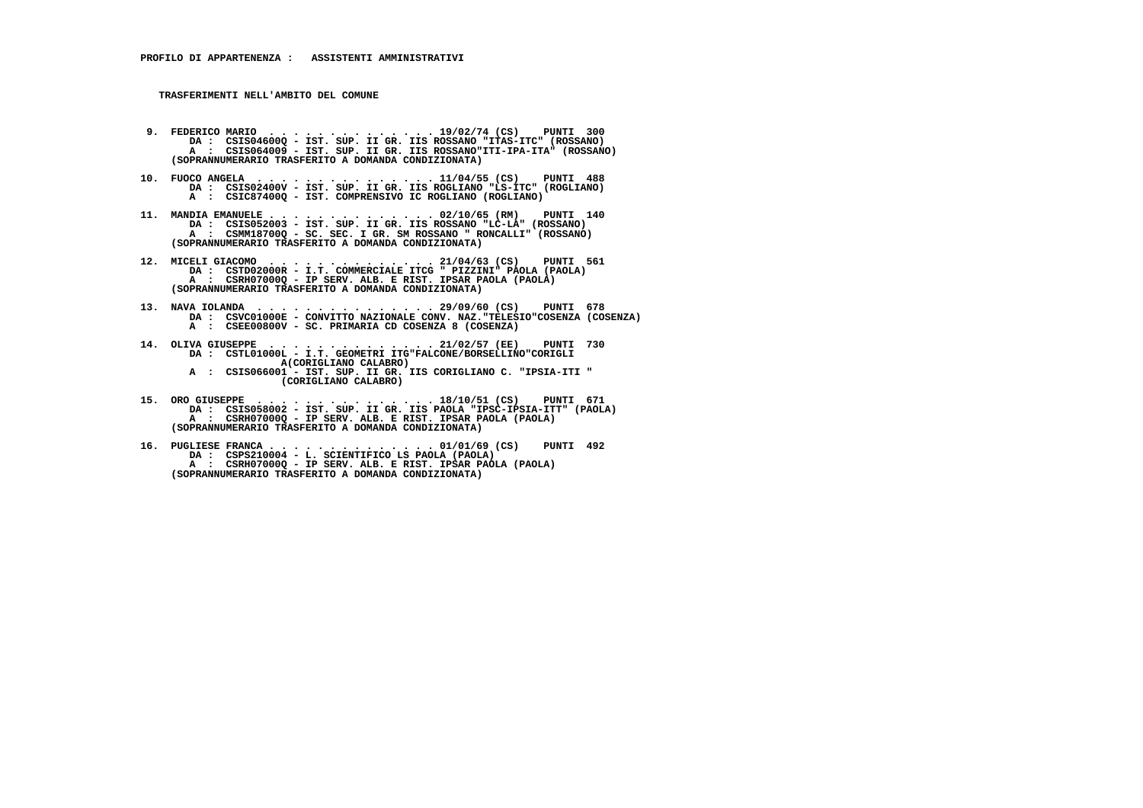- **9. FEDERICO MARIO . . . . . . . . . . . . . . 19/02/74 (CS) PUNTI 300 DA : CSIS04600Q IST. SUP. II GR. IIS ROSSANO "ITAS-ITC" (ROSSANO) A : CSIS064009 IST. SUP. II GR. IIS ROSSANO"ITI-IPA-ITA" (ROSSANO) (SOPRANNUMERARIO TRASFERITO A DOMANDA CONDIZIONATA)**
- **10. FUOCO ANGELA . . . . . . . . . . . . . . . 11/04/55 (CS) PUNTI 488 DA : CSIS02400V IST. SUP. II GR. IIS ROGLIANO "LS-ITC" (ROGLIANO) A : CSIC87400Q - IST. COMPRENSIVO IC ROGLIANO (ROGLIANO)**
- **11. MANDIA EMANUELE . . . . . . . . . . . . . . 02/10/65 (RM) PUNTI 140 DA : CSIS052003 IST. SUP. II GR. IIS ROSSANO "LC-LA" (ROSSANO) A : CSMM18700Q - SC. SEC. I GR. SM ROSSANO " RONCALLI" (ROSSANO) (SOPRANNUMERARIO TRASFERITO A DOMANDA CONDIZIONATA)**
- **12. MICELI GIACOMO . . . . . . . . . . . . . . 21/04/63 (CS) PUNTI 561 DA : CSTD02000R I.T. COMMERCIALE ITCG " PIZZINI" PAOLA (PAOLA) A : CSRH07000Q - IP SERV. ALB. E RIST. IPSAR PAOLA (PAOLA) (SOPRANNUMERARIO TRASFERITO A DOMANDA CONDIZIONATA)**
- **13. NAVA IOLANDA . . . . . . . . . . . . . . . 29/09/60 (CS) PUNTI 678 DA : CSVC01000E CONVITTO NAZIONALE CONV. NAZ."TELESIO"COSENZA (COSENZA) A : CSEE00800V - SC. PRIMARIA CD COSENZA 8 (COSENZA)**
- **14. OLIVA GIUSEPPE . . . . . . . . . . . . . . 21/02/57 (EE) PUNTI 730 DA : CSTL01000L I.T. GEOMETRI ITG"FALCONE/BORSELLINO"CORIGLI A(CORIGLIANO CALABRO) A : CSIS066001 - IST. SUP. II GR. IIS CORIGLIANO C. "IPSIA-ITI " (CORIGLIANO CALABRO)**
- **15. ORO GIUSEPPE . . . . . . . . . . . . . . . 18/10/51 (CS) PUNTI 671 DA : CSIS058002 IST. SUP. II GR. IIS PAOLA "IPSC-IPSIA-ITT" (PAOLA) A : CSRH07000Q - IP SERV. ALB. E RIST. IPSAR PAOLA (PAOLA) (SOPRANNUMERARIO TRASFERITO A DOMANDA CONDIZIONATA)**
- **16. PUGLIESE FRANCA . . . . . . . . . . . . . . 01/01/69 (CS) PUNTI 492 DA : CSPS210004 - L. SCIENTIFICO LS PAOLA (PAOLA) A : CSRH07000Q - IP SERV. ALB. E RIST. IPSAR PAOLA (PAOLA) (SOPRANNUMERARIO TRASFERITO A DOMANDA CONDIZIONATA)**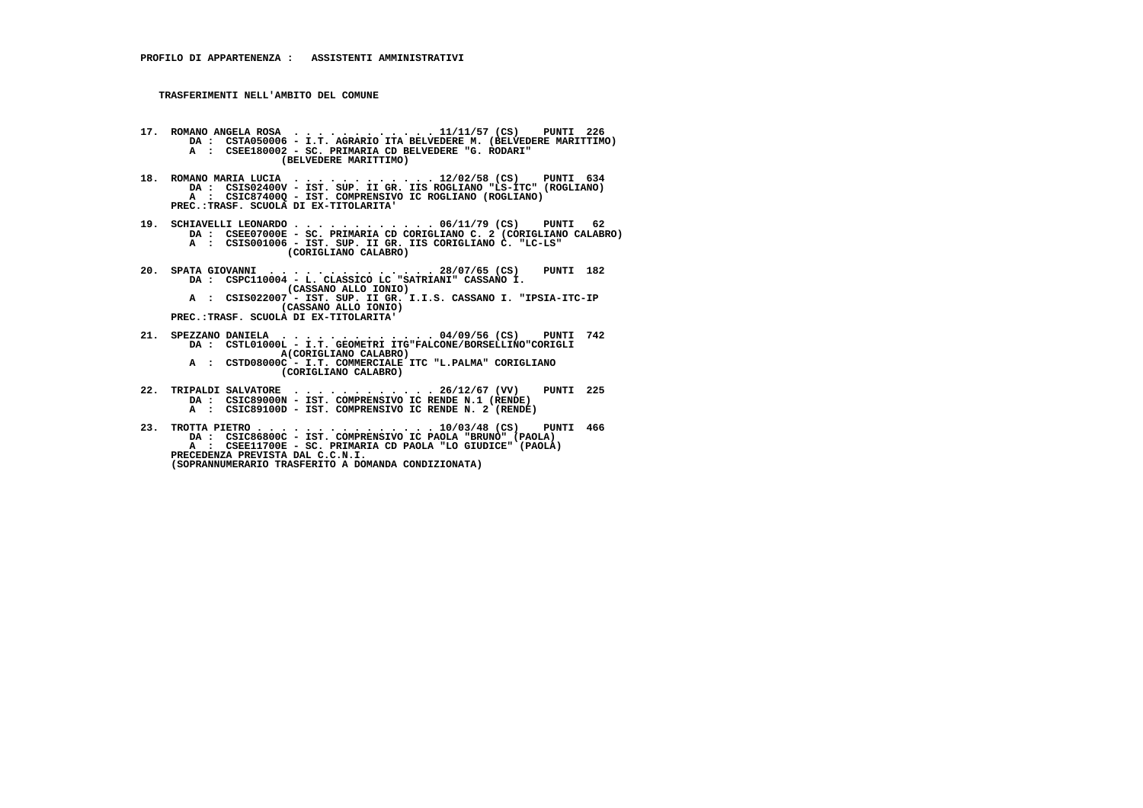- **17. ROMANO ANGELA ROSA . . . . . . . . . . . . 11/11/57 (CS) PUNTI 226 DA : CSTA050006 I.T. AGRARIO ITA BELVEDERE M. (BELVEDERE MARITTIMO) A : CSEE180002 - SC. PRIMARIA CD BELVEDERE "G. RODARI" (BELVEDERE MARITTIMO)**
- **18. ROMANO MARIA LUCIA . . . . . . . . . . . . 12/02/58 (CS) PUNTI 634 DA : CSIS02400V IST. SUP. II GR. IIS ROGLIANO "LS-ITC" (ROGLIANO) A : CSIC87400Q - IST. COMPRENSIVO IC ROGLIANO (ROGLIANO) PREC.:TRASF. SCUOLA DI EX-TITOLARITA'**
- **19. SCHIAVELLI LEONARDO . . . . . . . . . . . . 06/11/79 (CS) PUNTI 62 DA : CSEE07000E SC. PRIMARIA CD CORIGLIANO C. 2 (CORIGLIANO CALABRO) A : CSIS001006 - IST. SUP. II GR. IIS CORIGLIANO C. "LC-LS" (CORIGLIANO CALABRO)**
- **20. SPATA GIOVANNI . . . . . . . . . . . . . . 28/07/65 (CS) PUNTI 182 DA : CSPC110004 L. CLASSICO LC "SATRIANI" CASSANO I. (CASSANO ALLO IONIO)**
- **A : CSIS022007 IST. SUP. II GR. I.I.S. CASSANO I. "IPSIA-ITC-IP (CASSANO ALLO IONIO) PREC.:TRASF. SCUOLA DI EX-TITOLARITA'**

- **21. SPEZZANO DANIELA . . . . . . . . . . . . . 04/09/56 (CS) PUNTI 742 DA : CSTL01000L - I.T. GEOMETRI ITG"FALCONE/BORSELLINO"CORIGLI A(CORIGLIANO CALABRO)**
- **A : CSTD08000C I.T. COMMERCIALE ITC "L.PALMA" CORIGLIANO (CORIGLIANO CALABRO)**
- **22. TRIPALDI SALVATORE . . . . . . . . . . . . 26/12/67 (VV) PUNTI 225 DA : CSIC89000N IST. COMPRENSIVO IC RENDE N.1 (RENDE) A : CSIC89100D - IST. COMPRENSIVO IC RENDE N. 2 (RENDE)**
- **23. TROTTA PIETRO . . . . . . . . . . . . . . . 10/03/48 (CS) PUNTI 466 DA : CSIC86800C IST. COMPRENSIVO IC PAOLA "BRUNO" (PAOLA) A : CSEE11700E - SC. PRIMARIA CD PAOLA "LO GIUDICE" (PAOLA) PRECEDENZA PREVISTA DAL C.C.N.I. (SOPRANNUMERARIO TRASFERITO A DOMANDA CONDIZIONATA)**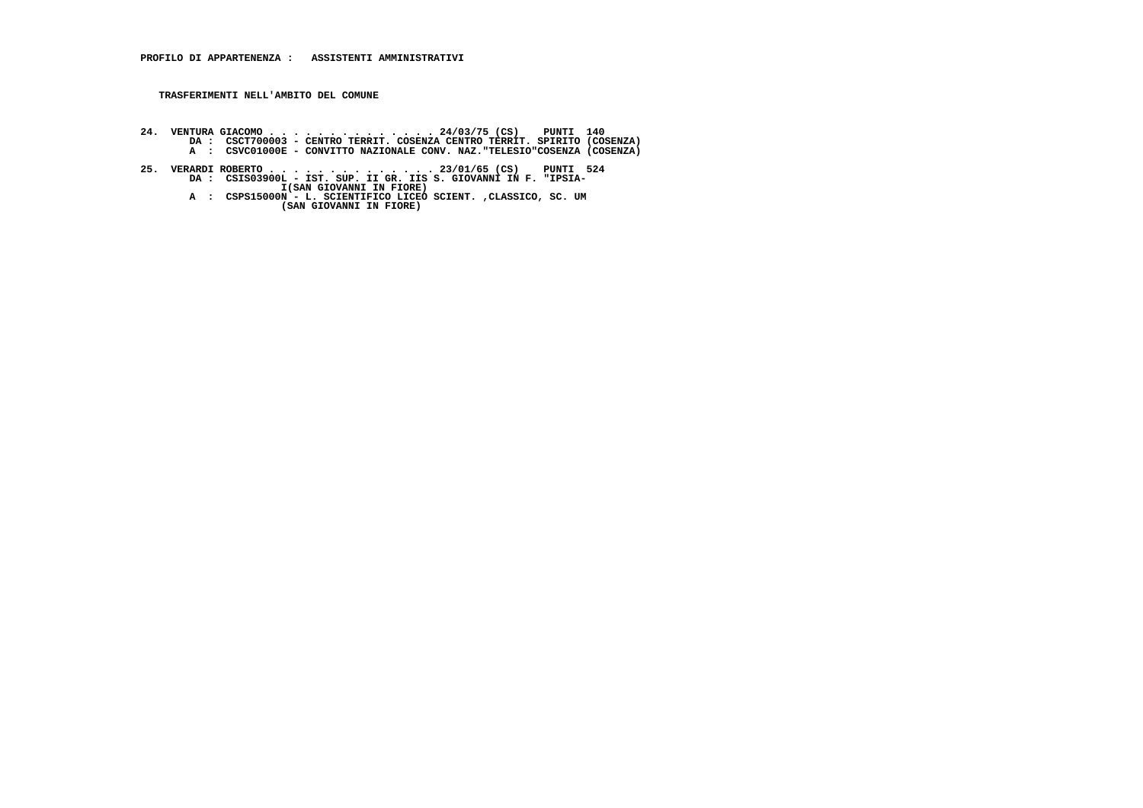- 24. VENTURA GIACOMO . . . . . . . . . . 24/03/75 (CS) PUNTI 140<br>DA : CSCT700003 CENTRO TERRIT. COSENZA CENTRO TERRIT. SPIRITO (COSENZA)<br>A : CSVC01000E CONVITTO NAZIONALE CONV. NAZ. TELESIO"COSENZA (COSENZA)
- **25. VERARDI ROBERTO . . . . . . . . . . . . . . 23/01/65 (CS) PUNTI 524 DA : CSIS03900L IST. SUP. II GR. IIS S. GIOVANNI IN F. "IPSIA- I(SAN GIOVANNI IN FIORE)**
- **A : CSPS15000N L. SCIENTIFICO LICEO SCIENT. ,CLASSICO, SC. UM (SAN GIOVANNI IN FIORE)**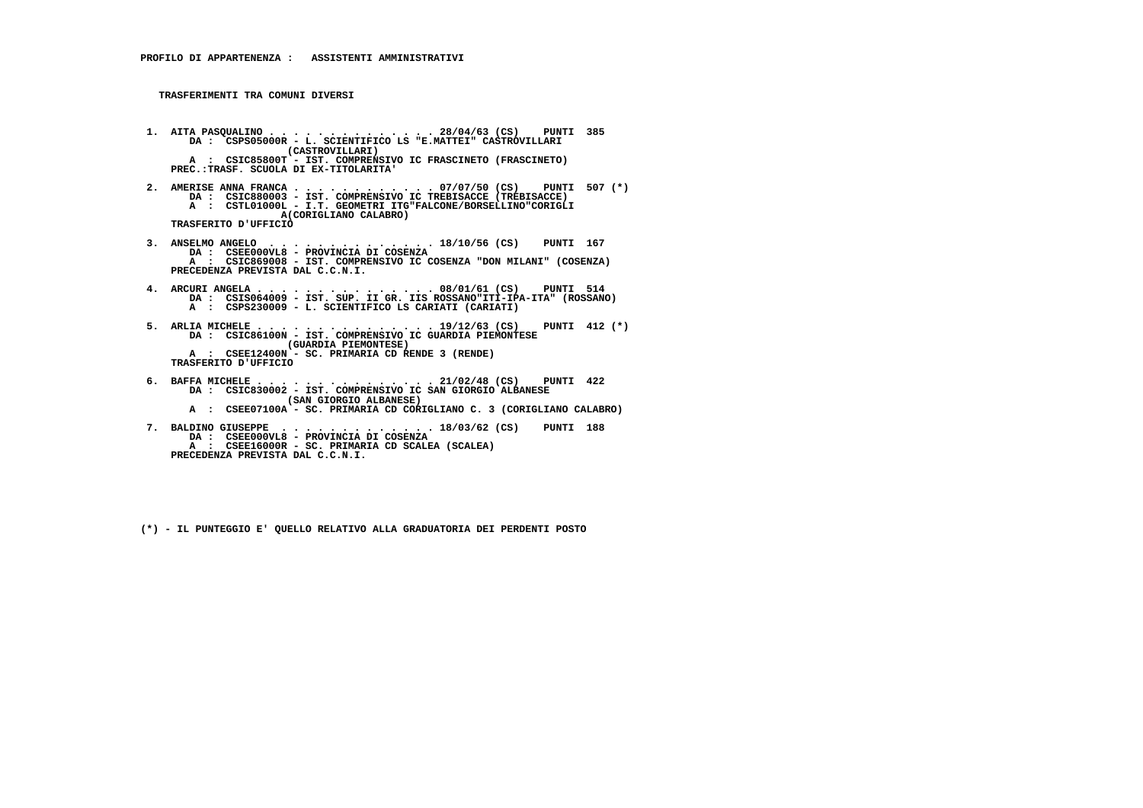- **1. AITA PASQUALINO . . . . . . . . . . . . . . 28/04/63 (CS) PUNTI 385 DA : CSPS05000R L. SCIENTIFICO LS "E.MATTEI" CASTROVILLARI (CASTROVILLARI) A : CSIC85800T - IST. COMPRENSIVO IC FRASCINETO (FRASCINETO) PREC.:TRASF. SCUOLA DI EX-TITOLARITA'**
- **2. AMERISE ANNA FRANCA . . . . . . . . . . . . 07/07/50 (CS) PUNTI 507 (\*) DA : CSIC880003 IST. COMPRENSIVO IC TREBISACCE (TREBISACCE) A : CSTL01000L - I.T. GEOMETRI ITG"FALCONE/BORSELLINO"CORIGLI A(CORIGLIANO CALABRO) TRASFERITO D'UFFICIO**
- **3. ANSELMO ANGELO . . . . . . . . . . . . . . 18/10/56 (CS) PUNTI 167 DA : CSEE000VL8 PROVINCIA DI COSENZA A : CSIC869008 - IST. COMPRENSIVO IC COSENZA "DON MILANI" (COSENZA) PRECEDENZA PREVISTA DAL C.C.N.I.**
- **4. ARCURI ANGELA . . . . . . . . . . . . . . . 08/01/61 (CS) PUNTI 514 DA : CSIS064009 - IST. SUP. II GR. IIS ROSSANO"ITI-IPA-ITA" (ROSSANO) A : CSPS230009 - L. SCIENTIFICO LS CARIATI (CARIATI)**
- **5. ARLIA MICHELE . . . . . . . . . . . . . . . 19/12/63 (CS) PUNTI 412 (\*) DA : CSIC86100N IST. COMPRENSIVO IC GUARDIA PIEMONTESE (GUARDIA PIEMONTESE) A : CSEE12400N - SC. PRIMARIA CD RENDE 3 (RENDE) TRASFERITO D'UFFICIO**
- **6. BAFFA MICHELE . . . . . . . . . . . . . . . 21/02/48 (CS) PUNTI 422 DA : CSIC830002 IST. COMPRENSIVO IC SAN GIORGIO ALBANESE (SAN GIORGIO ALBANESE) A : CSEE07100A - SC. PRIMARIA CD CORIGLIANO C. 3 (CORIGLIANO CALABRO)**
- **7. BALDINO GIUSEPPE . . . . . . . . . . . . . 18/03/62 (CS) PUNTI 188 DA : CSEE000VL8 PROVINCIA DI COSENZA A : CSEE16000R - SC. PRIMARIA CD SCALEA (SCALEA) PRECEDENZA PREVISTA DAL C.C.N.I.**
	- **(\*) IL PUNTEGGIO E' QUELLO RELATIVO ALLA GRADUATORIA DEI PERDENTI POSTO**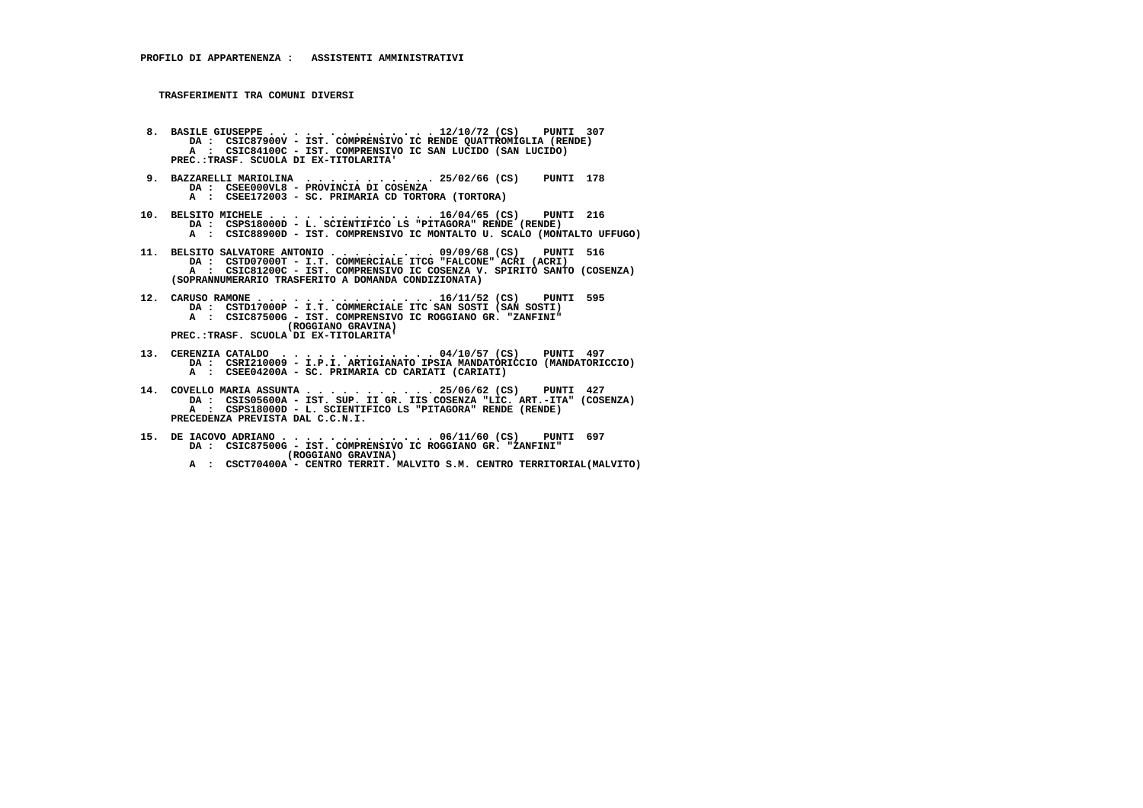- **8. BASILE GIUSEPPE . . . . . . . . . . . . . . 12/10/72 (CS) PUNTI 307 DA : CSIC87900V IST. COMPRENSIVO IC RENDE QUATTROMIGLIA (RENDE) A : CSIC84100C - IST. COMPRENSIVO IC SAN LUCIDO (SAN LUCIDO) PREC.:TRASF. SCUOLA DI EX-TITOLARITA'**
- **9. BAZZARELLI MARIOLINA . . . . . . . . . . . 25/02/66 (CS) PUNTI 178 DA : CSEE000VL8 - PROVINCIA DI COSENZA A : CSEE172003 - SC. PRIMARIA CD TORTORA (TORTORA)**
- **10. BELSITO MICHELE . . . . . . . . . . . . . . 16/04/65 (CS) PUNTI 216 DA : CSPS18000D L. SCIENTIFICO LS "PITAGORA" RENDE (RENDE) A : CSIC88900D - IST. COMPRENSIVO IC MONTALTO U. SCALO (MONTALTO UFFUGO)**
- **11. BELSITO SALVATORE ANTONIO . . . . . . . . . 09/09/68 (CS) PUNTI 516 DA : CSTD07000T - I.T. COMMERCIALE ITCG "FALCONE" ACRI (ACRI) A : CSIC81200C - IST. COMPRENSIVO IC COSENZA V. SPIRITO SANTO (COSENZA) (SOPRANNUMERARIO TRASFERITO A DOMANDA CONDIZIONATA)**
- **12. CARUSO RAMONE . . . . . . . . . . . . . . . 16/11/52 (CS) PUNTI 595 DA : CSTD17000P I.T. COMMERCIALE ITC SAN SOSTI (SAN SOSTI) A : CSIC87500G - IST. COMPRENSIVO IC ROGGIANO GR. "ZANFINI" (ROGGIANO GRAVINA) PREC.:TRASF. SCUOLA DI EX-TITOLARITA'**
- **13. CERENZIA CATALDO . . . . . . . . . . . . . 04/10/57 (CS) PUNTI 497 DA : CSRI210009 I.P.I. ARTIGIANATO IPSIA MANDATORICCIO (MANDATORICCIO) A : CSEE04200A - SC. PRIMARIA CD CARIATI (CARIATI)**
- **14. COVELLO MARIA ASSUNTA . . . . . . . . . . . 25/06/62 (CS) PUNTI 427 DA : CSIS05600A IST. SUP. II GR. IIS COSENZA "LIC. ART.-ITA" (COSENZA) A : CSPS18000D - L. SCIENTIFICO LS "PITAGORA" RENDE (RENDE) PRECEDENZA PREVISTA DAL C.C.N.I.**
- **15. DE IACOVO ADRIANO . . . . . . . . . . . . . 06/11/60 (CS) PUNTI 697 DA : CSIC87500G IST. COMPRENSIVO IC ROGGIANO GR. "ZANFINI" (ROGGIANO GRAVINA)**
- **A : CSCT70400A CENTRO TERRIT. MALVITO S.M. CENTRO TERRITORIAL(MALVITO)**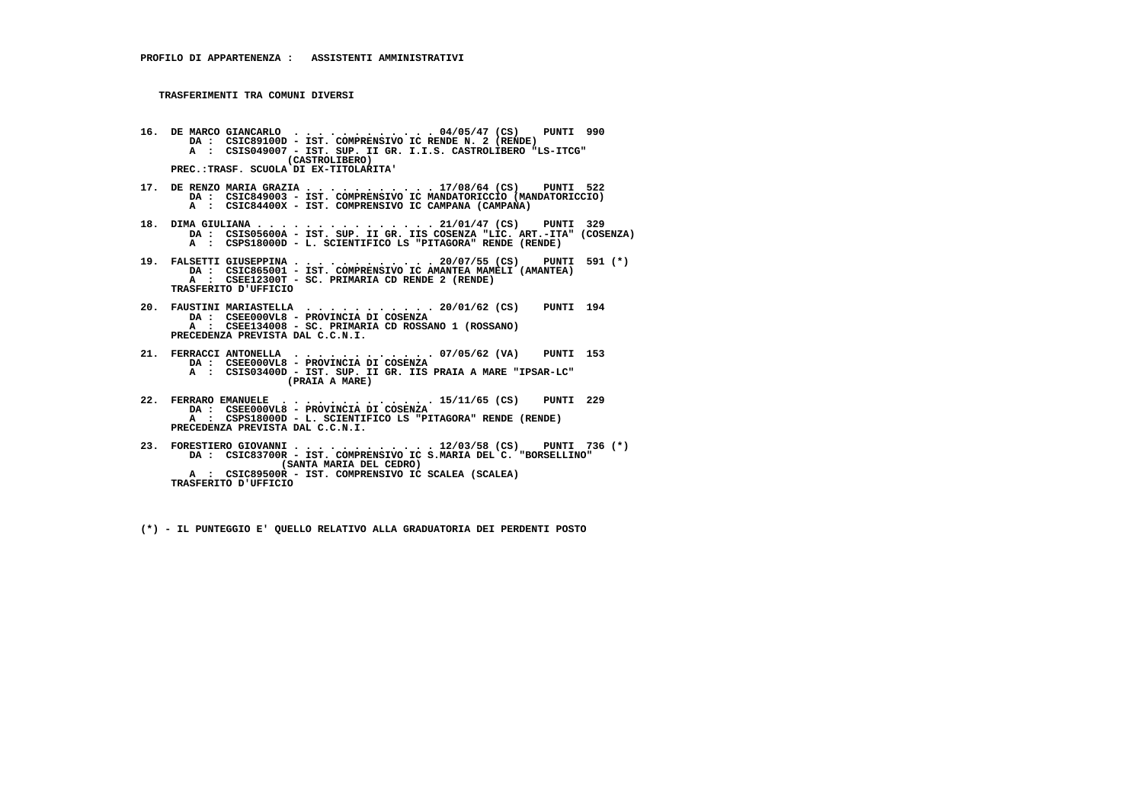- **16. DE MARCO GIANCARLO . . . . . . . . . . . . 04/05/47 (CS) PUNTI 990 DA : CSIC89100D IST. COMPRENSIVO IC RENDE N. 2 (RENDE) A : CSIS049007 - IST. SUP. II GR. I.I.S. CASTROLIBERO "LS-ITCG" (CASTROLIBERO) PREC.:TRASF. SCUOLA DI EX-TITOLARITA'**
- **17. DE RENZO MARIA GRAZIA . . . . . . . . . . . 17/08/64 (CS) PUNTI 522 DA : CSIC849003 IST. COMPRENSIVO IC MANDATORICCIO (MANDATORICCIO) A : CSIC84400X - IST. COMPRENSIVO IC CAMPANA (CAMPANA)**
- **18. DIMA GIULIANA . . . . . . . . . . . . . . . 21/01/47 (CS) PUNTI 329 DA : CSIS05600A - IST. SUP. II GR. IIS COSENZA "LIC. ART.-ITA" (COSENZA) A : CSPS18000D - L. SCIENTIFICO LS "PITAGORA" RENDE (RENDE)**
- **19. FALSETTI GIUSEPPINA . . . . . . . . . . . . 20/07/55 (CS) PUNTI 591 (\*) DA : CSIC865001 IST. COMPRENSIVO IC AMANTEA MAMELI (AMANTEA) A : CSEE12300T SC. PRIMARIA CD RENDE 2 (RENDE) TRASFERITO D'UFFICIO**
- **20. FAUSTINI MARIASTELLA . . . . . . . . . . . 20/01/62 (CS) PUNTI 194 DA : CSEE000VL8 PROVINCIA DI COSENZA A : CSEE134008 - SC. PRIMARIA CD ROSSANO 1 (ROSSANO) PRECEDENZA PREVISTA DAL C.C.N.I.**
- **21. FERRACCI ANTONELLA . . . . . . . . . . . . 07/05/62 (VA) PUNTI 153 DA : CSEE000VL8 PROVINCIA DI COSENZA A : CSIS03400D - IST. SUP. II GR. IIS PRAIA A MARE "IPSAR-LC" (PRAIA A MARE)**
- **22. FERRARO EMANUELE . . . . . . . . . . . . . 15/11/65 (CS) PUNTI 229 DA : CSEE000VL8 - PROVINCIA DI COSENZA A : CSPS18000D - L. SCIENTIFICO LS "PITAGORA" RENDE (RENDE) PRECEDENZA PREVISTA DAL C.C.N.I.**
- **23. FORESTIERO GIOVANNI . . . . . . . . . . . . 12/03/58 (CS) PUNTI 736 (\*) DA : CSIC83700R - IST. COMPRENSIVO IC S.MARIA DEL C. "BORSELLINO" (SANTA MARIA DEL CEDRO) A : CSIC89500R - IST. COMPRENSIVO IC SCALEA (SCALEA) TRASFERITO D'UFFICIO**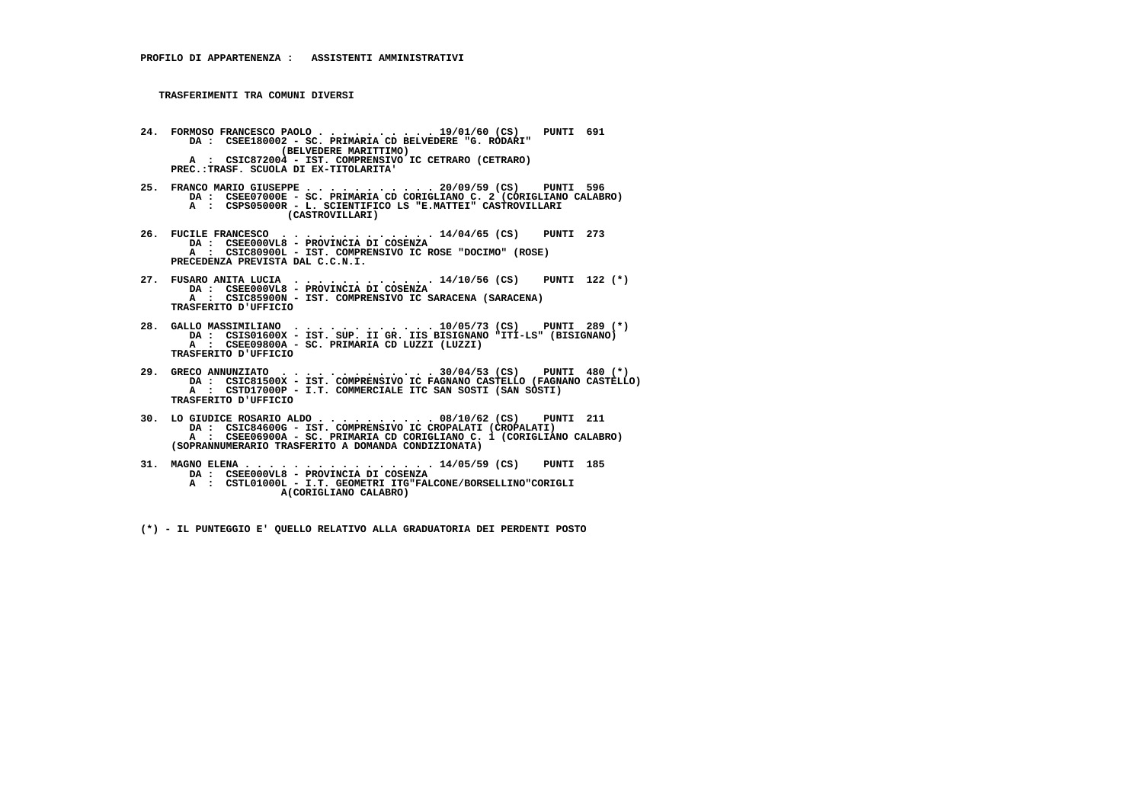- **24. FORMOSO FRANCESCO PAOLO . . . . . . . . . . 19/01/60 (CS) PUNTI 691 DA : CSEE180002 SC. PRIMARIA CD BELVEDERE "G. RODARI" (BELVEDERE MARITTIMO) A : CSIC872004 - IST. COMPRENSIVO IC CETRARO (CETRARO) PREC.:TRASF. SCUOLA DI EX-TITOLARITA'**
- **25. FRANCO MARIO GIUSEPPE . . . . . . . . . . . 20/09/59 (CS) PUNTI 596 DA : CSEE07000E SC. PRIMARIA CD CORIGLIANO C. 2 (CORIGLIANO CALABRO)A : CSPS05000R - L. SCIENTIFICO LS "E.MATTEI" CASTROVILLARI (CASTROVILLARI)**
- **26. FUCILE FRANCESCO . . . . . . . . . . . . . 14/04/65 (CS) PUNTI 273 DA : CSEE000VL8 - PROVINCIA DI COSENZA A : CSIC80900L - IST. COMPRENSIVO IC ROSE "DOCIMO" (ROSE) PRECEDENZA PREVISTA DAL C.C.N.I.**
- **27. FUSARO ANITA LUCIA . . . . . . . . . . . . 14/10/56 (CS) PUNTI 122 (\*) DA : CSEE000VL8 PROVINCIA DI COSENZA A : CSIC85900N - IST. COMPRENSIVO IC SARACENA (SARACENA) TRASFERITO D'UFFICIO**
- **28. GALLO MASSIMILIANO . . . . . . . . . . . . 10/05/73 (CS) PUNTI 289 (\*) DA : CSIS01600X IST. SUP. II GR. IIS BISIGNANO "ITI-LS" (BISIGNANO) A : CSEE09800A - SC. PRIMARIA CD LUZZI (LUZZI) TRASFERITO D'UFFICIO**
- **29. GRECO ANNUNZIATO . . . . . . . . . . . . . 30/04/53 (CS) PUNTI 480 (\*) DA : CSIC81500X IST. COMPRENSIVO IC FAGNANO CASTELLO (FAGNANO CASTELLO) A : CSTD17000P - I.T. COMMERCIALE ITC SAN SOSTI (SAN SOSTI) TRASFERITO D'UFFICIO**
- **30. LO GIUDICE ROSARIO ALDO . . . . . . . . . . 08/10/62 (CS) PUNTI 211 DA : CSIC84600G - IST. COMPRENSIVO IC CROPALATI (CROPALATI) A : CSEE06900A - SC. PRIMARIA CD CORIGLIANO C. 1 (CORIGLIANO CALABRO) (SOPRANNUMERARIO TRASFERITO A DOMANDA CONDIZIONATA)**
- **31. MAGNO ELENA . . . . . . . . . . . . . . . . 14/05/59 (CS) PUNTI 185 DA : CSEE000VL8 - PROVINCIA DI COSENZA A : CSTL01000L - I.T. GEOMETRI ITG"FALCONE/BORSELLINO"CORIGLI**
	- **A(CORIGLIANO CALABRO)**
	- **(\*) IL PUNTEGGIO E' QUELLO RELATIVO ALLA GRADUATORIA DEI PERDENTI POSTO**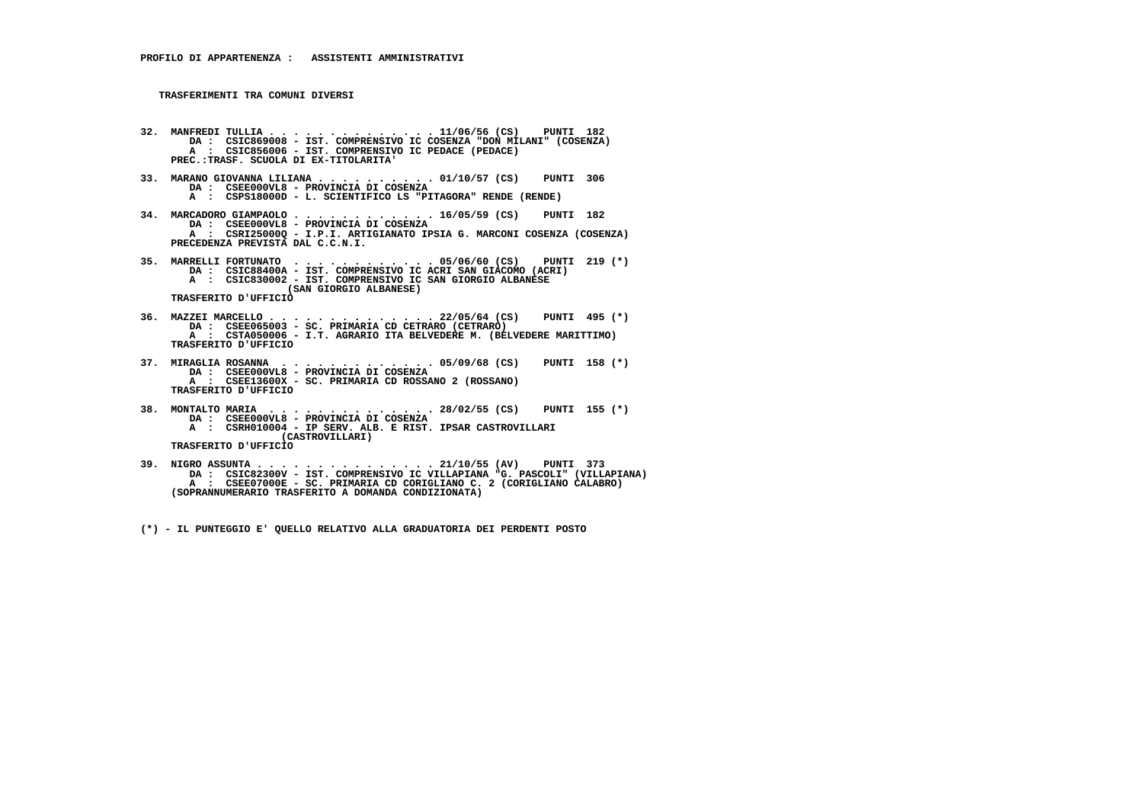- **32. MANFREDI TULLIA . . . . . . . . . . . . . . 11/06/56 (CS) PUNTI 182 DA : CSIC869008 IST. COMPRENSIVO IC COSENZA "DON MILANI" (COSENZA) A : CSIC856006 - IST. COMPRENSIVO IC PEDACE (PEDACE) PREC.:TRASF. SCUOLA DI EX-TITOLARITA'**
- **33. MARANO GIOVANNA LILIANA . . . . . . . . . . 01/10/57 (CS) PUNTI 306 DA : CSEE000VL8 PROVINCIA DI COSENZA A : CSPS18000D - L. SCIENTIFICO LS "PITAGORA" RENDE (RENDE)**
- **34. MARCADORO GIAMPAOLO . . . . . . . . . . . . 16/05/59 (CS) PUNTI 182 DA : CSEE000VL8 - PROVINCIA DI COSENZA A : CSRI25000Q - I.P.I. ARTIGIANATO IPSIA G. MARCONI COSENZA (COSENZA) PRECEDENZA PREVISTA DAL C.C.N.I.**
- **35. MARRELLI FORTUNATO . . . . . . . . . . . . 05/06/60 (CS) PUNTI 219 (\*) DA : CSIC88400A IST. COMPRENSIVO IC ACRI SAN GIACOMO (ACRI) A : CSIC830002 - IST. COMPRENSIVO IC SAN GIORGIO ALBANESE (SAN GIORGIO ALBANESE)**

 **TRASFERITO D'UFFICIO**

- **36. MAZZEI MARCELLO . . . . . . . . . . . . . . 22/05/64 (CS) PUNTI 495 (\*) DA : CSEE065003 SC. PRIMARIA CD CETRARO (CETRARO) A : CSTA050006 I.T. AGRARIO ITA BELVEDERE M. (BELVEDERE MARITTIMO) TRASFERITO D'UFFICIO**
- **37. MIRAGLIA ROSANNA . . . . . . . . . . . . . 05/09/68 (CS) PUNTI 158 (\*) DA : CSEE000VL8 - PROVINCIA DI COSENZA A : CSEE13600X - SC. PRIMARIA CD ROSSANO 2 (ROSSANO) TRASFERITO D'UFFICIO**
- **38. MONTALTO MARIA . . . . . . . . . . . . . . 28/02/55 (CS) PUNTI 155 (\*) DA : CSEE000VL8 - PROVINCIA DI COSENZA A : CSRH010004 - IP SERV. ALB. E RIST. IPSAR CASTROVILLARI**

 **(CASTROVILLARI) TRASFERITO D'UFFICIO**

 **39. NIGRO ASSUNTA . . . . . . . . . . . . . . . 21/10/55 (AV) PUNTI 373 DA : CSIC82300V - IST. COMPRENSIVO IC VILLAPIANA "G. PASCOLI" (VILLAPIANA) A : CSEE07000E - SC. PRIMARIA CD CORIGLIANO C. 2 (CORIGLIANO CALABRO) (SOPRANNUMERARIO TRASFERITO A DOMANDA CONDIZIONATA)**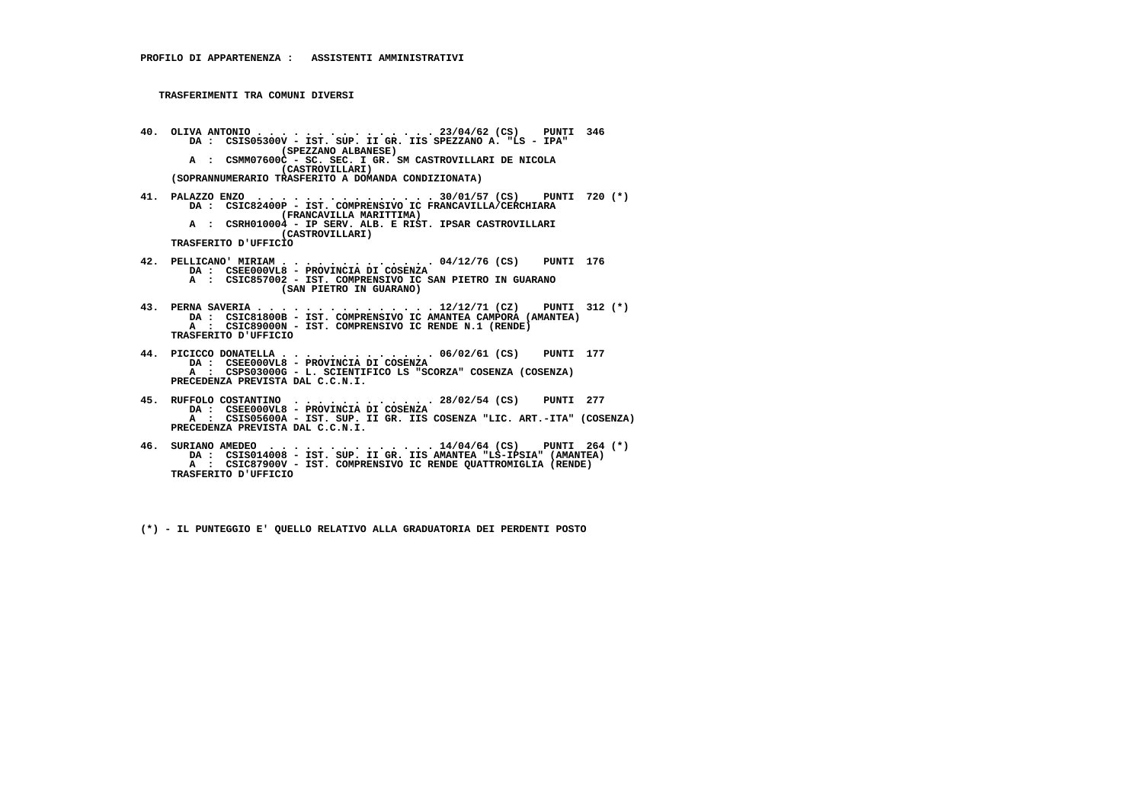- **40. OLIVA ANTONIO . . . . . . . . . . . . . . . 23/04/62 (CS) PUNTI 346 DA : CSIS05300V IST. SUP. II GR. IIS SPEZZANO A. "LS IPA" (SPEZZANO ALBANESE) A : CSMM07600C - SC. SEC. I GR. SM CASTROVILLARI DE NICOLA (CASTROVILLARI) (SOPRANNUMERARIO TRASFERITO A DOMANDA CONDIZIONATA)**
- **41. PALAZZO ENZO . . . . . . . . . . . . . . . 30/01/57 (CS) PUNTI 720 (\*) DA : CSIC82400P IST. COMPRENSIVO IC FRANCAVILLA/CERCHIARA (FRANCAVILLA MARITTIMA) A : CSRH010004 - IP SERV. ALB. E RIST. IPSAR CASTROVILLARI (CASTROVILLARI) TRASFERITO D'UFFICIO**
- **42. PELLICANO' MIRIAM . . . . . . . . . . . . . 04/12/76 (CS) PUNTI 176 DA : CSEE000VL8 PROVINCIA DI COSENZA A : CSIC857002 - IST. COMPRENSIVO IC SAN PIETRO IN GUARANO (SAN PIETRO IN GUARANO)**
- **43. PERNA SAVERIA . . . . . . . . . . . . . . . 12/12/71 (CZ) PUNTI 312 (\*) DA : CSIC81800B IST. COMPRENSIVO IC AMANTEA CAMPORA (AMANTEA) A : CSIC89000N - IST. COMPRENSIVO IC RENDE N.1 (RENDE) TRASFERITO D'UFFICIO**
- **44. PICICCO DONATELLA . . . . . . . . . . . . . 06/02/61 (CS) PUNTI 177 DA : CSEE000VL8 PROVINCIA DI COSENZA A : CSPS03000G - L. SCIENTIFICO LS "SCORZA" COSENZA (COSENZA) PRECEDENZA PREVISTA DAL C.C.N.I.**
- **45. RUFFOLO COSTANTINO . . . . . . . . . . . . 28/02/54 (CS) PUNTI 277 DA : CSEE000VL8 - PROVINCIA DI COSENZA A : CSIS05600A - IST. SUP. II GR. IIS COSENZA "LIC. ART.-ITA" (COSENZA) PRECEDENZA PREVISTA DAL C.C.N.I.**
- **46. SURIANO AMEDEO . . . . . . . . . . . . . . 14/04/64 (CS) PUNTI 264 (\*) DA : CSIS014008 IST. SUP. II GR. IIS AMANTEA "LS-IPSIA" (AMANTEA) A : CSIC87900V - IST. COMPRENSIVO IC RENDE QUATTROMIGLIA (RENDE) TRASFERITO D'UFFICIO**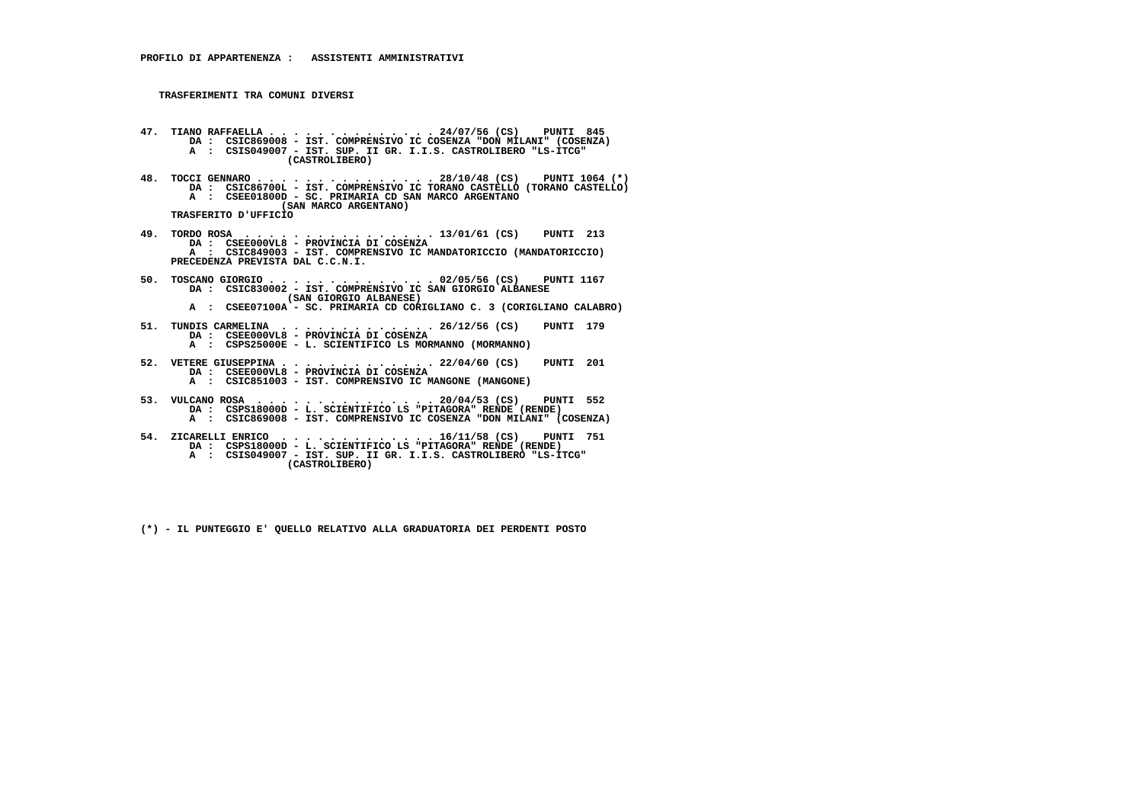- **47. TIANO RAFFAELLA . . . . . . . . . . . . . . 24/07/56 (CS) PUNTI 845 DA : CSIC869008 IST. COMPRENSIVO IC COSENZA "DON MILANI" (COSENZA) A : CSIS049007 - IST. SUP. II GR. I.I.S. CASTROLIBERO "LS-ITCG" (CASTROLIBERO)**
- **48. TOCCI GENNARO . . . . . . . . . . . . . . . 28/10/48 (CS) PUNTI 1064 (\*) DA : CSIC86700L IST. COMPRENSIVO IC TORANO CASTELLO (TORANO CASTELLO) A : CSEE01800D - SC. PRIMARIA CD SAN MARCO ARGENTANO (SAN MARCO ARGENTANO) TRASFERITO D'UFFICIO**
- **49. TORDO ROSA . . . . . . . . . . . . . . . . 13/01/61 (CS) PUNTI 213 DA : CSEE000VL8 - PROVINCIA DI COSENZA A : CSIC849003 - IST. COMPRENSIVO IC MANDATORICCIO (MANDATORICCIO) PRECEDENZA PREVISTA DAL C.C.N.I.**
- **50. TOSCANO GIORGIO . . . . . . . . . . . . . . 02/05/56 (CS) PUNTI 1167 DA : CSIC830002 IST. COMPRENSIVO IC SAN GIORGIO ALBANESE (SAN GIORGIO ALBANESE) A : CSEE07100A - SC. PRIMARIA CD CORIGLIANO C. 3 (CORIGLIANO CALABRO)**
- **51. TUNDIS CARMELINA . . . . . . . . . . . . . 26/12/56 (CS) PUNTI 179 DA : CSEE000VL8 PROVINCIA DI COSENZA**
- **A : CSPS25000E L. SCIENTIFICO LS MORMANNO (MORMANNO)**
- **52. VETERE GIUSEPPINA . . . . . . . . . . . . . 22/04/60 (CS) PUNTI 201 DA : CSEE000VL8 PROVINCIA DI COSENZA A : CSIC851003 - IST. COMPRENSIVO IC MANGONE (MANGONE)**
- **53. VULCANO ROSA . . . . . . . . . . . . . . . 20/04/53 (CS) PUNTI 552 DA : CSPS18000D L. SCIENTIFICO LS "PITAGORA" RENDE (RENDE) A : CSIC869008 - IST. COMPRENSIVO IC COSENZA "DON MILANI" (COSENZA)**
- **54. ZICARELLI ENRICO . . . . . . . . . . . . . 16/11/58 (CS) PUNTI 751 DA : CSPS18000D L. SCIENTIFICO LS "PITAGORA" RENDE (RENDE) A : CSIS049007 - IST. SUP. II GR. I.I.S. CASTROLIBERO "LS-ITCG" (CASTROLIBERO)**
	- **(\*) IL PUNTEGGIO E' QUELLO RELATIVO ALLA GRADUATORIA DEI PERDENTI POSTO**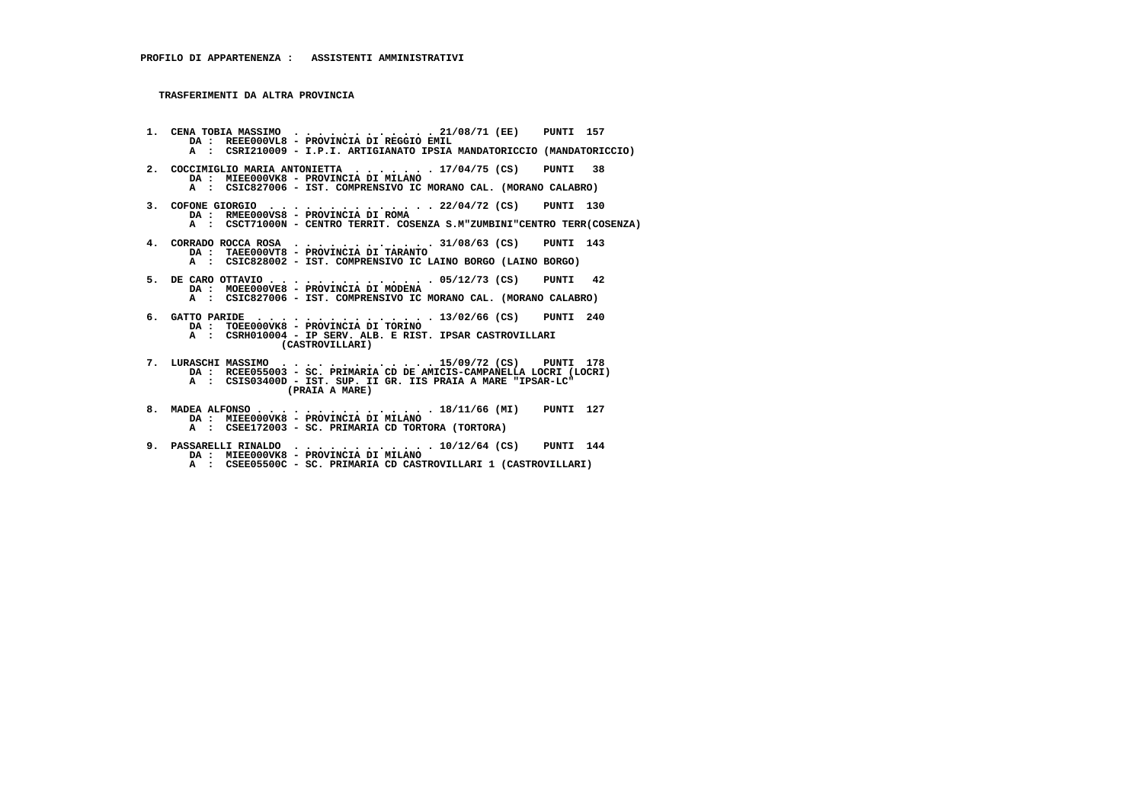**TRASFERIMENTI DA ALTRA PROVINCIA**

- **1. CENA TOBIA MASSIMO . . . . . . . . . . . . 21/08/71 (EE) PUNTI 157 DA : REEE000VL8 - PROVINCIA DI REGGIO EMIL A : CSRI210009 - I.P.I. ARTIGIANATO IPSIA MANDATORICCIO (MANDATORICCIO) 2. COCCIMIGLIO MARIA ANTONIETTA . . . . . . . 17/04/75 (CS) PUNTI 38 DA : MIEE000VK8 - PROVINCIA DI MILANO A : CSIC827006 - IST. COMPRENSIVO IC MORANO CAL. (MORANO CALABRO) 3. COFONE GIORGIO . . . . . . . . . . . . . . 22/04/72 (CS) PUNTI 130 DA : RMEE000VS8 - PROVINCIA DI ROMA A : CSCT71000N - CENTRO TERRIT. COSENZA S.M"ZUMBINI"CENTRO TERR(COSENZA) 4. CORRADO ROCCA ROSA . . . . . . . . . . . . 31/08/63 (CS) PUNTI 143 DA : TAEE000VT8 - PROVINCIA DI TARANTO A : CSIC828002 - IST. COMPRENSIVO IC LAINO BORGO (LAINO BORGO) 5. DE CARO OTTAVIO . . . . . . . . . . . . . . 05/12/73 (CS) PUNTI 42 DA : MOEE000VE8 - PROVINCIA DI MODENA A : CSIC827006 - IST. COMPRENSIVO IC MORANO CAL. (MORANO CALABRO) 6. GATTO PARIDE . . . . . . . . . . . . . . . 13/02/66 (CS) PUNTI 240 DA : TOEE000VK8 - PROVINCIA DI TORINO A : CSRH010004 - IP SERV. ALB. E RIST. IPSAR CASTROVILLARI (CASTROVILLARI) 7. LURASCHI MASSIMO . . . . . . . . . . . . . 15/09/72 (CS) PUNTI 178 DA : RCEE055003 - SC. PRIMARIA CD DE AMICIS-CAMPANELLA LOCRI (LOCRI) A : CSIS03400D - IST. SUP. II GR. IIS PRAIA A MARE "IPSAR-LC" (PRAIA A MARE) 8. MADEA ALFONSO . . . . . . . . . . . . . . . 18/11/66 (MI) PUNTI 127 DA : MIEE000VK8 - PROVINCIA DI MILANO**
- **A : CSEE172003 SC. PRIMARIA CD TORTORA (TORTORA)**
	- **9. PASSARELLI RINALDO . . . . . . . . . . . . 10/12/64 (CS) PUNTI 144 DA : MIEE000VK8 - PROVINCIA DI MILANO**
- **A : CSEE05500C SC. PRIMARIA CD CASTROVILLARI 1 (CASTROVILLARI)**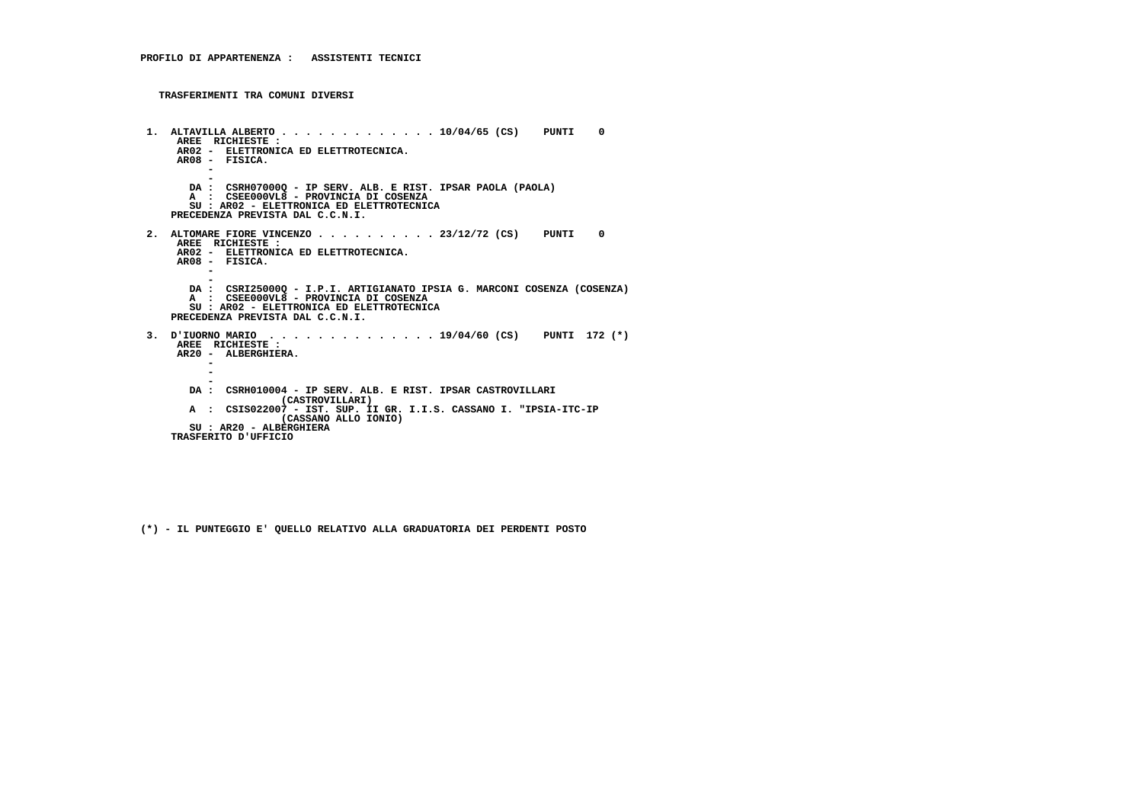```
 1. ALTAVILLA ALBERTO . . . . . . . . . . . . . 10/04/65 (CS) PUNTI 0 AREE RICHIESTE :
AR02 - ELETTRONICA ED ELETTROTECNICA.
AR08 - FISICA. - -
DA : CSRH07000Q - IP SERV. ALB. E RIST. IPSAR PAOLA (PAOLA) A : CSEE000VL8 - PROVINCIA DI COSENZA
SU : AR02 - ELETTRONICA ED ELETTROTECNICA PRECEDENZA PREVISTA DAL C.C.N.I. 2. ALTOMARE FIORE VINCENZO . . . . . . . . . . 23/12/72 (CS) PUNTI 0 AREE RICHIESTE :
AR02 - ELETTRONICA ED ELETTROTECNICA. AR08 - FISICA. - -
DA : CSRI25000Q - I.P.I. ARTIGIANATO IPSIA G. MARCONI COSENZA (COSENZA) A : CSEE000VL8 - PROVINCIA DI COSENZA
SU : AR02 - ELETTRONICA ED ELETTROTECNICA PRECEDENZA PREVISTA DAL C.C.N.I. 3. D'IUORNO MARIO . . . . . . . . . . . . . . 19/04/60 (CS) PUNTI 172 (*) AREE RICHIESTE :
AR20 - ALBERGHIERA. -\mathbf{r} - -
DA : CSRH010004 - IP SERV. ALB. E RIST. IPSAR CASTROVILLARI (CASTROVILLARI)
A : CSIS022007 - IST. SUP. II GR. I.I.S. CASSANO I. "IPSIA-ITC-IP (CASSANO ALLO IONIO) SU : AR20 - ALBERGHIERA TRASFERITO D'UFFICIO
```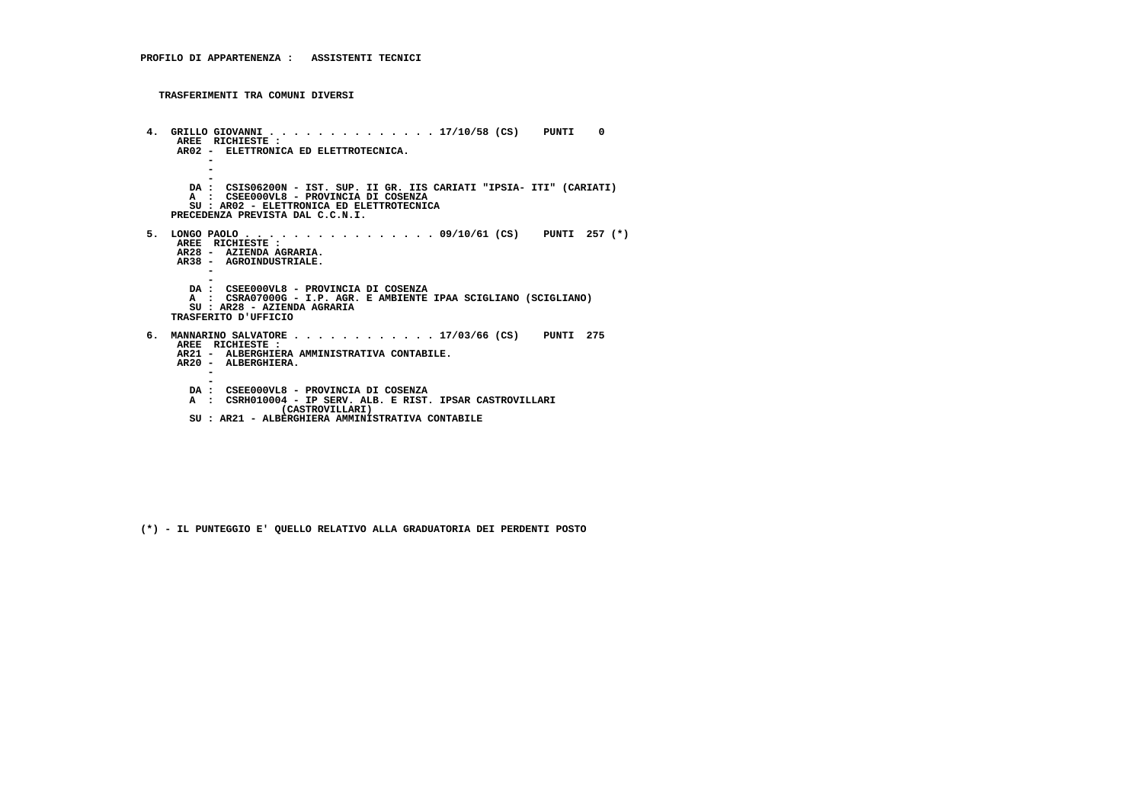```
 4. GRILLO GIOVANNI . . . . . . . . . . . . . . 17/10/58 (CS) PUNTI 0 AREE RICHIESTE :
AR02 - ELETTRONICA ED ELETTROTECNICA. - - -
DA : CSIS06200N - IST. SUP. II GR. IIS CARIATI "IPSIA- ITI" (CARIATI) A : CSEE000VL8 - PROVINCIA DI COSENZA
SU : AR02 - ELETTRONICA ED ELETTROTECNICA PRECEDENZA PREVISTA DAL C.C.N.I. 5. LONGO PAOLO . . . . . . . . . . . . . . . . 09/10/61 (CS) PUNTI 257 (*) AREE RICHIESTE :
AR28 - AZIENDA AGRARIA.
AR38 - AGROINDUSTRIALE. - -
DA : CSEE000VL8 - PROVINCIA DI COSENZA
A : CSRA07000G - I.P. AGR. E AMBIENTE IPAA SCIGLIANO (SCIGLIANO) SU : AR28 - AZIENDA AGRARIA TRASFERITO D'UFFICIO 6. MANNARINO SALVATORE . . . . . . . . . . . . 17/03/66 (CS) PUNTI 275 AREE RICHIESTE :
AR21 - ALBERGHIERA AMMINISTRATIVA CONTABILE.
AR20 - ALBERGHIERA. - -
DA : CSEE000VL8 - PROVINCIA DI COSENZA
A : CSRH010004 - IP SERV. ALB. E RIST. IPSAR CASTROVILLARI (CASTROVILLARI)
SU : AR21 - ALBERGHIERA AMMINISTRATIVA CONTABILE
```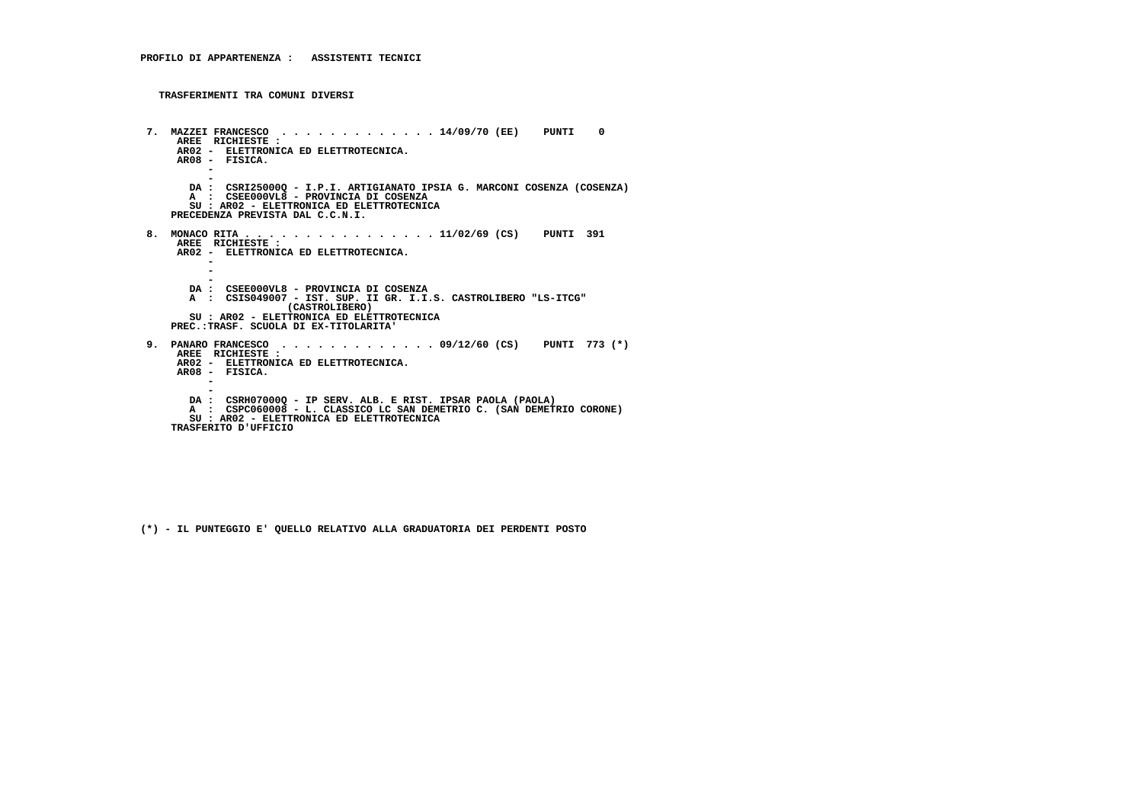```
 7. MAZZEI FRANCESCO . . . . . . . . . . . . . 14/09/70 (EE) PUNTI 0 AREE RICHIESTE :
AR02 - ELETTRONICA ED ELETTROTECNICA.
AR08 - FISICA. - -
DA : CSRI25000Q - I.P.I. ARTIGIANATO IPSIA G. MARCONI COSENZA (COSENZA) A : CSEE000VL8 - PROVINCIA DI COSENZA
SU : AR02 - ELETTRONICA ED ELETTROTECNICA PRECEDENZA PREVISTA DAL C.C.N.I. 8. MONACO RITA . . . . . . . . . . . . . . . . 11/02/69 (CS) PUNTI 391 AREE RICHIESTE :
AR02 - ELETTRONICA ED ELETTROTECNICA. -\sim - -
DA : CSEE000VL8 - PROVINCIA DI COSENZA
A : CSIS049007 - IST. SUP. II GR. I.I.S. CASTROLIBERO "LS-ITCG" (CASTROLIBERO)
SU : AR02 - ELETTRONICA ED ELETTROTECNICA PREC.:TRASF. SCUOLA DI EX-TITOLARITA' 9. PANARO FRANCESCO . . . . . . . . . . . . . 09/12/60 (CS) PUNTI 773 (*) AREE RICHIESTE :
AR02 - ELETTRONICA ED ELETTROTECNICA.
AR08 - FISICA. - -
DA : CSRH07000Q - IP SERV. ALB. E RIST. IPSAR PAOLA (PAOLA)
A : CSPC060008 - L. CLASSICO LC SAN DEMETRIO C. (SAN DEMETRIO CORONE) SU : AR02 - ELETTRONICA ED ELETTROTECNICA TRASFERITO D'UFFICIO
```

```
 (*) - IL PUNTEGGIO E' QUELLO RELATIVO ALLA GRADUATORIA DEI PERDENTI POSTO
```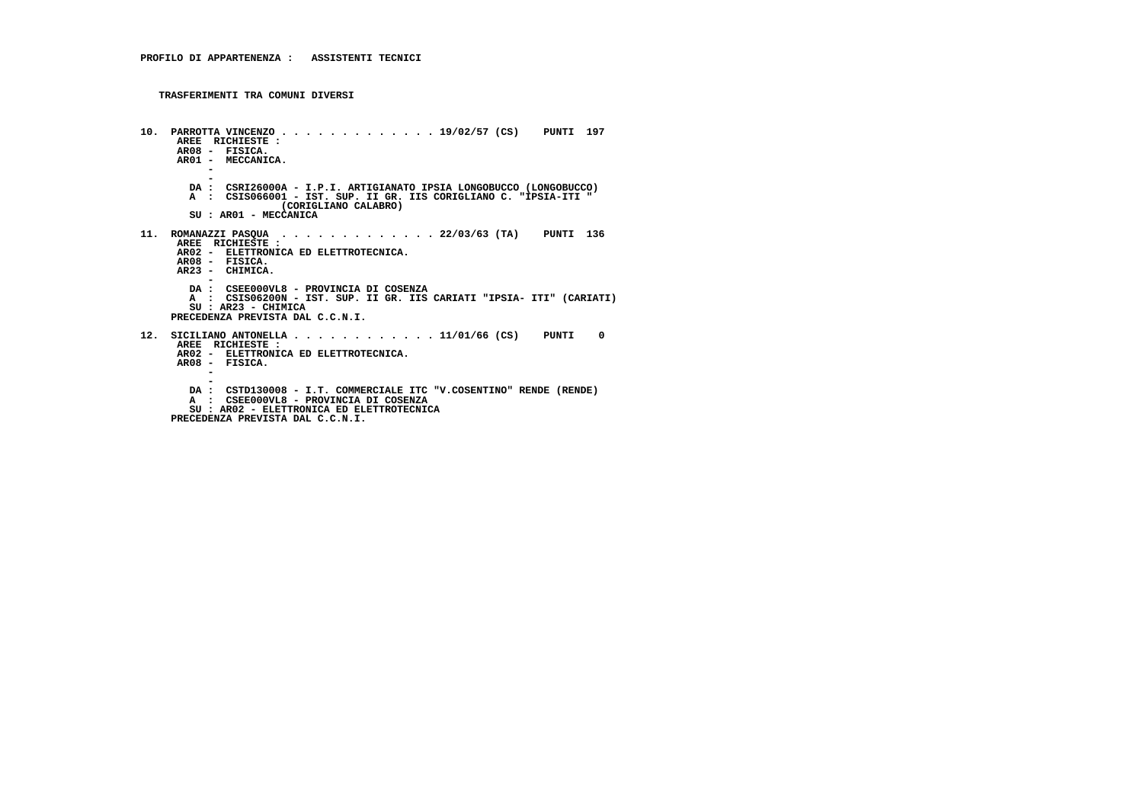```
 10. PARROTTA VINCENZO . . . . . . . . . . . . . 19/02/57 (CS) PUNTI 197 AREE RICHIESTE :
AR08 - FISICA.
AR01 - MECCANICA. - -
DA : CSRI26000A - I.P.I. ARTIGIANATO IPSIA LONGOBUCCO (LONGOBUCCO)
A : CSIS066001 - IST. SUP. II GR. IIS CORIGLIANO C. "IPSIA-ITI " (CORIGLIANO CALABRO) SU : AR01 - MECCANICA 11. ROMANAZZI PASQUA . . . . . . . . . . . . . 22/03/63 (TA) PUNTI 136 AREE RICHIESTE :
AR02 - ELETTRONICA ED ELETTROTECNICA. AR08 - FISICA.
AR23 - CHIMICA. -
DA : CSEE000VL8 - PROVINCIA DI COSENZA
A : CSIS06200N - IST. SUP. II GR. IIS CARIATI "IPSIA- ITI" (CARIATI) SU : AR23 - CHIMICA
PRECEDENZA PREVISTA DAL C.C.N.I. 12. SICILIANO ANTONELLA . . . . . . . . . . . . 11/01/66 (CS) PUNTI 0 AREE RICHIESTE :
AR02 - ELETTRONICA ED ELETTROTECNICA.
AR08 - FISICA. - -
DA : CSTD130008 - I.T. COMMERCIALE ITC "V.COSENTINO" RENDE (RENDE) A : CSEE000VL8 - PROVINCIA DI COSENZA
SU : AR02 - ELETTRONICA ED ELETTROTECNICA PRECEDENZA PREVISTA DAL C.C.N.I.
```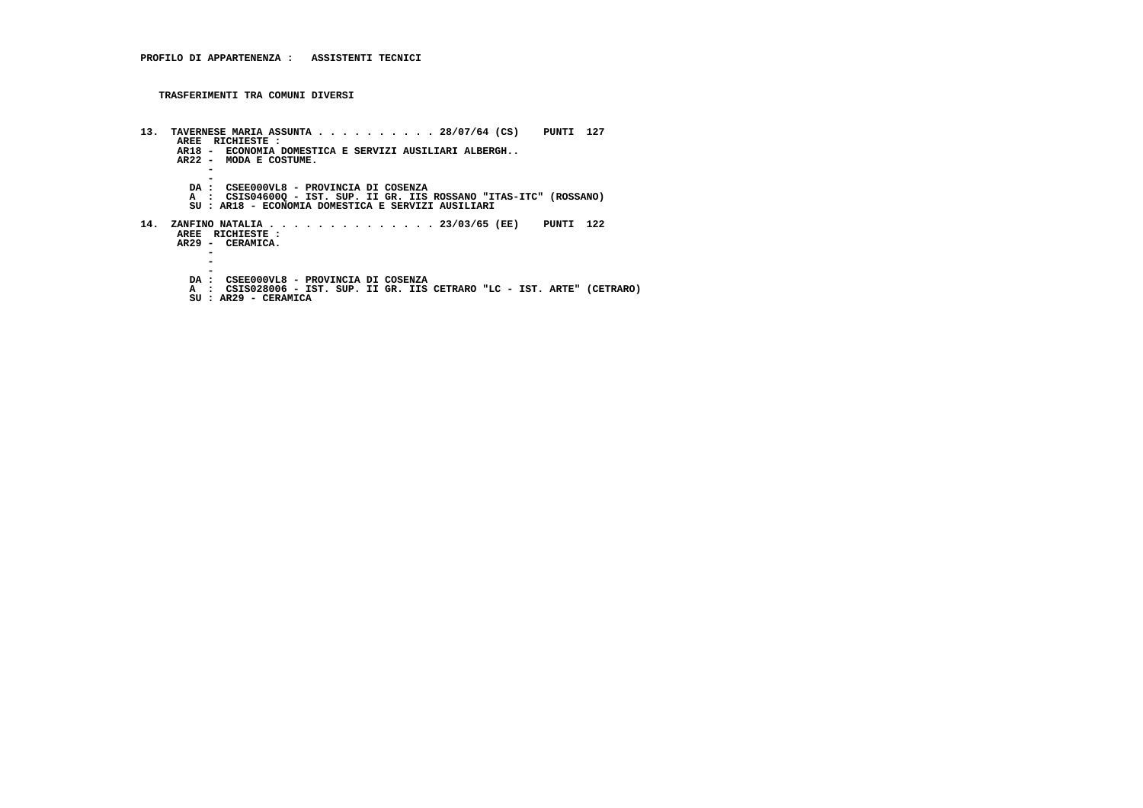```
 13. TAVERNESE MARIA ASSUNTA . . . . . . . . . . 28/07/64 (CS) PUNTI 127 AREE RICHIESTE :
AR18 - ECONOMIA DOMESTICA E SERVIZI AUSILIARI ALBERGH..
AR22 - MODA E COSTUME. - -
DA : CSEE000VL8 - PROVINCIA DI COSENZA
A : CSIS04600Q - IST. SUP. II GR. IIS ROSSANO "ITAS-ITC" (ROSSANO)
SU : AR18 - ECONOMIA DOMESTICA E SERVIZI AUSILIARI 14. ZANFINO NATALIA . . . . . . . . . . . . . . 23/03/65 (EE) PUNTI 122
AREE RICHIESTE :
AR29 - CERAMICA. - -\overline{\phantom{a}} -
DA : CSEE000VL8 - PROVINCIA DI COSENZA
A : CSIS028006 - IST. SUP. II GR. IIS CETRARO "LC - IST. ARTE" (CETRARO) SU : AR29 - CERAMICA
```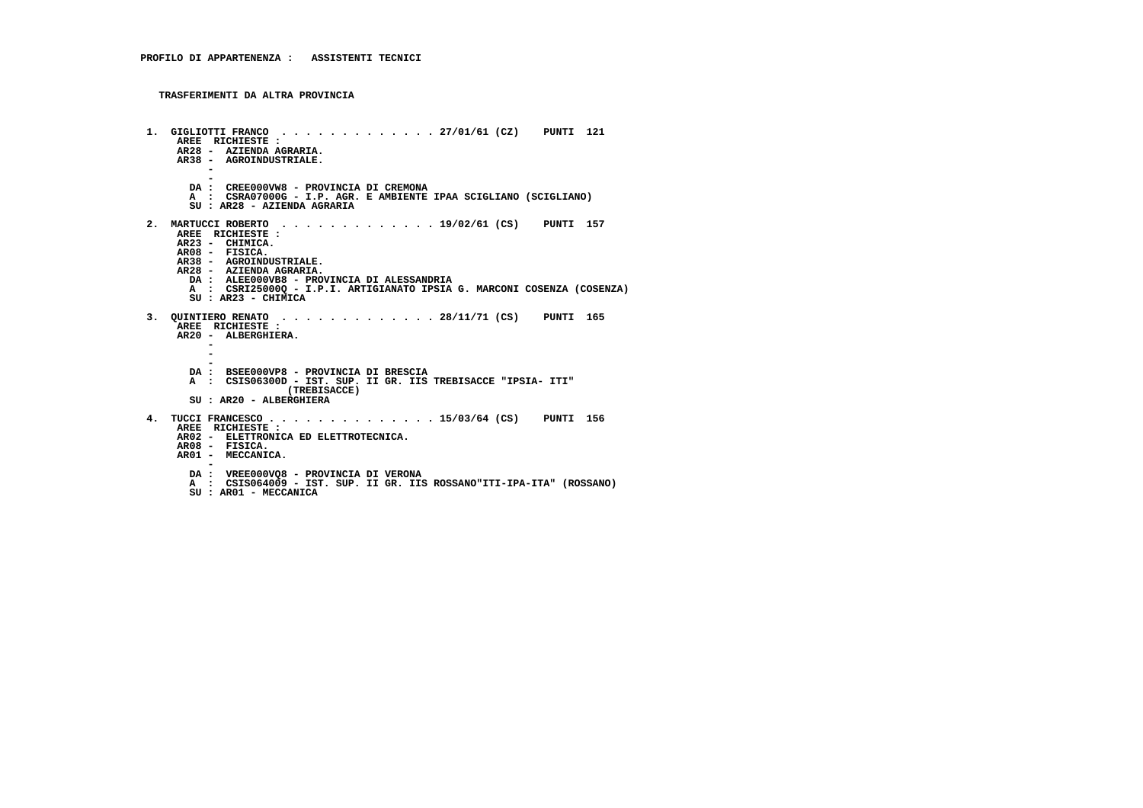**TRASFERIMENTI DA ALTRA PROVINCIA**

```
 1. GIGLIOTTI FRANCO . . . . . . . . . . . . . 27/01/61 (CZ) PUNTI 121 AREE RICHIESTE :
AR28 - AZIENDA AGRARIA.
AR38 - AGROINDUSTRIALE. - -
DA : CREE000VW8 - PROVINCIA DI CREMONA
A : CSRA07000G - I.P. AGR. E AMBIENTE IPAA SCIGLIANO (SCIGLIANO) SU : AR28 - AZIENDA AGRARIA 2. MARTUCCI ROBERTO . . . . . . . . . . . . . 19/02/61 (CS) PUNTI 157 AREE RICHIESTE : AR23 - CHIMICA.
AR08 - FISICA.
AR38 - AGROINDUSTRIALE.
AR28 - AZIENDA AGRARIA.
DA : ALEE000VB8 - PROVINCIA DI ALESSANDRIA
A : CSRI25000Q - I.P.I. ARTIGIANATO IPSIA G. MARCONI COSENZA (COSENZA) SU : AR23 - CHIMICA 3. QUINTIERO RENATO . . . . . . . . . . . . . 28/11/71 (CS) PUNTI 165 AREE RICHIESTE :
AR20 - ALBERGHIERA. -\overline{\phantom{a}} - -
DA : BSEE000VP8 - PROVINCIA DI BRESCIA
A : CSIS06300D - IST. SUP. II GR. IIS TREBISACCE "IPSIA- ITI" (TREBISACCE) SU : AR20 - ALBERGHIERA 4. TUCCI FRANCESCO . . . . . . . . . . . . . . 15/03/64 (CS) PUNTI 156 AREE RICHIESTE :
AR02 - ELETTRONICA ED ELETTROTECNICA. AR08 - FISICA.
AR01 - MECCANICA. -
DA : VREE000VQ8 - PROVINCIA DI VERONA
A : CSIS064009 - IST. SUP. II GR. IIS ROSSANO"ITI-IPA-ITA" (ROSSANO) SU : AR01 - MECCANICA
```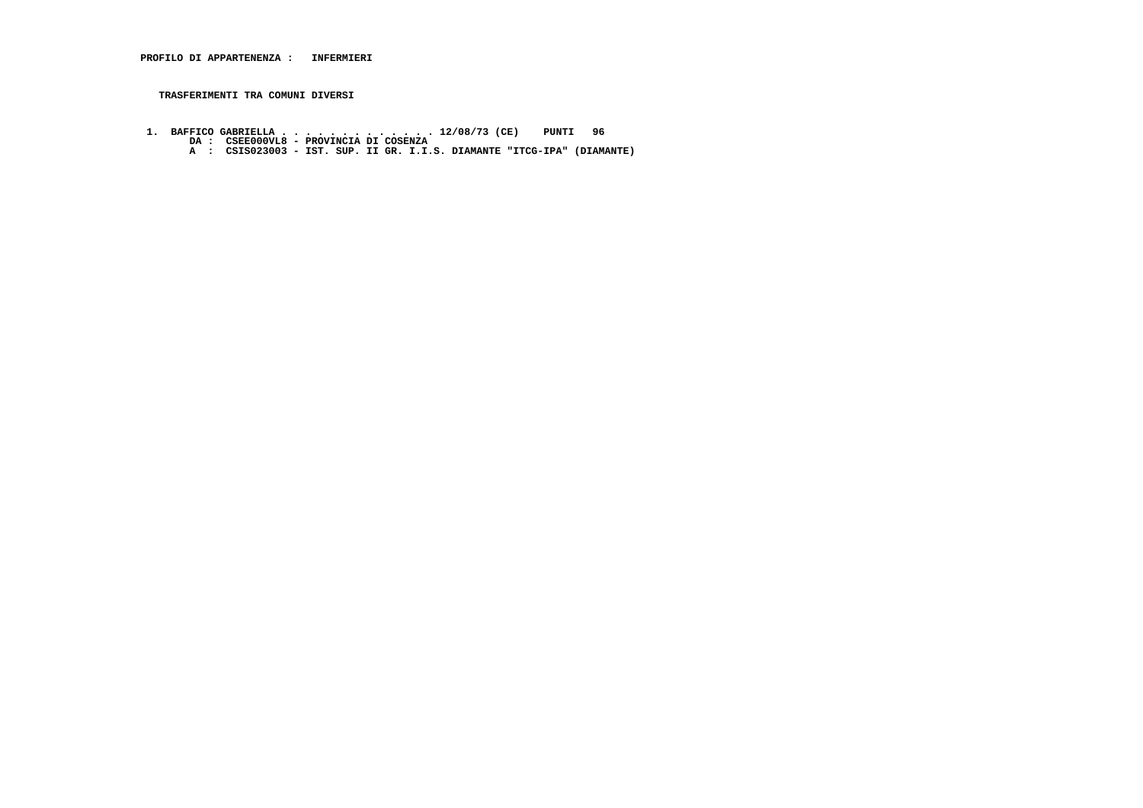- **1. BAFFICO GABRIELLA . . . . . . . . . . . . . 12/08/73 (CE) PUNTI 96 DA : CSEE000VL8 PROVINCIA DI COSENZA A : CSIS023003 IST. SUP. II GR. I.I.S. DIAMANTE "ITCG-IPA" (DIAMANTE)**
	-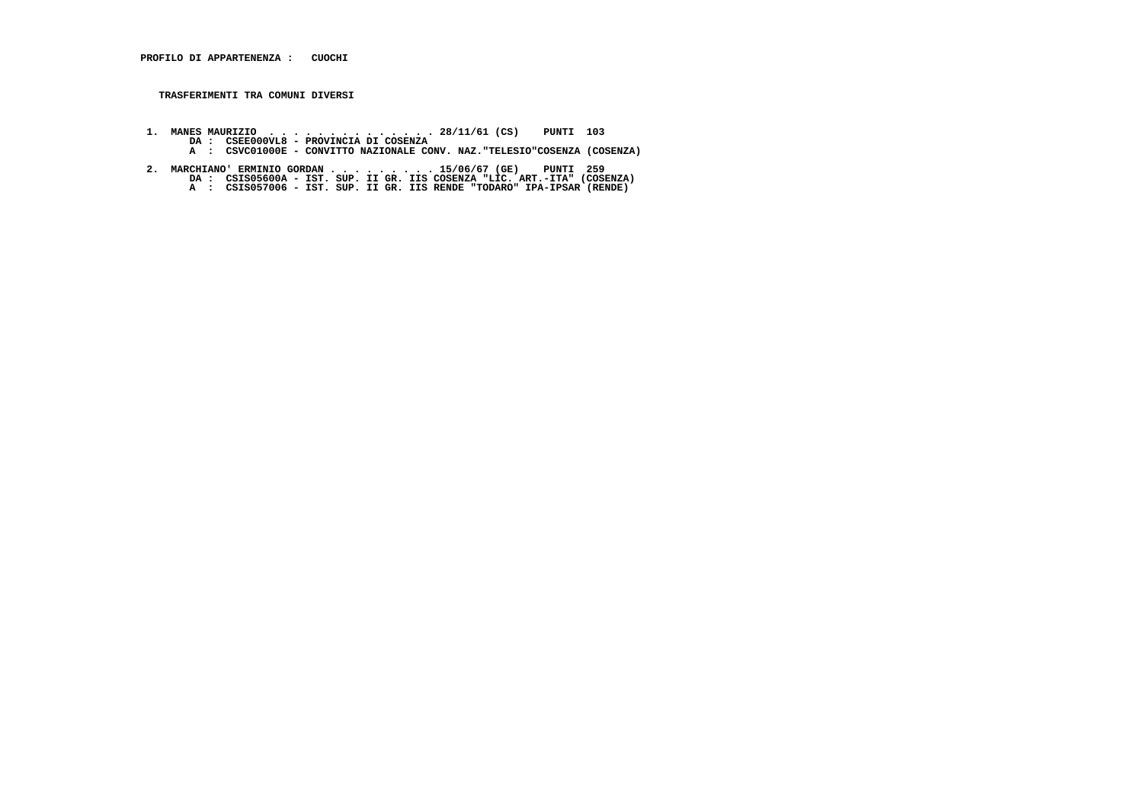- **1. MANES MAURIZIO . . . . . . . . . . . . . . 28/11/61 (CS) PUNTI 103 DA : CSEE000VL8 PROVINCIA DI COSENZA A : CSVC01000E CONVITTO NAZIONALE CONV. NAZ."TELESIO"COSENZA (COSENZA)**
- 2. MARCHIANO' ERMINIO GORDAN . . . . . . . . . 15/06/67 (GE) PUNTI 259<br>DA : CSISO5600A IST. SUP. II GR. IIS COSENZA "LIC. ART.-ITA" (COSENZA)<br>A : CSISO57006 IST. SUP. II GR. IIS RENDE "TODARO" IPA-IPSAR (RENDE)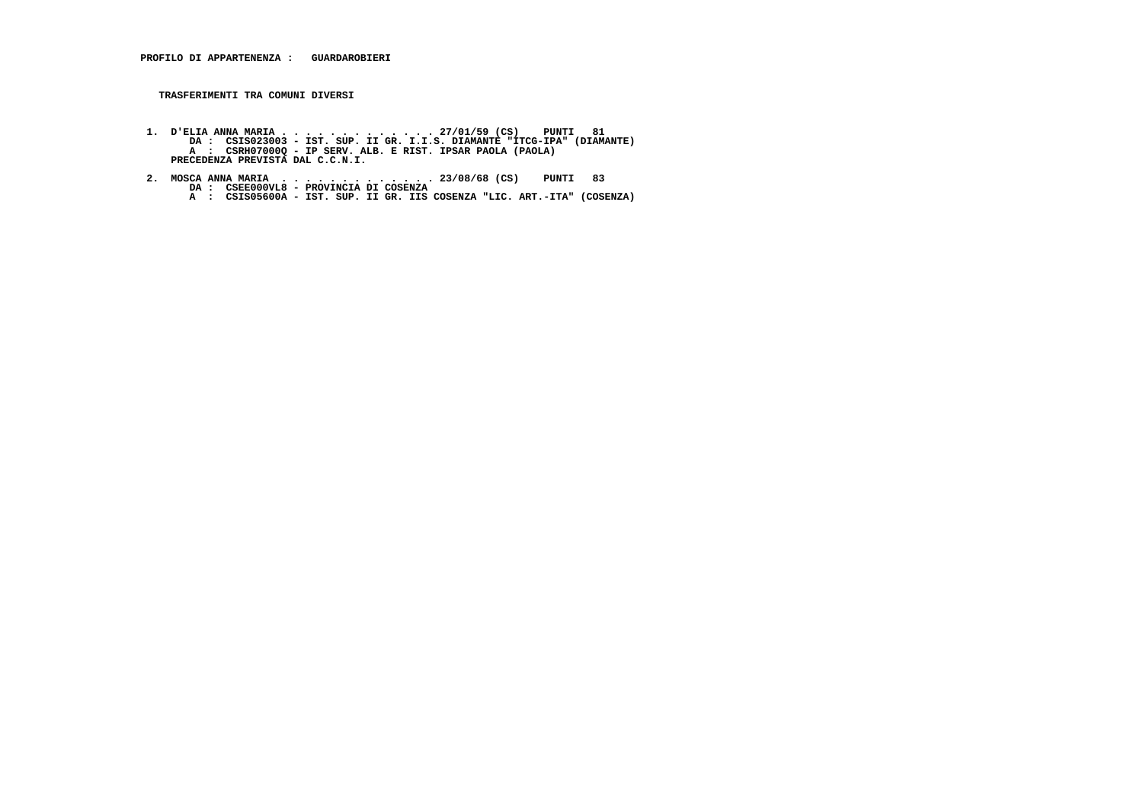- 1. D'ELIA ANNA MARIA . . . . . . . . . . . . . . 27/01/59 (CS) PUNTI 81<br>DA : CSISO23003 IST. SUP. II GR. I.I.S. DIAMANTE "ITCG-IPA" (DIAMANTE)<br>A : CSRHO70000 IP SERV. ALB. E RIST. IPSAR PAOLA (PAOLA)<br>PRECEDENZA PREVIST
- 2. MOSCA ANNA MARIA . . . . . . . . . . . . . 23/08/68 (CS) PUNTI 83<br>DA : CSEE000VL8 PROVINCIA DI COSENZA<br>A : CSIS05600A IST. SUP. II GR. IIS COSENZA "LIC. ART.-ITA" (COSENZA)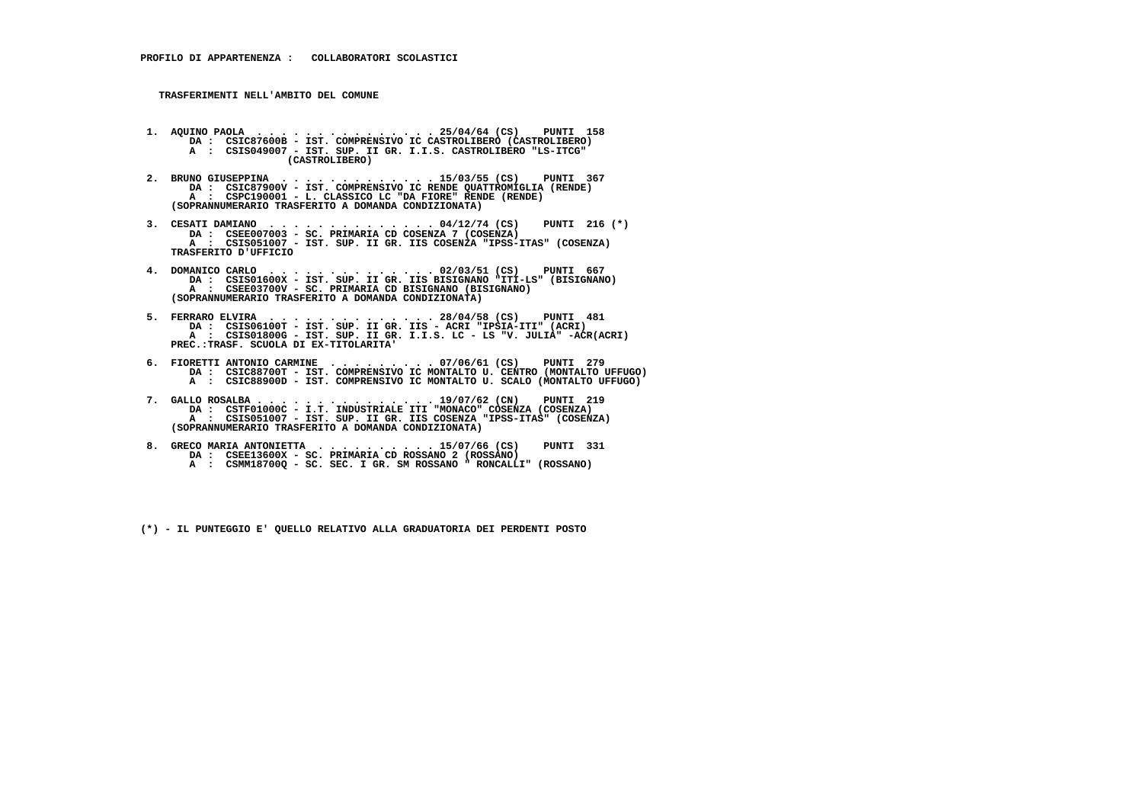- **1. AQUINO PAOLA . . . . . . . . . . . . . . . 25/04/64 (CS) PUNTI 158 DA : CSIC87600B IST. COMPRENSIVO IC CASTROLIBERO (CASTROLIBERO) A : CSIS049007 - IST. SUP. II GR. I.I.S. CASTROLIBERO "LS-ITCG" (CASTROLIBERO)**
- **2. BRUNO GIUSEPPINA . . . . . . . . . . . . . 15/03/55 (CS) PUNTI 367 DA : CSIC87900V IST. COMPRENSIVO IC RENDE QUATTROMIGLIA (RENDE) A : CSPC190001 - L. CLASSICO LC "DA FIORE" RENDE (RENDE) (SOPRANNUMERARIO TRASFERITO A DOMANDA CONDIZIONATA)**
- **3. CESATI DAMIANO . . . . . . . . . . . . . . 04/12/74 (CS) PUNTI 216 (\*) DA : CSEE007003 SC. PRIMARIA CD COSENZA 7 (COSENZA) A : CSIS051007 - IST. SUP. II GR. IIS COSENZA "IPSS-ITAS" (COSENZA) TRASFERITO D'UFFICIO**
- **4. DOMANICO CARLO . . . . . . . . . . . . . . 02/03/51 (CS) PUNTI 667 DA : CSIS01600X IST. SUP. II GR. IIS BISIGNANO "ITI-LS" (BISIGNANO) A : CSEE03700V - SC. PRIMARIA CD BISIGNANO (BISIGNANO) (SOPRANNUMERARIO TRASFERITO A DOMANDA CONDIZIONATA)**
- **5. FERRARO ELVIRA . . . . . . . . . . . . . . 28/04/58 (CS) PUNTI 481 DA : CSIS06100T IST. SUP. II GR. IIS ACRI "IPSIA-ITI" (ACRI) A : CSIS01800G - IST. SUP. II GR. I.I.S. LC - LS "V. JULIA" -ACR(ACRI) PREC.:TRASF. SCUOLA DI EX-TITOLARITA'**
- **6. FIORETTI ANTONIO CARMINE . . . . . . . . . 07/06/61 (CS) PUNTI 279 DA : CSIC88700T IST. COMPRENSIVO IC MONTALTO U. CENTRO (MONTALTO UFFUGO) A : CSIC88900D - IST. COMPRENSIVO IC MONTALTO U. SCALO (MONTALTO UFFUGO)**
- **7. GALLO ROSALBA . . . . . . . . . . . . . . . 19/07/62 (CN) PUNTI 219 DA : CSTF01000C I.T. INDUSTRIALE ITI "MONACO" COSENZA (COSENZA) A : CSIS051007 - IST. SUP. II GR. IIS COSENZA "IPSS-ITAS" (COSENZA) (SOPRANNUMERARIO TRASFERITO A DOMANDA CONDIZIONATA)**
- **8. GRECO MARIA ANTONIETTA . . . . . . . . . . 15/07/66 (CS) PUNTI 331 DA : CSEE13600X - SC. PRIMARIA CD ROSSANO 2 (ROSSANO) A : CSMM18700Q - SC. SEC. I GR. SM ROSSANO " RONCALLI" (ROSSANO)**
	- **(\*) IL PUNTEGGIO E' QUELLO RELATIVO ALLA GRADUATORIA DEI PERDENTI POSTO**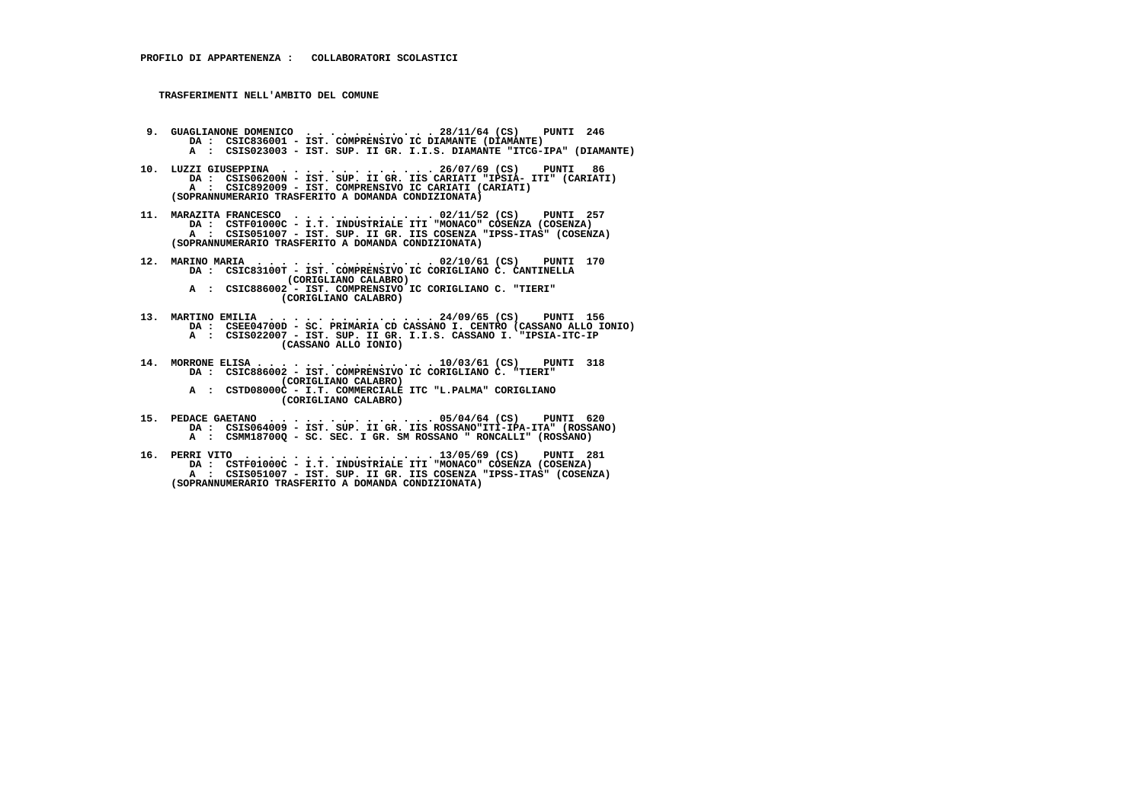- **9. GUAGLIANONE DOMENICO . . . . . . . . . . . 28/11/64 (CS) PUNTI 246**DA : CSIC836001 - IST. COMPRENSIVO IC DIAMANTE (DIAMANTE)  **A : CSIS023003 - IST. SUP. II GR. I.I.S. DIAMANTE "ITCG-IPA" (DIAMANTE)**
- **10. LUZZI GIUSEPPINA . . . . . . . . . . . . . 26/07/69 (CS) PUNTI 86 DA : CSIS06200N - IST. SUP. II GR. IIS CARIATI "IPSIA- ITI" (CARIATI) A : CSIC892009 - IST. COMPRENSIVO IC CARIATI (CARIATI) (SOPRANNUMERARIO TRASFERITO A DOMANDA CONDIZIONATA)**
- **11. MARAZITA FRANCESCO . . . . . . . . . . . . 02/11/52 (CS) PUNTI 257 DA : CSTF01000C I.T. INDUSTRIALE ITI "MONACO" COSENZA (COSENZA) A : CSIS051007 - IST. SUP. II GR. IIS COSENZA "IPSS-ITAS" (COSENZA) (SOPRANNUMERARIO TRASFERITO A DOMANDA CONDIZIONATA)**
- **12. MARINO MARIA . . . . . . . . . . . . . . . 02/10/61 (CS) PUNTI 170 DA : CSIC83100T IST. COMPRENSIVO IC CORIGLIANO C. CANTINELLA (CORIGLIANO CALABRO) A : CSIC886002 - IST. COMPRENSIVO IC CORIGLIANO C. "TIERI" (CORIGLIANO CALABRO)**
- **13. MARTINO EMILIA . . . . . . . . . . . . . . 24/09/65 (CS) PUNTI 156 DA : CSEE04700D - SC. PRIMARIA CD CASSANO I. CENTRO (CASSANO ALLO IONIO) A : CSIS022007 - IST. SUP. II GR. I.I.S. CASSANO I. "IPSIA-ITC-IP (CASSANO ALLO IONIO)**
- **14. MORRONE ELISA . . . . . . . . . . . . . . . 10/03/61 (CS) PUNTI 318 DA : CSIC886002 IST. COMPRENSIVO IC CORIGLIANO C. "TIERI" (CORIGLIANO CALABRO) A : CSTD08000C - I.T. COMMERCIALE ITC "L.PALMA" CORIGLIANO (CORIGLIANO CALABRO)**
- **15. PEDACE GAETANO . . . . . . . . . . . . . . 05/04/64 (CS) PUNTI 620 DA : CSIS064009 - IST. SUP. II GR. IIS ROSSANO"ITI-IPA-ITA" (ROSSANO) A : CSMM18700Q - SC. SEC. I GR. SM ROSSANO " RONCALLI" (ROSSANO)**
- **16. PERRI VITO . . . . . . . . . . . . . . . . 13/05/69 (CS) PUNTI 281 DA : CSTF01000C I.T. INDUSTRIALE ITI "MONACO" COSENZA (COSENZA) A : CSIS051007 - IST. SUP. II GR. IIS COSENZA "IPSS-ITAS" (COSENZA) (SOPRANNUMERARIO TRASFERITO A DOMANDA CONDIZIONATA)**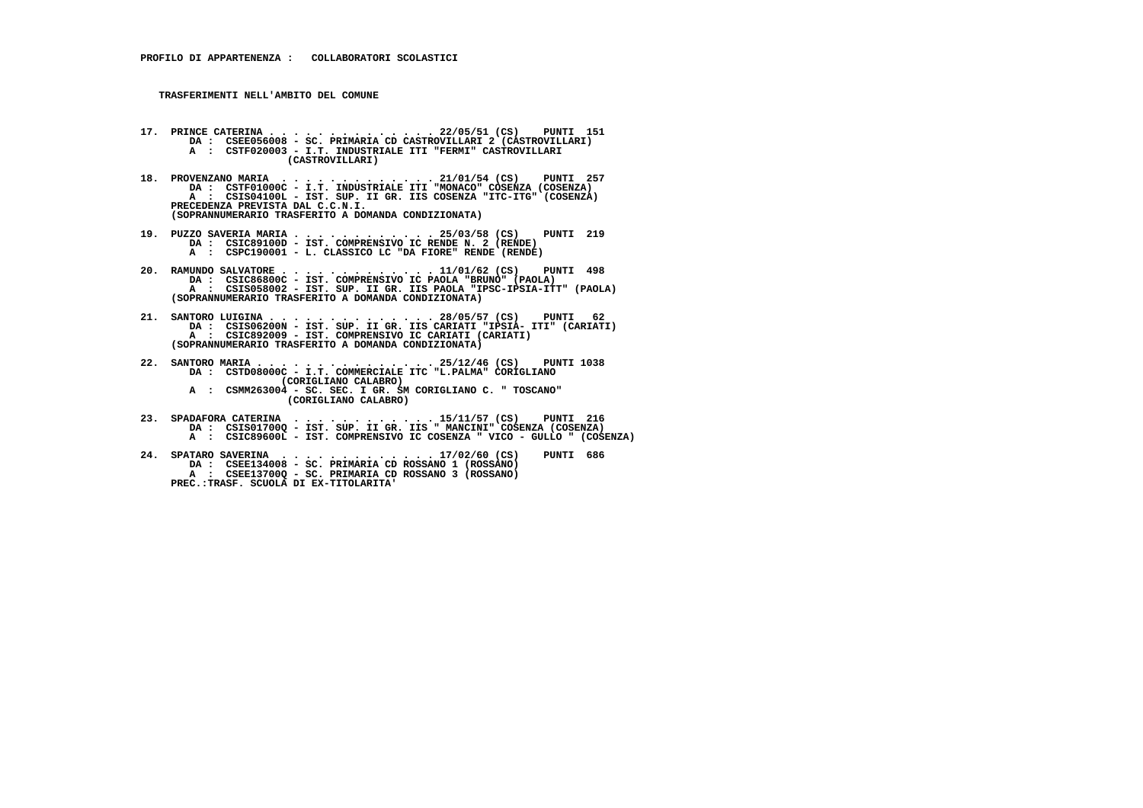- **17. PRINCE CATERINA . . . . . . . . . . . . . . 22/05/51 (CS) PUNTI 151 DA : CSEE056008 SC. PRIMARIA CD CASTROVILLARI 2 (CASTROVILLARI) A : CSTF020003 - I.T. INDUSTRIALE ITI "FERMI" CASTROVILLARI (CASTROVILLARI)**
- **18. PROVENZANO MARIA . . . . . . . . . . . . . 21/01/54 (CS) PUNTI 257 DA : CSTF01000C I.T. INDUSTRIALE ITI "MONACO" COSENZA (COSENZA) A : CSIS04100L - IST. SUP. II GR. IIS COSENZA "ITC-ITG" (COSENZA) PRECEDENZA PREVISTA DAL C.C.N.I. (SOPRANNUMERARIO TRASFERITO A DOMANDA CONDIZIONATA)**
- **19. PUZZO SAVERIA MARIA . . . . . . . . . . . . 25/03/58 (CS) PUNTI 219 DA : CSIC89100D IST. COMPRENSIVO IC RENDE N. 2 (RENDE) A : CSPC190001 - L. CLASSICO LC "DA FIORE" RENDE (RENDE)**
- **20. RAMUNDO SALVATORE . . . . . . . . . . . . . 11/01/62 (CS) PUNTI 498 DA : CSIC86800C IST. COMPRENSIVO IC PAOLA "BRUNO" (PAOLA) A : CSIS058002 - IST. SUP. II GR. IIS PAOLA "IPSC-IPSIA-ITT" (PAOLA) (SOPRANNUMERARIO TRASFERITO A DOMANDA CONDIZIONATA)**
- **21. SANTORO LUIGINA . . . . . . . . . . . . . . 28/05/57 (CS) PUNTI 62 DA : CSIS06200N - IST. SUP. II GR. IIS CARIATI "IPSIA- ITI" (CARIATI) A : CSIC892009 - IST. COMPRENSIVO IC CARIATI (CARIATI) (SOPRANNUMERARIO TRASFERITO A DOMANDA CONDIZIONATA)**
- **22. SANTORO MARIA . . . . . . . . . . . . . . . 25/12/46 (CS) PUNTI 1038 DA : CSTD08000C I.T. COMMERCIALE ITC "L.PALMA" CORIGLIANO (CORIGLIANO CALABRO) A : CSMM263004 - SC. SEC. I GR. SM CORIGLIANO C. " TOSCANO" (CORIGLIANO CALABRO)**
- **23. SPADAFORA CATERINA . . . . . . . . . . . . 15/11/57 (CS) PUNTI 216 DA : CSIS01700Q - IST. SUP. II GR. IIS " MANCINI" COSENZA (COSENZA) A : CSIC89600L - IST. COMPRENSIVO IC COSENZA " VICO - GULLO " (COSENZA)**
- **24. SPATARO SAVERINA . . . . . . . . . . . . . 17/02/60 (CS) PUNTI 686 DA : CSEE134008 SC. PRIMARIA CD ROSSANO 1 (ROSSANO) A : CSEE13700Q - SC. PRIMARIA CD ROSSANO 3 (ROSSANO) PREC.:TRASF. SCUOLA DI EX-TITOLARITA'**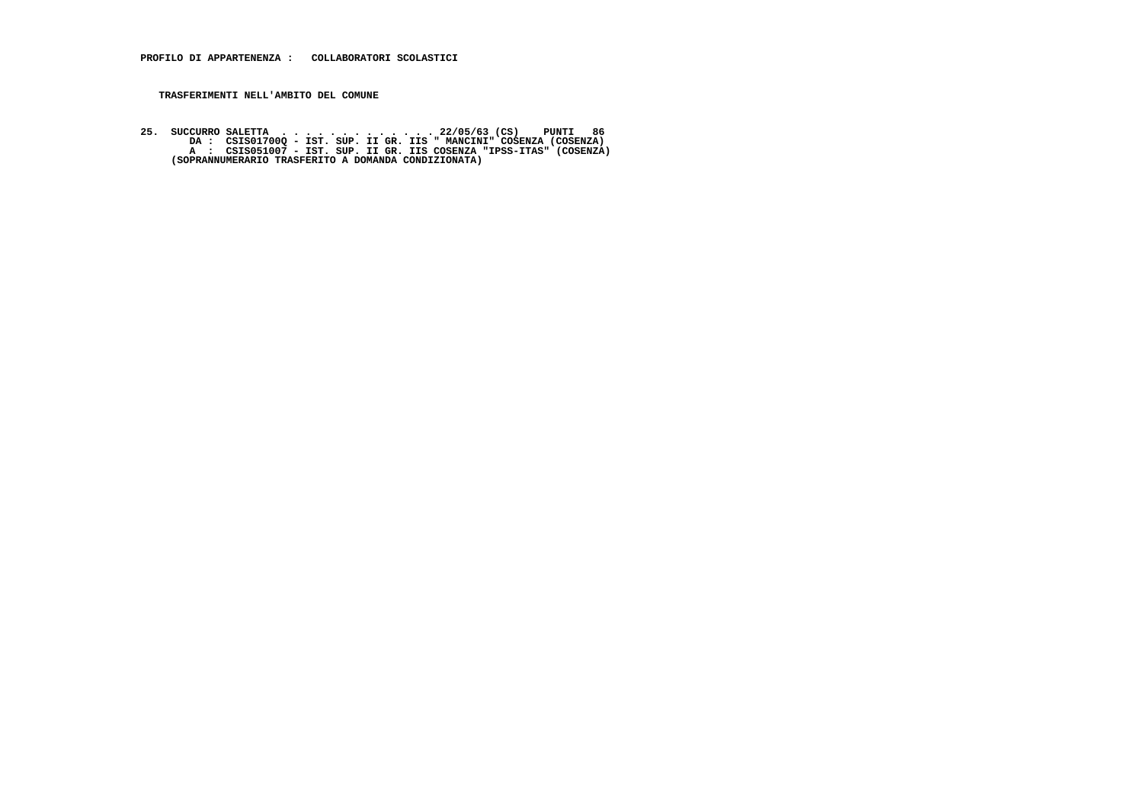25. SUCCURRO SALETTA . . . . . . . . . . . . . . 22/05/63 (CS) PUNTI 86<br>DA : CSIS01700Q - IST. SUP. II GR. IIS "MANCINI" COSENZA (COSENZA)<br>A : CSIS051007 - IST. SUP. II GR. IIS COSENZA "IPSS-ITAS" (COSENZA)<br>(SOPRANNUMERARI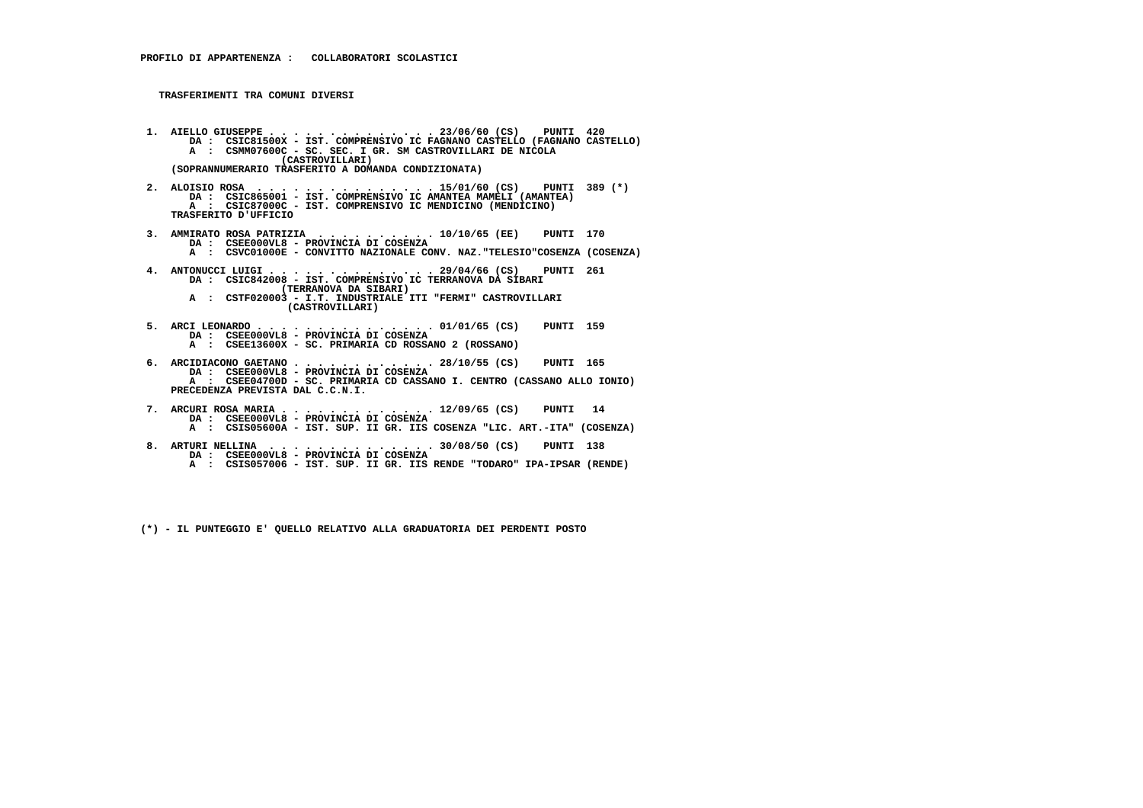- **1. AIELLO GIUSEPPE . . . . . . . . . . . . . . 23/06/60 (CS) PUNTI 420 DA : CSIC81500X IST. COMPRENSIVO IC FAGNANO CASTELLO (FAGNANO CASTELLO) A : CSMM07600C - SC. SEC. I GR. SM CASTROVILLARI DE NICOLA (CASTROVILLARI) (SOPRANNUMERARIO TRASFERITO A DOMANDA CONDIZIONATA)**
- **2. ALOISIO ROSA . . . . . . . . . . . . . . . 15/01/60 (CS) PUNTI 389 (\*) DA : CSIC865001 IST. COMPRENSIVO IC AMANTEA MAMELI (AMANTEA) A : CSIC87000C - IST. COMPRENSIVO IC MENDICINO (MENDICINO) TRASFERITO D'UFFICIO**
- **3. AMMIRATO ROSA PATRIZIA . . . . . . . . . . 10/10/65 (EE) PUNTI 170 DA : CSEE000VL8 - PROVINCIA DI COSENZA A : CSVC01000E - CONVITTO NAZIONALE CONV. NAZ."TELESIO"COSENZA (COSENZA)**
	-
- **4. ANTONUCCI LUIGI . . . . . . . . . . . . . . 29/04/66 (CS) PUNTI 261 DA : CSIC842008 IST. COMPRENSIVO IC TERRANOVA DA SIBARI (TERRANOVA DA SIBARI) A : CSTF020003 - I.T. INDUSTRIALE ITI "FERMI" CASTROVILLARI**
	- **(CASTROVILLARI)**
- **5. ARCI LEONARDO . . . . . . . . . . . . . . . 01/01/65 (CS) PUNTI 159 DA : CSEE000VL8 PROVINCIA DI COSENZA A : CSEE13600X - SC. PRIMARIA CD ROSSANO 2 (ROSSANO)**
- **6. ARCIDIACONO GAETANO . . . . . . . . . . . . 28/10/55 (CS) PUNTI 165 DA : CSEE000VL8 - PROVINCIA DI COSENZA A : CSEE04700D - SC. PRIMARIA CD CASSANO I. CENTRO (CASSANO ALLO IONIO) PRECEDENZA PREVISTA DAL C.C.N.I.**
- **7. ARCURI ROSA MARIA . . . . . . . . . . . . . 12/09/65 (CS) PUNTI 14 DA : CSEE000VL8 - PROVINCIA DI COSENZA A : CSIS05600A - IST. SUP. II GR. IIS COSENZA "LIC. ART.-ITA" (COSENZA)**
- **8. ARTURI NELLINA . . . . . . . . . . . . . . 30/08/50 (CS) PUNTI 138 DA : CSEE000VL8 - PROVINCIA DI COSENZA A : CSIS057006 - IST. SUP. II GR. IIS RENDE "TODARO" IPA-IPSAR (RENDE)**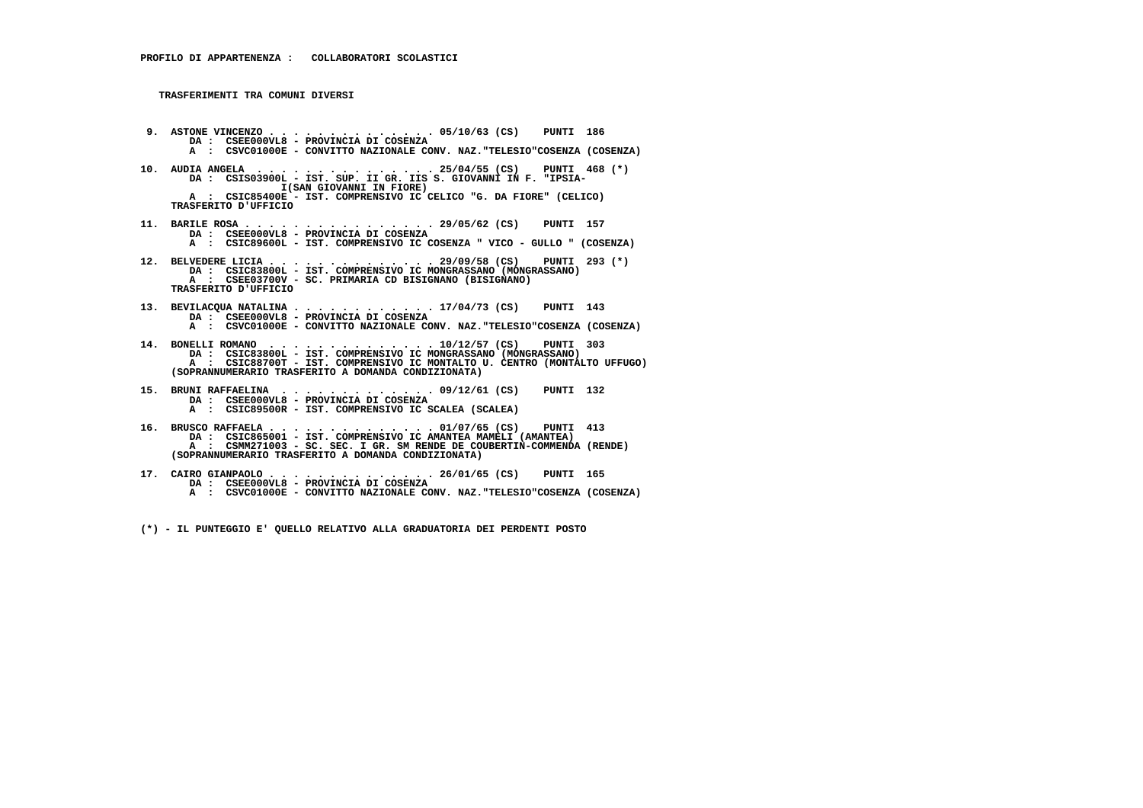- **9. ASTONE VINCENZO . . . . . . . . . . . . . . 05/10/63 (CS) PUNTI 186 DA : CSEE000VL8 PROVINCIA DI COSENZA A : CSVC01000E - CONVITTO NAZIONALE CONV. NAZ."TELESIO"COSENZA (COSENZA)**
- **10. AUDIA ANGELA . . . . . . . . . . . . . . . 25/04/55 (CS) PUNTI 468 (\*) DA : CSIS03900L - IST. SUP. II GR. IIS S. GIOVANNI IN F. "IPSIA- I(SAN GIOVANNI IN FIORE) A : CSIC85400E - IST. COMPRENSIVO IC CELICO "G. DA FIORE" (CELICO) TRASFERITO D'UFFICIO**
- **11. BARILE ROSA . . . . . . . . . . . . . . . . 29/05/62 (CS) PUNTI 157 DA : CSEE000VL8 PROVINCIA DI COSENZA A : CSIC89600L - IST. COMPRENSIVO IC COSENZA " VICO - GULLO " (COSENZA)**
- **12. BELVEDERE LICIA . . . . . . . . . . . . . . 29/09/58 (CS) PUNTI 293 (\*) DA : CSIC83800L IST. COMPRENSIVO IC MONGRASSANO (MONGRASSANO) A : CSEE03700V SC. PRIMARIA CD BISIGNANO (BISIGNANO) TRASFERITO D'UFFICIO**
- **13. BEVILACQUA NATALINA . . . . . . . . . . . . 17/04/73 (CS) PUNTI 143 DA : CSEE000VL8 PROVINCIA DI COSENZA A : CSVC01000E - CONVITTO NAZIONALE CONV. NAZ."TELESIO"COSENZA (COSENZA)**
- **14. BONELLI ROMANO . . . . . . . . . . . . . . 10/12/57 (CS) PUNTI 303 DA : CSIC83800L IST. COMPRENSIVO IC MONGRASSANO (MONGRASSANO) A : CSIC88700T - IST. COMPRENSIVO IC MONTALTO U. CENTRO (MONTALTO UFFUGO) (SOPRANNUMERARIO TRASFERITO A DOMANDA CONDIZIONATA)**
- **15. BRUNI RAFFAELINA . . . . . . . . . . . . . 09/12/61 (CS) PUNTI 132 DA : CSEE000VL8 PROVINCIA DI COSENZA A : CSIC89500R - IST. COMPRENSIVO IC SCALEA (SCALEA)**
- **16. BRUSCO RAFFAELA . . . . . . . . . . . . . . 01/07/65 (CS) PUNTI 413 DA : CSIC865001 IST. COMPRENSIVO IC AMANTEA MAMELI (AMANTEA) A : CSMM271003 - SC. SEC. I GR. SM RENDE DE COUBERTIN-COMMENDA (RENDE) (SOPRANNUMERARIO TRASFERITO A DOMANDA CONDIZIONATA)**
- **17. CAIRO GIANPAOLO . . . . . . . . . . . . . . 26/01/65 (CS) PUNTI 165 DA : CSEE000VL8 PROVINCIA DI COSENZA A : CSVC01000E - CONVITTO NAZIONALE CONV. NAZ."TELESIO"COSENZA (COSENZA)**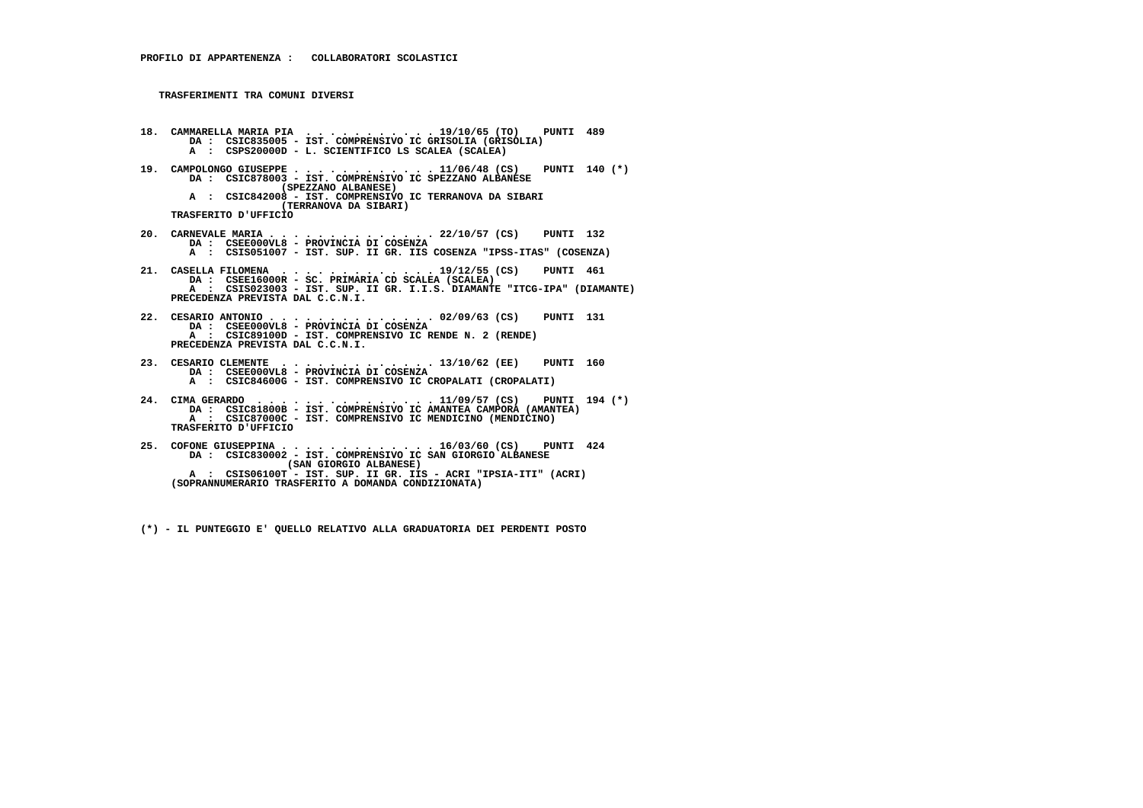**18. CAMMARELLA MARIA PIA . . . . . . . . . . . 19/10/65 (TO) PUNTI 489 DA : CSIC835005 - IST. COMPRENSIVO IC GRISOLIA (GRISOLIA) A : CSPS20000D - L. SCIENTIFICO LS SCALEA (SCALEA) 19. CAMPOLONGO GIUSEPPE . . . . . . . . . . . . 11/06/48 (CS) PUNTI 140 (\*) DA : CSIC878003 - IST. COMPRENSIVO IC SPEZZANO ALBANESE (SPEZZANO ALBANESE) A : CSIC842008 - IST. COMPRENSIVO IC TERRANOVA DA SIBARI (TERRANOVA DA SIBARI) TRASFERITO D'UFFICIO 20. CARNEVALE MARIA . . . . . . . . . . . . . . 22/10/57 (CS) PUNTI 132 DA : CSEE000VL8 - PROVINCIA DI COSENZA A : CSIS051007 - IST. SUP. II GR. IIS COSENZA "IPSS-ITAS" (COSENZA) 21. CASELLA FILOMENA . . . . . . . . . . . . . 19/12/55 (CS) PUNTI 461 DA : CSEE16000R - SC. PRIMARIA CD SCALEA (SCALEA) A : CSIS023003 - IST. SUP. II GR. I.I.S. DIAMANTE "ITCG-IPA" (DIAMANTE) PRECEDENZA PREVISTA DAL C.C.N.I. 22. CESARIO ANTONIO . . . . . . . . . . . . . . 02/09/63 (CS) PUNTI 131 DA : CSEE000VL8 - PROVINCIA DI COSENZA A : CSIC89100D - IST. COMPRENSIVO IC RENDE N. 2 (RENDE) PRECEDENZA PREVISTA DAL C.C.N.I. 23. CESARIO CLEMENTE . . . . . . . . . . . . . 13/10/62 (EE) PUNTI 160 DA : CSEE000VL8 - PROVINCIA DI COSENZA A : CSIC84600G - IST. COMPRENSIVO IC CROPALATI (CROPALATI) 24. CIMA GERARDO . . . . . . . . . . . . . . . 11/09/57 (CS) PUNTI 194 (\*) DA : CSIC81800B - IST. COMPRENSIVO IC AMANTEA CAMPORA (AMANTEA) A : CSIC87000C - IST. COMPRENSIVO IC MENDICINO (MENDICINO) TRASFERITO D'UFFICIO 25. COFONE GIUSEPPINA . . . . . . . . . . . . . 16/03/60 (CS) PUNTI 424 DA : CSIC830002 - IST. COMPRENSIVO IC SAN GIORGIO ALBANESE (SAN GIORGIO ALBANESE) A : CSIS06100T - IST. SUP. II GR. IIS - ACRI "IPSIA-ITI" (ACRI)**

 **(SOPRANNUMERARIO TRASFERITO A DOMANDA CONDIZIONATA)**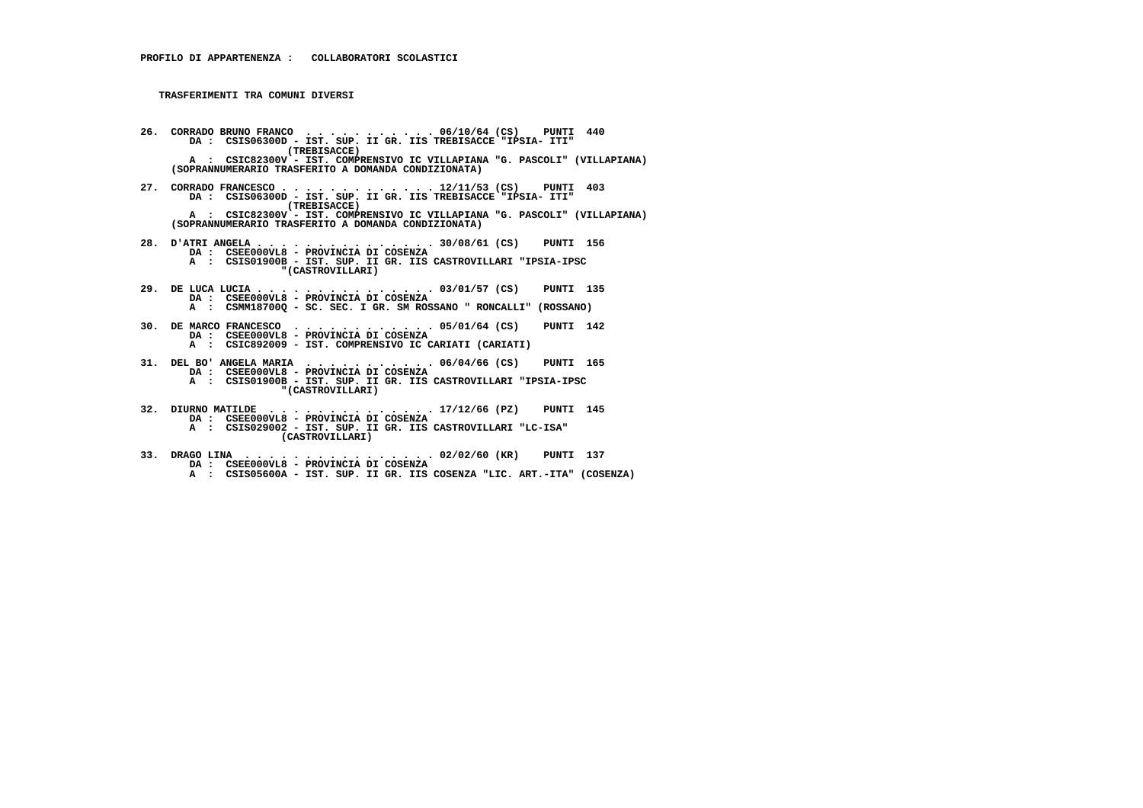- **26. CORRADO BRUNO FRANCO . . . . . . . . . . . 06/10/64 (CS) PUNTI 440 DA : CSIS06300D IST. SUP. II GR. IIS TREBISACCE "IPSIA- ITI" (TREBISACCE) A : CSIC82300V - IST. COMPRENSIVO IC VILLAPIANA "G. PASCOLI" (VILLAPIANA) (SOPRANNUMERARIO TRASFERITO A DOMANDA CONDIZIONATA)**
- **27. CORRADO FRANCESCO . . . . . . . . . . . . . 12/11/53 (CS) PUNTI 403 DA : CSIS06300D IST. SUP. II GR. IIS TREBISACCE "IPSIA- ITI" (TREBISACCE) A : CSIC82300V - IST. COMPRENSIVO IC VILLAPIANA "G. PASCOLI" (VILLAPIANA) (SOPRANNUMERARIO TRASFERITO A DOMANDA CONDIZIONATA)**
- **28. D'ATRI ANGELA . . . . . . . . . . . . . . . 30/08/61 (CS) PUNTI 156 DA : CSEE000VL8 PROVINCIA DI COSENZA A : CSIS01900B - IST. SUP. II GR. IIS CASTROVILLARI "IPSIA-IPSC "(CASTROVILLARI)**
- **29. DE LUCA LUCIA . . . . . . . . . . . . . . . 03/01/57 (CS) PUNTI 135 DA : CSEE000VL8 - PROVINCIA DI COSENZA A : CSMM18700Q - SC. SEC. I GR. SM ROSSANO " RONCALLI" (ROSSANO)**
- **30. DE MARCO FRANCESCO . . . . . . . . . . . . 05/01/64 (CS) PUNTI 142 DA : CSEE000VL8 PROVINCIA DI COSENZA A : CSIC892009 - IST. COMPRENSIVO IC CARIATI (CARIATI)**
	-
	- **31. DEL BO' ANGELA MARIA . . . . . . . . . . . 06/04/66 (CS) PUNTI 165 DA : CSEE000VL8 - PROVINCIA DI COSENZA**
		-
- **A : CSIS01900B IST. SUP. II GR. IIS CASTROVILLARI "IPSIA-IPSC "(CASTROVILLARI)**
	- **32. DIURNO MATILDE . . . . . . . . . . . . . . 17/12/66 (PZ) PUNTI 145 DA : CSEE000VL8 - PROVINCIA DI COSENZA**
- **A : CSIS029002 IST. SUP. II GR. IIS CASTROVILLARI "LC-ISA" (CASTROVILLARI)**
- **33. DRAGO LINA . . . . . . . . . . . . . . . . 02/02/60 (KR) PUNTI 137 DA : CSEE000VL8 PROVINCIA DI COSENZA A : CSIS05600A - IST. SUP. II GR. IIS COSENZA "LIC. ART.-ITA" (COSENZA)**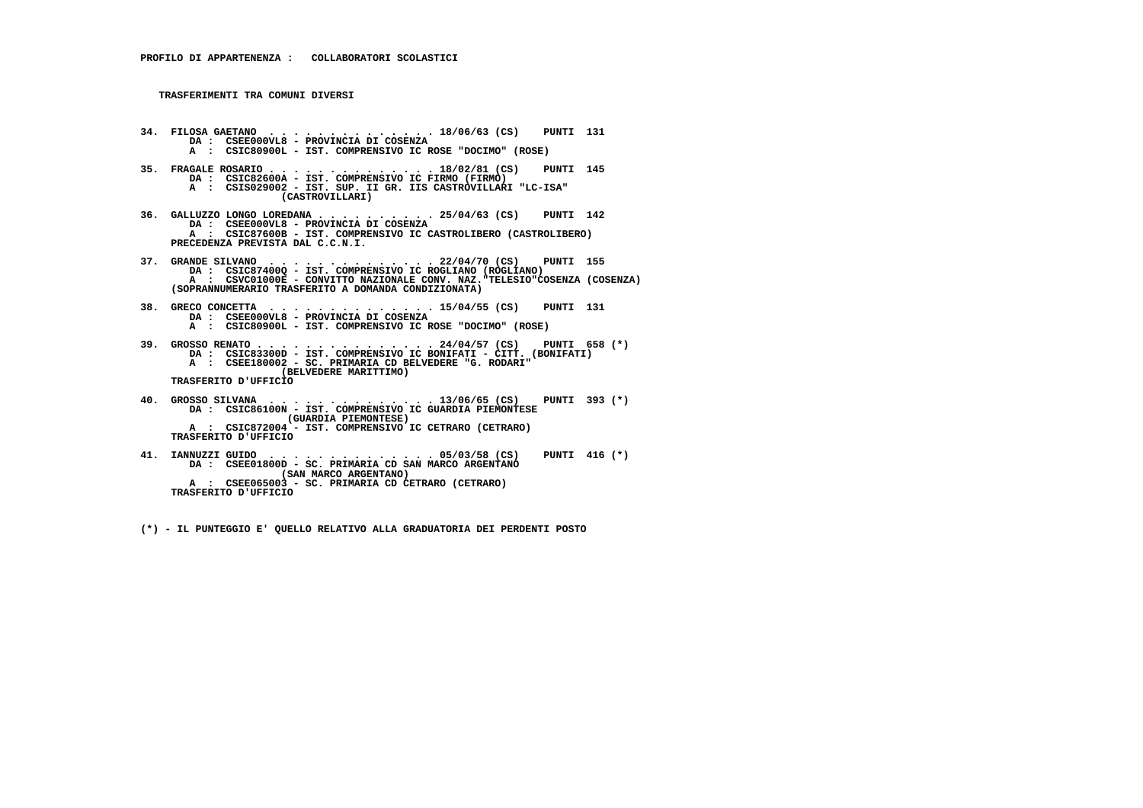- **34. FILOSA GAETANO . . . . . . . . . . . . . . 18/06/63 (CS) PUNTI 131 DA : CSEE000VL8 PROVINCIA DI COSENZA A : CSIC80900L - IST. COMPRENSIVO IC ROSE "DOCIMO" (ROSE)**
- **35. FRAGALE ROSARIO . . . . . . . . . . . . . . 18/02/81 (CS) PUNTI 145 DA : CSIC82600A - IST. COMPRENSIVO IC FIRMO (FIRMO) A : CSIS029002 - IST. SUP. II GR. IIS CASTROVILLARI "LC-ISA" (CASTROVILLARI)**
- **36. GALLUZZO LONGO LOREDANA . . . . . . . . . . 25/04/63 (CS) PUNTI 142 DA : CSEE000VL8 - PROVINCIA DI COSENZA A : CSIC87600B - IST. COMPRENSIVO IC CASTROLIBERO (CASTROLIBERO) PRECEDENZA PREVISTA DAL C.C.N.I.**
- **37. GRANDE SILVANO . . . . . . . . . . . . . . 22/04/70 (CS) PUNTI 155 DA : CSIC87400Q IST. COMPRENSIVO IC ROGLIANO (ROGLIANO) A : CSVC01000E - CONVITTO NAZIONALE CONV. NAZ."TELESIO"COSENZA (COSENZA) (SOPRANNUMERARIO TRASFERITO A DOMANDA CONDIZIONATA)**
- **38. GRECO CONCETTA . . . . . . . . . . . . . . 15/04/55 (CS) PUNTI 131 DA : CSEE000VL8 PROVINCIA DI COSENZA A : CSIC80900L - IST. COMPRENSIVO IC ROSE "DOCIMO" (ROSE)**
- 39. GROSSO RENATO . . . . . . . . . . . . . . 24/04/57 (CS)<br>DA : CSIC83300D IST. COMPRENSIVO IC BONIFATI CITT. (BONIFATI)<br>A : CSEE180002 SC. PRIMARIA CD BELVEDERE "G. RODARI"  **(BELVEDERE MARITTIMO) TRASFERITO D'UFFICIO**

- **40. GROSSO SILVANA . . . . . . . . . . . . . . 13/06/65 (CS) PUNTI 393 (\*) DA : CSIC86100N IST. COMPRENSIVO IC GUARDIA PIEMONTESE (GUARDIA PIEMONTESE) A : CSIC872004 - IST. COMPRENSIVO IC CETRARO (CETRARO) TRASFERITO D'UFFICIO**
- **41. IANNUZZI GUIDO . . . . . . . . . . . . . . 05/03/58 (CS) PUNTI 416 (\*) DA : CSEE01800D SC. PRIMARIA CD SAN MARCO ARGENTANO (SAN MARCO ARGENTANO) A : CSEE065003 - SC. PRIMARIA CD CETRARO (CETRARO) TRASFERITO D'UFFICIO**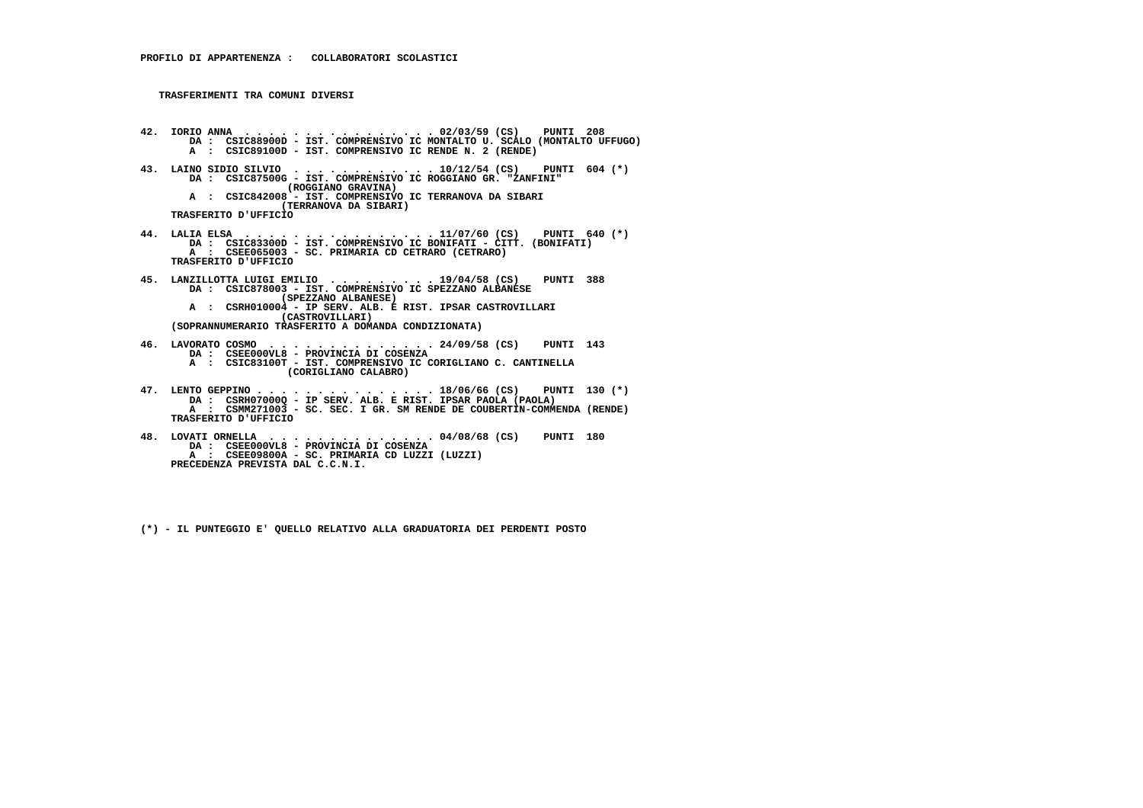- **42. IORIO ANNA . . . . . . . . . . . . . . . . 02/03/59 (CS) PUNTI 208 DA : CSIC88900D IST. COMPRENSIVO IC MONTALTO U. SCALO (MONTALTO UFFUGO) A : CSIC89100D - IST. COMPRENSIVO IC RENDE N. 2 (RENDE) 43. LAINO SIDIO SILVIO . . . . . . . . . . . . 10/12/54 (CS) PUNTI 604 (\*)**
- **DA : CSIC87500G IST. COMPRENSIVO IC ROGGIANO GR. "ZANFINI" (ROGGIANO GRAVINA) A : CSIC842008 - IST. COMPRENSIVO IC TERRANOVA DA SIBARI (TERRANOVA DA SIBARI)**
	- **TRASFERITO D'UFFICIO**
- **44. LALIA ELSA . . . . . . . . . . . . . . . . 11/07/60 (CS) PUNTI 640 (\*) DA : CSIC83300D IST. COMPRENSIVO IC BONIFATI CITT. (BONIFATI) A : CSEE065003 - SC. PRIMARIA CD CETRARO (CETRARO) TRASFERITO D'UFFICIO**
- **45. LANZILLOTTA LUIGI EMILIO . . . . . . . . . 19/04/58 (CS) PUNTI 388 DA : CSIC878003 IST. COMPRENSIVO IC SPEZZANO ALBANESE (SPEZZANO ALBANESE) A : CSRH010004 - IP SERV. ALB. E RIST. IPSAR CASTROVILLARI (CASTROVILLARI)**
- **(SOPRANNUMERARIO TRASFERITO A DOMANDA CONDIZIONATA)**
- **46. LAVORATO COSMO . . . . . . . . . . . . . . 24/09/58 (CS) PUNTI 143 DA : CSEE000VL8 PROVINCIA DI COSENZA A : CSIC83100T - IST. COMPRENSIVO IC CORIGLIANO C. CANTINELLA**
	- **(CORIGLIANO CALABRO)**
- 47. LENTO GEPPINO . . . . . . . . . . . . . . . 18/06/66 (CS) PUNTI 130 (\*)<br>DA : CSRH07000Q IP SERV. ALB. E RIST. IPSAR PAOLA (PAOLA)<br>A : CSMM271003 SC. SEC. I GR. SM RENDE DE COUBERTIN-COMMENDA (RENDE)  **TRASFERITO D'UFFICIO**
- **48. LOVATI ORNELLA . . . . . . . . . . . . . . 04/08/68 (CS) PUNTI 180 DA : CSEE000VL8 PROVINCIA DI COSENZA A : CSEE09800A - SC. PRIMARIA CD LUZZI (LUZZI) PRECEDENZA PREVISTA DAL C.C.N.I.**
	- **(\*) IL PUNTEGGIO E' QUELLO RELATIVO ALLA GRADUATORIA DEI PERDENTI POSTO**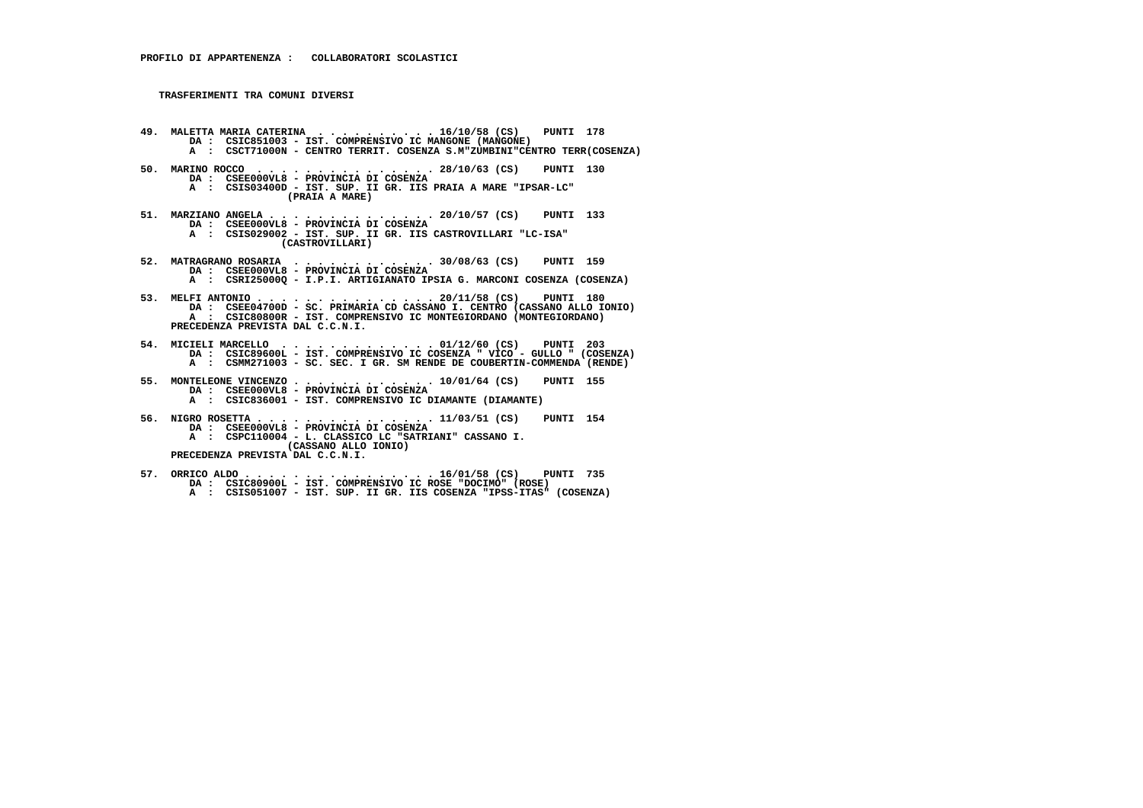- **49. MALETTA MARIA CATERINA . . . . . . . . . . 16/10/58 (CS) PUNTI 178 DA : CSIC851003 IST. COMPRENSIVO IC MANGONE (MANGONE) A : CSCT71000N - CENTRO TERRIT. COSENZA S.M"ZUMBINI"CENTRO TERR(COSENZA)**
- **50. MARINO ROCCO . . . . . . . . . . . . . . . 28/10/63 (CS) PUNTI 130 DA : CSEE000VL8 - PROVINCIA DI COSENZA A : CSIS03400D - IST. SUP. II GR. IIS PRAIA A MARE "IPSAR-LC" (PRAIA A MARE)**
- **51. MARZIANO ANGELA . . . . . . . . . . . . . . 20/10/57 (CS) PUNTI 133 DA : CSEE000VL8 - PROVINCIA DI COSENZA A : CSIS029002 - IST. SUP. II GR. IIS CASTROVILLARI "LC-ISA" (CASTROVILLARI)**
- **52. MATRAGRANO ROSARIA . . . . . . . . . . . . 30/08/63 (CS) PUNTI 159 DA : CSEE000VL8 PROVINCIA DI COSENZA A : CSRI25000Q - I.P.I. ARTIGIANATO IPSIA G. MARCONI COSENZA (COSENZA)**
- **53. MELFI ANTONIO . . . . . . . . . . . . . . . 20/11/58 (CS) PUNTI 180 DA : CSEE04700D SC. PRIMARIA CD CASSANO I. CENTRO (CASSANO ALLO IONIO) A : CSIC80800R - IST. COMPRENSIVO IC MONTEGIORDANO (MONTEGIORDANO) PRECEDENZA PREVISTA DAL C.C.N.I.**
- **54. MICIELI MARCELLO . . . . . . . . . . . . . 01/12/60 (CS) PUNTI 203 DA : CSIC89600L IST. COMPRENSIVO IC COSENZA " VICO GULLO " (COSENZA) A : CSMM271003 - SC. SEC. I GR. SM RENDE DE COUBERTIN-COMMENDA (RENDE)**
- **55. MONTELEONE VINCENZO . . . . . . . . . . . . 10/01/64 (CS) PUNTI 155 DA : CSEE000VL8 - PROVINCIA DI COSENZA A : CSIC836001 - IST. COMPRENSIVO IC DIAMANTE (DIAMANTE)**
- **56. NIGRO ROSETTA . . . . . . . . . . . . . . . 11/03/51 (CS) PUNTI 154 DA : CSEE000VL8 - PROVINCIA DI COSENZA A : CSPC110004 - L. CLASSICO LC "SATRIANI" CASSANO I. (CASSANO ALLO IONIO) PRECEDENZA PREVISTA DAL C.C.N.I.**
- **57. ORRICO ALDO . . . . . . . . . . . . . . . . 16/01/58 (CS) PUNTI 735 DA : CSIC80900L IST. COMPRENSIVO IC ROSE "DOCIMO" (ROSE) A : CSIS051007 IST. SUP. II GR. IIS COSENZA "IPSS-ITAS" (COSENZA)**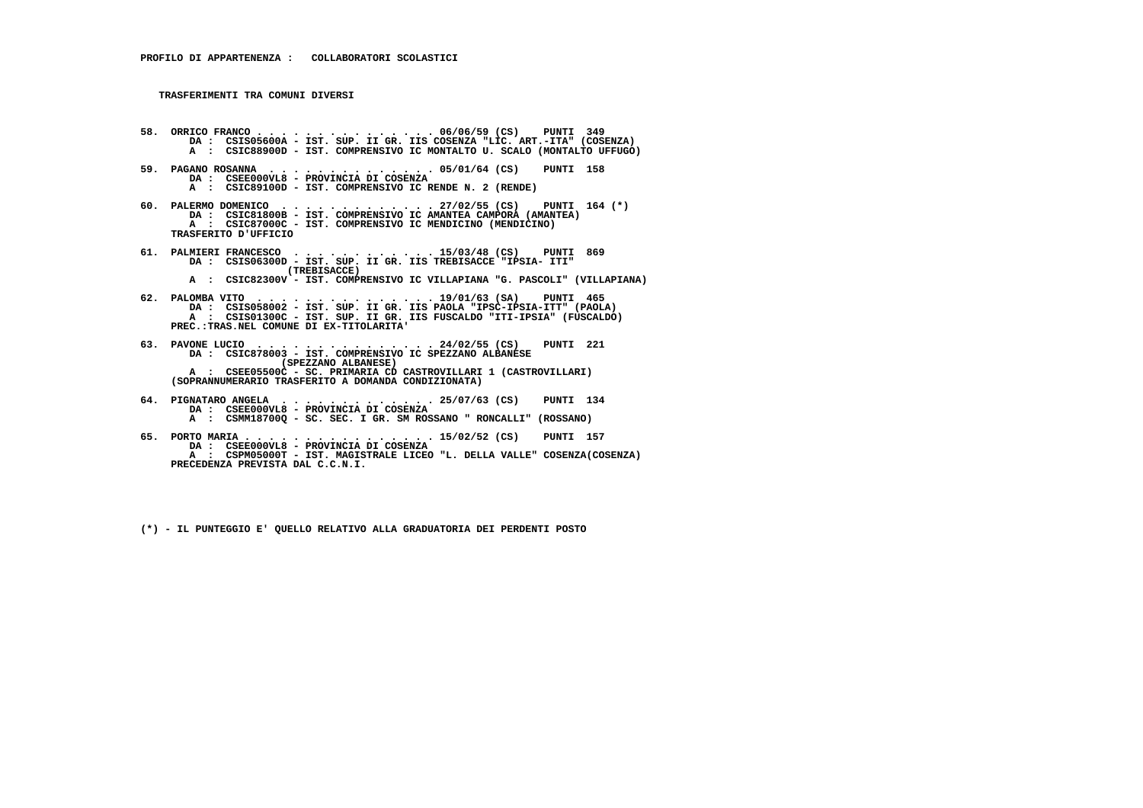- **58. ORRICO FRANCO . . . . . . . . . . . . . . . 06/06/59 (CS) PUNTI 349 DA : CSIS05600A IST. SUP. II GR. IIS COSENZA "LIC. ART.-ITA" (COSENZA) A : CSIC88900D - IST. COMPRENSIVO IC MONTALTO U. SCALO (MONTALTO UFFUGO)**
- **59. PAGANO ROSANNA . . . . . . . . . . . . . . 05/01/64 (CS) PUNTI 158 DA : CSEE000VL8 - PROVINCIA DI COSENZA A : CSIC89100D - IST. COMPRENSIVO IC RENDE N. 2 (RENDE)**
- **60. PALERMO DOMENICO . . . . . . . . . . . . . 27/02/55 (CS) PUNTI 164 (\*) DA : CSIC81800B IST. COMPRENSIVO IC AMANTEA CAMPORA (AMANTEA) A : CSIC87000C - IST. COMPRENSIVO IC MENDICINO (MENDICINO) TRASFERITO D'UFFICIO**
- **61. PALMIERI FRANCESCO . . . . . . . . . . . . 15/03/48 (CS) PUNTI 869 DA : CSIS06300D IST. SUP. II GR. IIS TREBISACCE "IPSIA- ITI" (TREBISACCE) A : CSIC82300V - IST. COMPRENSIVO IC VILLAPIANA "G. PASCOLI" (VILLAPIANA)**
- **62. PALOMBA VITO . . . . . . . . . . . . . . . 19/01/63 (SA) PUNTI 465 DA : CSIS058002 IST. SUP. II GR. IIS PAOLA "IPSC-IPSIA-ITT" (PAOLA) A : CSIS01300C - IST. SUP. II GR. IIS FUSCALDO "ITI-IPSIA" (FUSCALDO) PREC.:TRAS.NEL COMUNE DI EX-TITOLARITA'**
- **63. PAVONE LUCIO . . . . . . . . . . . . . . . 24/02/55 (CS) PUNTI 221 DA : CSIC878003 IST. COMPRENSIVO IC SPEZZANO ALBANESE (SPEZZANO ALBANESE) A : CSEE05500C - SC. PRIMARIA CD CASTROVILLARI 1 (CASTROVILLARI) (SOPRANNUMERARIO TRASFERITO A DOMANDA CONDIZIONATA)**
- **64. PIGNATARO ANGELA . . . . . . . . . . . . . 25/07/63 (CS) PUNTI 134 DA : CSEE000VL8 - PROVINCIA DI COSENZA A : CSMM18700Q - SC. SEC. I GR. SM ROSSANO " RONCALLI" (ROSSANO)**
- **65. PORTO MARIA . . . . . . . . . . . . . . . . 15/02/52 (CS) PUNTI 157 DA : CSEE000VL8 PROVINCIA DI COSENZA A : CSPM05000T - IST. MAGISTRALE LICEO "L. DELLA VALLE" COSENZA(COSENZA) PRECEDENZA PREVISTA DAL C.C.N.I.**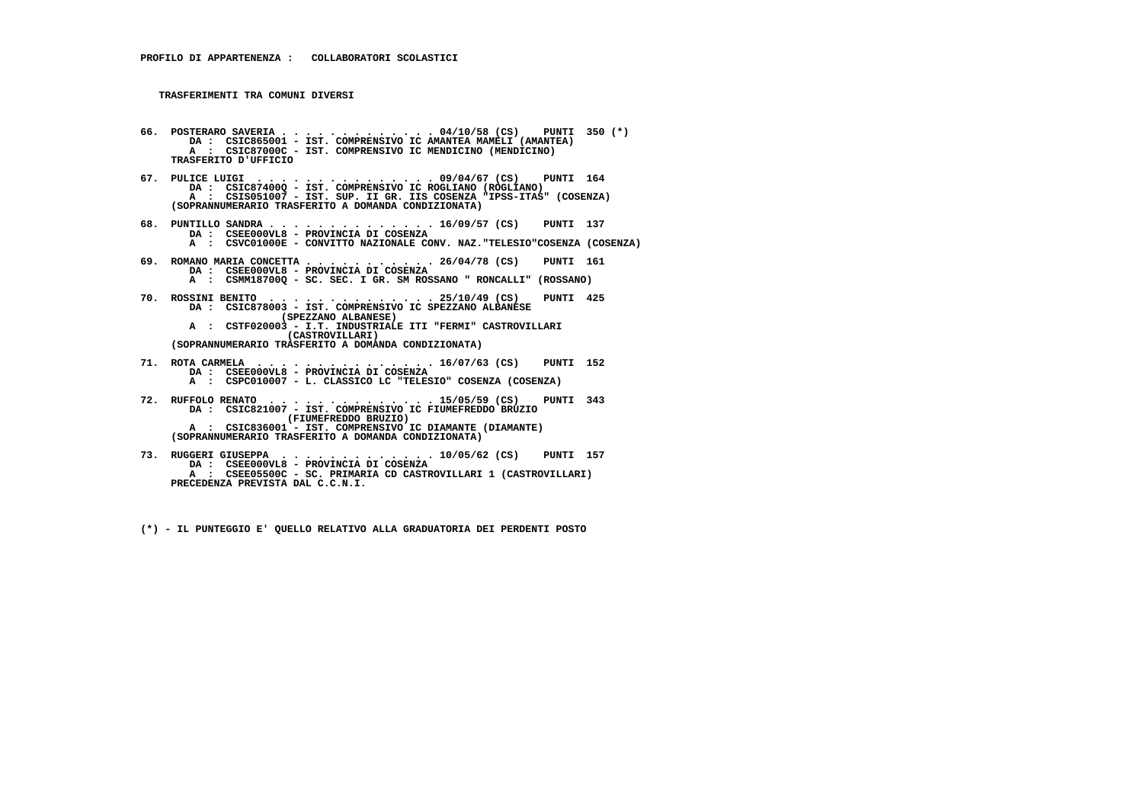- **66. POSTERARO SAVERIA . . . . . . . . . . . . . 04/10/58 (CS) PUNTI 350 (\*) DA : CSIC865001 IST. COMPRENSIVO IC AMANTEA MAMELI (AMANTEA) A : CSIC87000C - IST. COMPRENSIVO IC MENDICINO (MENDICINO) TRASFERITO D'UFFICIO**
- **67. PULICE LUIGI . . . . . . . . . . . . . . . 09/04/67 (CS) PUNTI 164 DA : CSIC87400Q IST. COMPRENSIVO IC ROGLIANO (ROGLIANO) A : CSIS051007 - IST. SUP. II GR. IIS COSENZA "IPSS-ITAS" (COSENZA) (SOPRANNUMERARIO TRASFERITO A DOMANDA CONDIZIONATA)**
- **68. PUNTILLO SANDRA . . . . . . . . . . . . . . 16/09/57 (CS) PUNTI 137 DA : CSEE000VL8 PROVINCIA DI COSENZA A : CSVC01000E - CONVITTO NAZIONALE CONV. NAZ."TELESIO"COSENZA (COSENZA)**
- **69. ROMANO MARIA CONCETTA . . . . . . . . . . . 26/04/78 (CS) PUNTI 161 DA : CSEE000VL8 - PROVINCIA DI COSENZA A : CSMM18700Q - SC. SEC. I GR. SM ROSSANO " RONCALLI" (ROSSANO)**
- **70. ROSSINI BENITO . . . . . . . . . . . . . . 25/10/49 (CS) PUNTI 425 DA : CSIC878003 IST. COMPRENSIVO IC SPEZZANO ALBANESE (SPEZZANO ALBANESE) A : CSTF020003 - I.T. INDUSTRIALE ITI "FERMI" CASTROVILLARI**
- **(CASTROVILLARI) (SOPRANNUMERARIO TRASFERITO A DOMANDA CONDIZIONATA)**
- **71. ROTA CARMELA . . . . . . . . . . . . . . . 16/07/63 (CS) PUNTI 152 DA : CSEE000VL8 PROVINCIA DI COSENZA A : CSPC010007 - L. CLASSICO LC "TELESIO" COSENZA (COSENZA)**
- **72. RUFFOLO RENATO . . . . . . . . . . . . . . 15/05/59 (CS) PUNTI 343 DA : CSIC821007 IST. COMPRENSIVO IC FIUMEFREDDO BRUZIO (FIUMEFREDDO BRUZIO) A : CSIC836001 - IST. COMPRENSIVO IC DIAMANTE (DIAMANTE) (SOPRANNUMERARIO TRASFERITO A DOMANDA CONDIZIONATA)**
- **73. RUGGERI GIUSEPPA . . . . . . . . . . . . . 10/05/62 (CS) PUNTI 157 DA : CSEE000VL8 PROVINCIA DI COSENZA A : CSEE05500C - SC. PRIMARIA CD CASTROVILLARI 1 (CASTROVILLARI) PRECEDENZA PREVISTA DAL C.C.N.I.**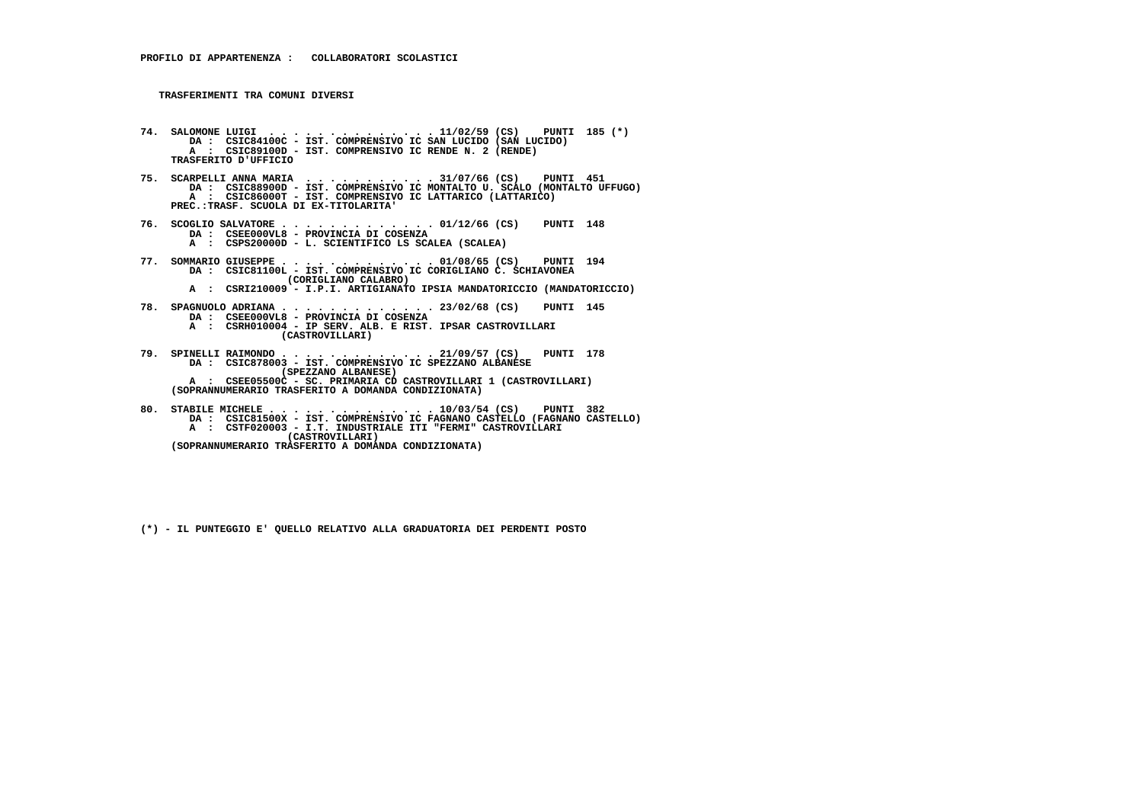- **74. SALOMONE LUIGI . . . . . . . . . . . . . . 11/02/59 (CS) PUNTI 185 (\*) DA : CSIC84100C IST. COMPRENSIVO IC SAN LUCIDO (SAN LUCIDO) A : CSIC89100D - IST. COMPRENSIVO IC RENDE N. 2 (RENDE) TRASFERITO D'UFFICIO**
- **75. SCARPELLI ANNA MARIA . . . . . . . . . . . 31/07/66 (CS) PUNTI 451 DA : CSIC88900D IST. COMPRENSIVO IC MONTALTO U. SCALO (MONTALTO UFFUGO) A : CSIC86000T - IST. COMPRENSIVO IC LATTARICO (LATTARICO) PREC.:TRASF. SCUOLA DI EX-TITOLARITA'**
- **76. SCOGLIO SALVATORE . . . . . . . . . . . . . 01/12/66 (CS) PUNTI 148 DA : CSEE000VL8 PROVINCIA DI COSENZA A : CSPS20000D - L. SCIENTIFICO LS SCALEA (SCALEA)**
- **77. SOMMARIO GIUSEPPE . . . . . . . . . . . . . 01/08/65 (CS) PUNTI 194 DA : CSIC81100L IST. COMPRENSIVO IC CORIGLIANO C. SCHIAVONEA (CORIGLIANO CALABRO)**
- **A : CSRI210009 I.P.I. ARTIGIANATO IPSIA MANDATORICCIO (MANDATORICCIO)**
- **78. SPAGNUOLO ADRIANA . . . . . . . . . . . . . 23/02/68 (CS) PUNTI 145 DA : CSEE000VL8 PROVINCIA DI COSENZA A : CSRH010004 - IP SERV. ALB. E RIST. IPSAR CASTROVILLARI (CASTROVILLARI)**
- **79. SPINELLI RAIMONDO . . . . . . . . . . . . . 21/09/57 (CS) PUNTI 178 DA : CSIC878003 IST. COMPRENSIVO IC SPEZZANO ALBANESE (SPEZZANO ALBANESE) A : CSEE05500C - SC. PRIMARIA CD CASTROVILLARI 1 (CASTROVILLARI) (SOPRANNUMERARIO TRASFERITO A DOMANDA CONDIZIONATA)**
- **80. STABILE MICHELE . . . . . . . . . . . . . . 10/03/54 (CS) PUNTI 382 DA : CSIC81500X IST. COMPRENSIVO IC FAGNANO CASTELLO (FAGNANO CASTELLO) A : CSTF020003 - I.T. INDUSTRIALE ITI "FERMI" CASTROVILLARI (CASTROVILLARI)**
- **(SOPRANNUMERARIO TRASFERITO A DOMANDA CONDIZIONATA)**
	- **(\*) IL PUNTEGGIO E' QUELLO RELATIVO ALLA GRADUATORIA DEI PERDENTI POSTO**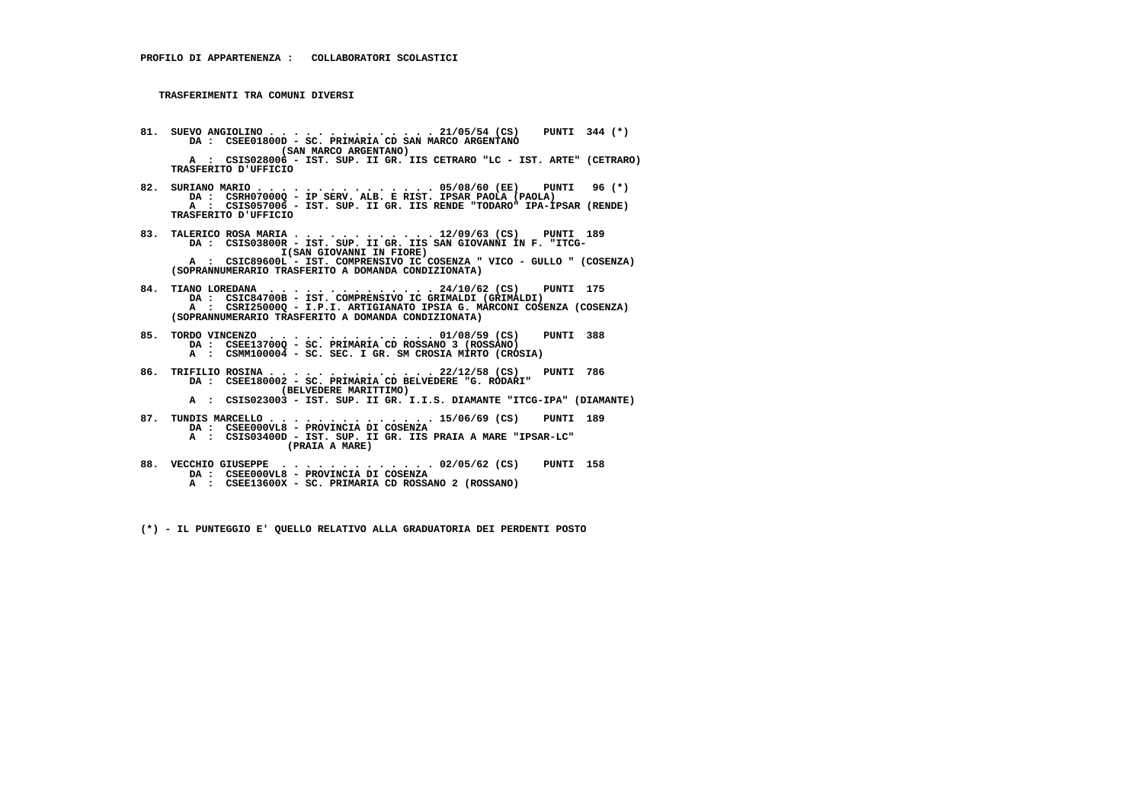- **81. SUEVO ANGIOLINO . . . . . . . . . . . . . . 21/05/54 (CS) PUNTI 344 (\*) DA : CSEE01800D SC. PRIMARIA CD SAN MARCO ARGENTANO (SAN MARCO ARGENTANO) A : CSIS028006 - IST. SUP. II GR. IIS CETRARO "LC - IST. ARTE" (CETRARO) TRASFERITO D'UFFICIO**
- **82. SURIANO MARIO . . . . . . . . . . . . . . . 05/08/60 (EE) PUNTI 96 (\*) DA : CSRH07000Q IP SERV. ALB. E RIST. IPSAR PAOLA (PAOLA) A : CSIS057006 - IST. SUP. II GR. IIS RENDE "TODARO" IPA-IPSAR (RENDE) TRASFERITO D'UFFICIO**
- **83. TALERICO ROSA MARIA . . . . . . . . . . . . 12/09/63 (CS) PUNTI 189 DA : CSIS03800R IST. SUP. II GR. IIS SAN GIOVANNI IN F. "ITCG- I(SAN GIOVANNI IN FIORE) A : CSIC89600L - IST. COMPRENSIVO IC COSENZA " VICO - GULLO " (COSENZA) (SOPRANNUMERARIO TRASFERITO A DOMANDA CONDIZIONATA)**
- **84. TIANO LOREDANA . . . . . . . . . . . . . . 24/10/62 (CS) PUNTI 175 DA : CSIC84700B - IST. COMPRENSIVO IC GRIMALDI (GRIMALDI) A : CSRI25000Q - I.P.I. ARTIGIANATO IPSIA G. MARCONI COSENZA (COSENZA) (SOPRANNUMERARIO TRASFERITO A DOMANDA CONDIZIONATA)**
- **85. TORDO VINCENZO . . . . . . . . . . . . . . 01/08/59 (CS) PUNTI 388 DA : CSEE13700Q SC. PRIMARIA CD ROSSANO 3 (ROSSANO) A : CSMM100004 - SC. SEC. I GR. SM CROSIA MIRTO (CROSIA)**
- **86. TRIFILIO ROSINA . . . . . . . . . . . . . . 22/12/58 (CS) PUNTI 786 DA : CSEE180002 SC. PRIMARIA CD BELVEDERE "G. RODARI" (BELVEDERE MARITTIMO)**
- **A : CSIS023003 IST. SUP. II GR. I.I.S. DIAMANTE "ITCG-IPA" (DIAMANTE)**
- **87. TUNDIS MARCELLO . . . . . . . . . . . . . . 15/06/69 (CS) PUNTI 189 DA : CSEE000VL8 - PROVINCIA DI COSENZA A : CSIS03400D - IST. SUP. II GR. IIS PRAIA A MARE "IPSAR-LC" (PRAIA A MARE)**
- **88. VECCHIO GIUSEPPE . . . . . . . . . . . . . 02/05/62 (CS) PUNTI 158 DA : CSEE000VL8 PROVINCIA DI COSENZA**
- **A : CSEE13600X SC. PRIMARIA CD ROSSANO 2 (ROSSANO)**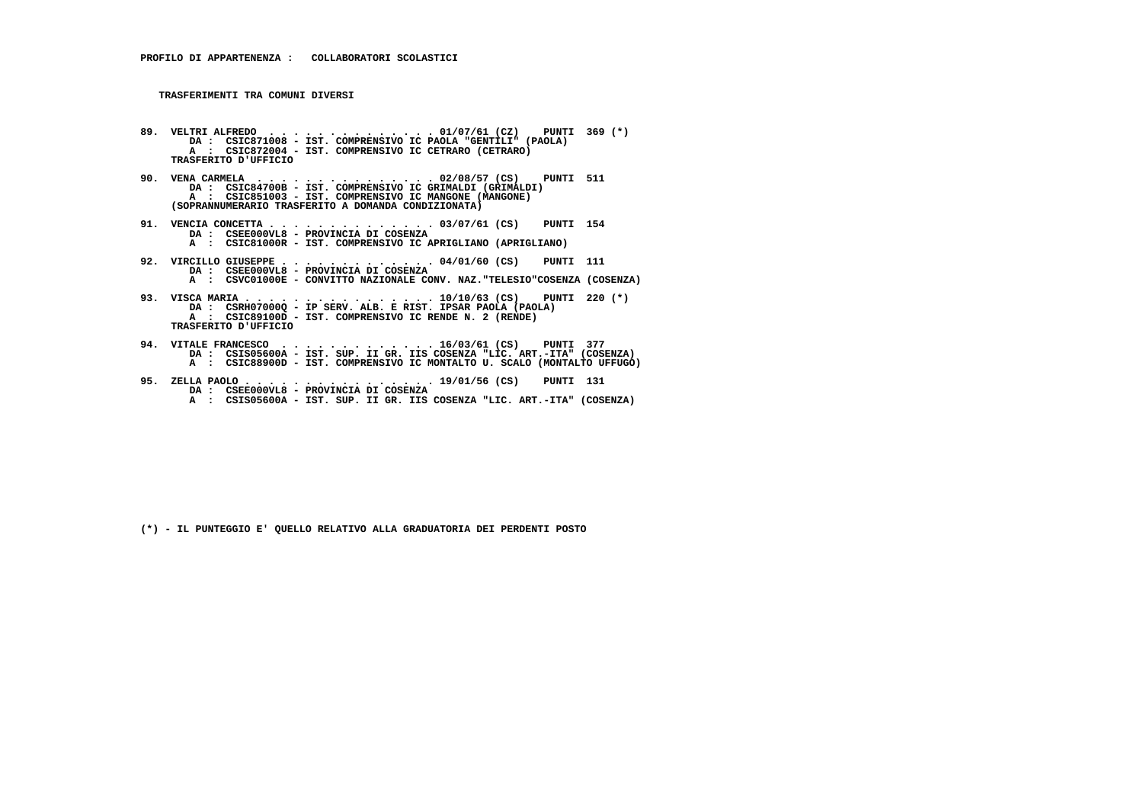- **89. VELTRI ALFREDO . . . . . . . . . . . . . . 01/07/61 (CZ) PUNTI 369 (\*) DA : CSIC871008 IST. COMPRENSIVO IC PAOLA "GENTILI" (PAOLA) A : CSIC872004 - IST. COMPRENSIVO IC CETRARO (CETRARO) TRASFERITO D'UFFICIO**
- **90. VENA CARMELA . . . . . . . . . . . . . . . 02/08/57 (CS) PUNTI 511 DA : CSIC84700B IST. COMPRENSIVO IC GRIMALDI (GRIMALDI) A : CSIC851003 - IST. COMPRENSIVO IC MANGONE (MANGONE) (SOPRANNUMERARIO TRASFERITO A DOMANDA CONDIZIONATA)**
- **91. VENCIA CONCETTA . . . . . . . . . . . . . . 03/07/61 (CS) PUNTI 154 DA : CSEE000VL8 PROVINCIA DI COSENZA A : CSIC81000R - IST. COMPRENSIVO IC APRIGLIANO (APRIGLIANO)**
- **92. VIRCILLO GIUSEPPE . . . . . . . . . . . . . 04/01/60 (CS) PUNTI 111 DA : CSEE000VL8 PROVINCIA DI COSENZA A : CSVC01000E - CONVITTO NAZIONALE CONV. NAZ."TELESIO"COSENZA (COSENZA)**
- **93. VISCA MARIA . . . . . . . . . . . . . . . . 10/10/63 (CS) PUNTI 220 (\*) DA : CSRH07000Q IP SERV. ALB. E RIST. IPSAR PAOLA (PAOLA) A : CSIC89100D IST. COMPRENSIVO IC RENDE N. 2 (RENDE) TRASFERITO D'UFFICIO**
- **94. VITALE FRANCESCO . . . . . . . . . . . . . 16/03/61 (CS) PUNTI 377 DA : CSIS05600A IST. SUP. II GR. IIS COSENZA "LIC. ART.-ITA" (COSENZA) A : CSIC88900D - IST. COMPRENSIVO IC MONTALTO U. SCALO (MONTALTO UFFUGO)**
- **95. ZELLA PAOLO . . . . . . . . . . . . . . . . 19/01/56 (CS) PUNTI 131 DA : CSEE000VL8 PROVINCIA DI COSENZA A : CSIS05600A - IST. SUP. II GR. IIS COSENZA "LIC. ART.-ITA" (COSENZA)**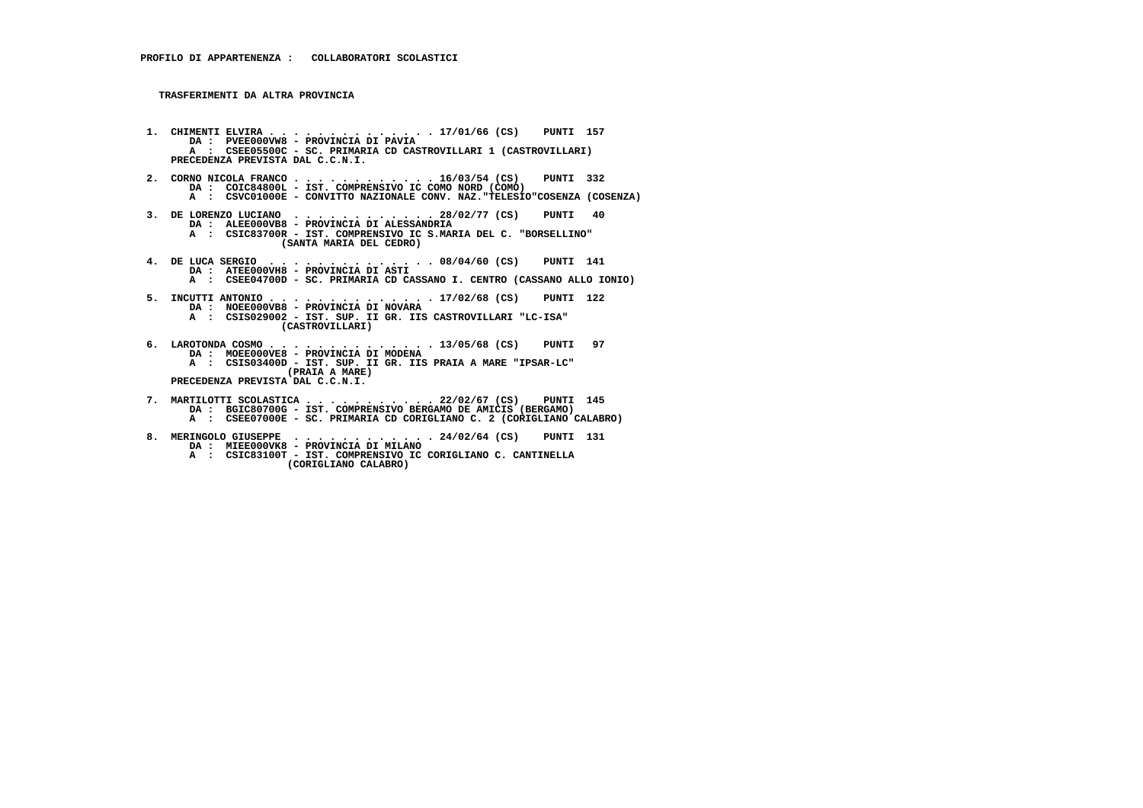**TRASFERIMENTI DA ALTRA PROVINCIA**

- **1. CHIMENTI ELVIRA . . . . . . . . . . . . . . 17/01/66 (CS) PUNTI 157 DA : PVEE000VW8 PROVINCIA DI PAVIA A : CSEE05500C - SC. PRIMARIA CD CASTROVILLARI 1 (CASTROVILLARI) PRECEDENZA PREVISTA DAL C.C.N.I.**
- **2. CORNO NICOLA FRANCO . . . . . . . . . . . . 16/03/54 (CS) PUNTI 332 DA : COIC84800L IST. COMPRENSIVO IC COMO NORD (COMO) A : CSVC01000E - CONVITTO NAZIONALE CONV. NAZ."TELESIO"COSENZA (COSENZA)**
- **3. DE LORENZO LUCIANO . . . . . . . . . . . . 28/02/77 (CS) PUNTI 40 DA : ALEE000VB8 PROVINCIA DI ALESSANDRIA A : CSIC83700R - IST. COMPRENSIVO IC S.MARIA DEL C. "BORSELLINO" (SANTA MARIA DEL CEDRO)**
- **4. DE LUCA SERGIO . . . . . . . . . . . . . . 08/04/60 (CS) PUNTI 141 DA : ATEE000VH8 PROVINCIA DI ASTI A : CSEE04700D - SC. PRIMARIA CD CASSANO I. CENTRO (CASSANO ALLO IONIO)**
- **5. INCUTTI ANTONIO . . . . . . . . . . . . . . 17/02/68 (CS) PUNTI 122 DA : NOEE000VB8 PROVINCIA DI NOVARA A : CSIS029002 IST. SUP. II GR. IIS CASTROVILLARI "LC-ISA" (CASTROVILLARI)**
- **6. LAROTONDA COSMO . . . . . . . . . . . . . . 13/05/68 (CS) PUNTI 97 DA : MOEE000VE8 PROVINCIA DI MODENA A : CSIS03400D - IST. SUP. II GR. IIS PRAIA A MARE "IPSAR-LC" (PRAIA A MARE) PRECEDENZA PREVISTA DAL C.C.N.I.**
- **7. MARTILOTTI SCOLASTICA . . . . . . . . . . . 22/02/67 (CS) PUNTI 145 DA : BGIC80700G - IST. COMPRENSIVO BERGAMO DE AMICIS (BERGAMO) A : CSEE07000E - SC. PRIMARIA CD CORIGLIANO C. 2 (CORIGLIANO CALABRO)**
- **8. MERINGOLO GIUSEPPE . . . . . . . . . . . . 24/02/64 (CS) PUNTI 131 DA : MIEE000VK8 PROVINCIA DI MILANO A : CSIC83100T - IST. COMPRENSIVO IC CORIGLIANO C. CANTINELLA (CORIGLIANO CALABRO)**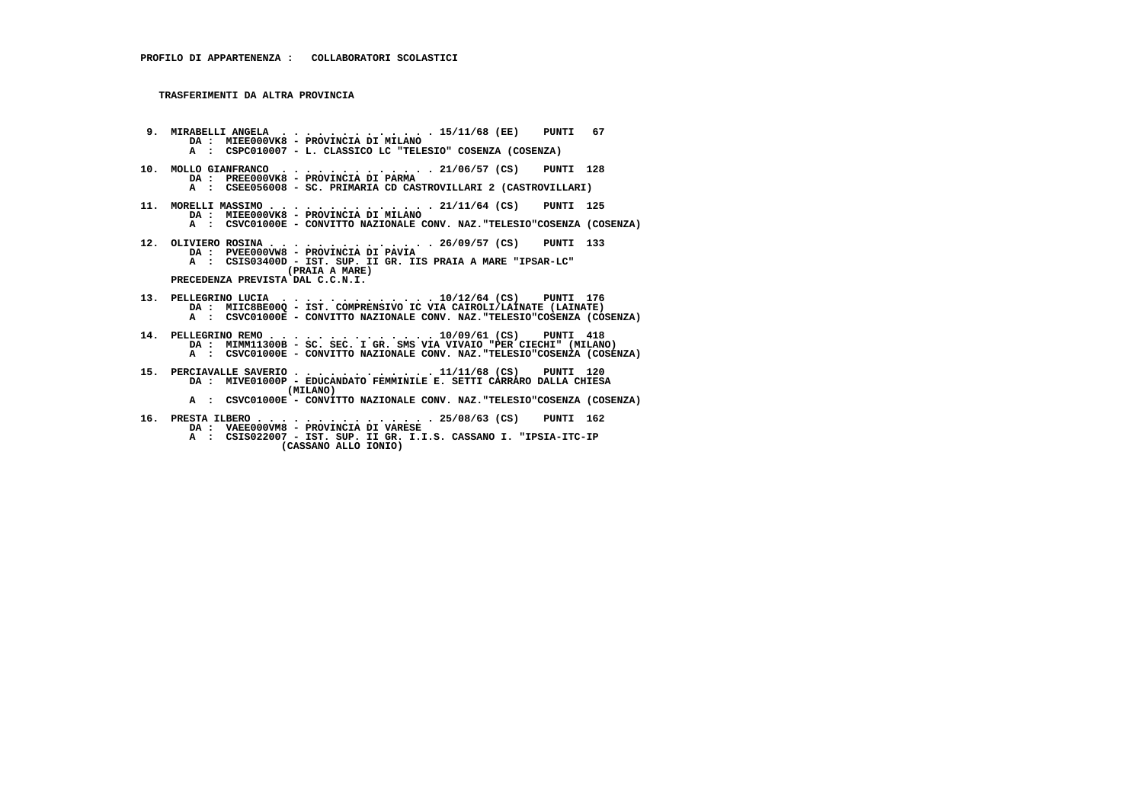**TRASFERIMENTI DA ALTRA PROVINCIA**

 **9. MIRABELLI ANGELA . . . . . . . . . . . . . 15/11/68 (EE) PUNTI 67 DA : MIEE000VK8 - PROVINCIA DI MILANO A : CSPC010007 - L. CLASSICO LC "TELESIO" COSENZA (COSENZA) 10. MOLLO GIANFRANCO . . . . . . . . . . . . . 21/06/57 (CS) PUNTI 128 DA : PREE000VK8 - PROVINCIA DI PARMA A : CSEE056008 - SC. PRIMARIA CD CASTROVILLARI 2 (CASTROVILLARI) 11. MORELLI MASSIMO . . . . . . . . . . . . . . 21/11/64 (CS) PUNTI 125 DA : MIEE000VK8 - PROVINCIA DI MILANO A : CSVC01000E - CONVITTO NAZIONALE CONV. NAZ."TELESIO"COSENZA (COSENZA) 12. OLIVIERO ROSINA . . . . . . . . . . . . . . 26/09/57 (CS) PUNTI 133 DA : PVEE000VW8 - PROVINCIA DI PAVIA A : CSIS03400D - IST. SUP. II GR. IIS PRAIA A MARE "IPSAR-LC" (PRAIA A MARE) PRECEDENZA PREVISTA DAL C.C.N.I. 13. PELLEGRINO LUCIA . . . . . . . . . . . . . 10/12/64 (CS) PUNTI 176 DA : MIIC8BE00Q - IST. COMPRENSIVO IC VIA CAIROLI/LAINATE (LAINATE) A : CSVC01000E - CONVITTO NAZIONALE CONV. NAZ."TELESIO"COSENZA (COSENZA)**14. PELLEGRINO REMO . . . . . . . . . . . . . 10/09/61 (CS) PUNTI 418<br>DA : MIMM11300B - SC. SEC. I GR. SMS VIA VIVAIO "PER CIECHI" (MILANO)<br>A : CSVC01000E - CONVITTO NAZIONALE CONV. NAZ."TELESIO"COSENZA (COSENZA)  **15. PERCIAVALLE SAVERIO . . . . . . . . . . . . 11/11/68 (CS) PUNTI 120 DA : MIVE01000P - EDUCANDATO FEMMINILE E. SETTI CARRARO DALLA CHIESA (MILANO) A : CSVC01000E - CONVITTO NAZIONALE CONV. NAZ."TELESIO"COSENZA (COSENZA) 16. PRESTA ILBERO . . . . . . . . . . . . . . . 25/08/63 (CS) PUNTI 162 DA : VAEE000VM8 - PROVINCIA DI VARESE A : CSIS022007 - IST. SUP. II GR. I.I.S. CASSANO I. "IPSIA-ITC-IP**

 **(CASSANO ALLO IONIO)**